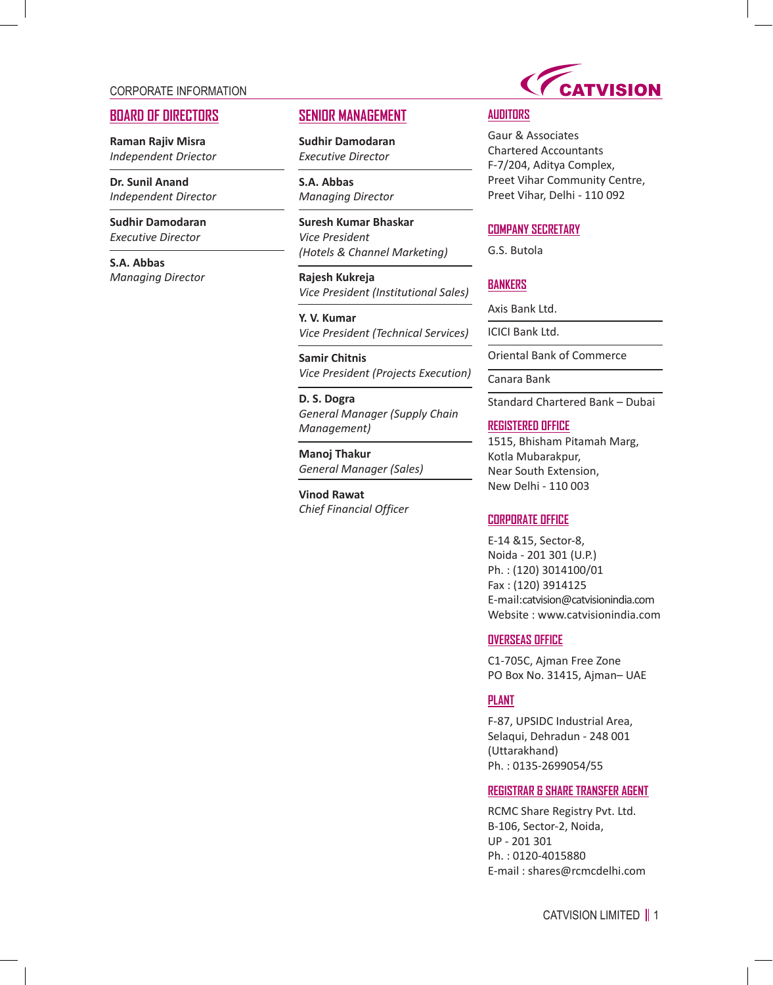### CORPORATE INFORMATION

# **BOARD OF DIRECTORS**

**Raman Rajiv Misra** *Independent Driector*

**Dr. Sunil Anand** *Independent Director*

**Sudhir Damodaran** *Executive Director*

**S.A. Abbas** *Managing Director*

# **SENIOR MANAGEMENT**

**Sudhir Damodaran** *Executive Director*

**S.A. Abbas** *Managing Director*

**Suresh Kumar Bhaskar** *Vice President (Hotels & Channel Marketing)*

**Rajesh Kukreja** *Vice President (Institutional Sales)*

**Y. V. Kumar** *Vice President (Technical Services)*

**Samir Chitnis** *Vice President (Projects Execution)*

**D. S. Dogra** *General Manager (Supply Chain Management)*

**Manoj Thakur** *General Manager (Sales)*

**Vinod Rawat** *Chief Financial Officer*



# **AUDITORS**

Gaur & Associates Chartered Accountants F-7/204, Aditya Complex, Preet Vihar Community Centre, Preet Vihar, Delhi - 110 092

### **COMPANY SECRETARY**

G.S. Butola

# **BANKERS**

Axis Bank Ltd.

ICICI Bank Ltd.

Oriental Bank of Commerce

Canara Bank

Standard Chartered Bank – Dubai

#### **REGISTERED OFFICE**

1515, Bhisham Pitamah Marg, Kotla Mubarakpur, Near South Extension, New Delhi - 110 003

### **CORPORATE OFFICE**

E-14 &15, Sector-8, Noida - 201 301 (U.P.) Ph. : (120) 3014100/01 Fax : (120) 3914125 E-mail:catvision@catvisionindia.com Website : www.catvisionindia.com

#### **OVERSEAS OFFICE**

C1-705C, Ajman Free Zone PO Box No. 31415, Ajman– UAE

# **PLANT**

F-87, UPSIDC Industrial Area, Selaqui, Dehradun - 248 001 (Uttarakhand) Ph. : 0135-2699054/55

### **REGISTRAR & SHARE TRANSFER AGENT**

RCMC Share Registry Pvt. Ltd. B-106, Sector-2, Noida, UP - 201 301 Ph. : 0120-4015880 E-mail : shares@rcmcdelhi.com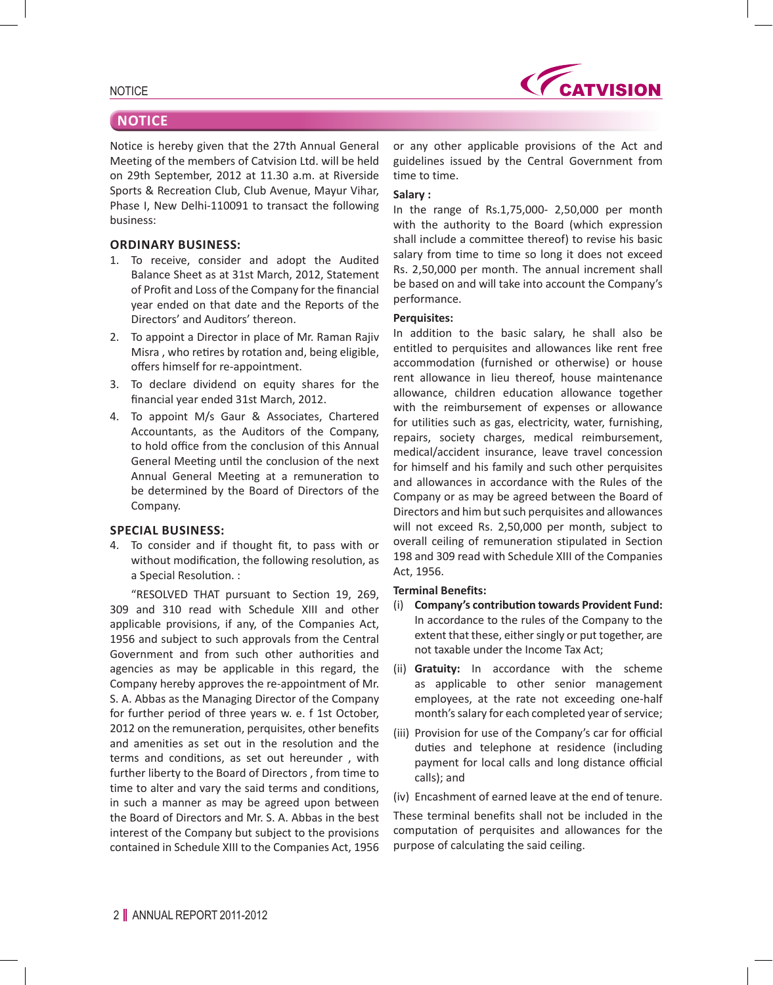

**CATVISION** 

Notice is hereby given that the 27th Annual General Meeting of the members of Catvision Ltd. will be held on 29th September, 2012 at 11.30 a.m. at Riverside Sports & Recreation Club, Club Avenue, Mayur Vihar, Phase I, New Delhi-110091 to transact the following business:

### **ORDINARY BUSINESS:**

- 1. To receive, consider and adopt the Audited Balance Sheet as at 31st March, 2012, Statement of Profit and Loss of the Company for the financial year ended on that date and the Reports of the Directors' and Auditors' thereon.
- 2. To appoint a Director in place of Mr. Raman Rajiv Misra , who retires by rotation and, being eligible, offers himself for re-appointment.
- 3. To declare dividend on equity shares for the financial year ended 31st March, 2012.
- 4. To appoint M/s Gaur & Associates, Chartered Accountants, as the Auditors of the Company, to hold office from the conclusion of this Annual General Meeting until the conclusion of the next Annual General Meeting at a remuneration to be determined by the Board of Directors of the Company.

### **SPECIAL BUSINESS:**

4. To consider and if thought fit, to pass with or without modification, the following resolution, as a Special Resolution. :

"RESOLVED THAT pursuant to Section 19, 269, 309 and 310 read with Schedule XIII and other applicable provisions, if any, of the Companies Act, 1956 and subject to such approvals from the Central Government and from such other authorities and agencies as may be applicable in this regard, the Company hereby approves the re-appointment of Mr. S. A. Abbas as the Managing Director of the Company for further period of three years w. e. f 1st October, 2012 on the remuneration, perquisites, other benefits and amenities as set out in the resolution and the terms and conditions, as set out hereunder , with further liberty to the Board of Directors , from time to time to alter and vary the said terms and conditions, in such a manner as may be agreed upon between the Board of Directors and Mr. S. A. Abbas in the best interest of the Company but subject to the provisions contained in Schedule XIII to the Companies Act, 1956

or any other applicable provisions of the Act and guidelines issued by the Central Government from time to time.

### **Salary :**

In the range of Rs.1,75,000- 2,50,000 per month with the authority to the Board (which expression shall include a committee thereof) to revise his basic salary from time to time so long it does not exceed Rs. 2,50,000 per month. The annual increment shall be based on and will take into account the Company's performance.

### **Perquisites:**

In addition to the basic salary, he shall also be entitled to perquisites and allowances like rent free accommodation (furnished or otherwise) or house rent allowance in lieu thereof, house maintenance allowance, children education allowance together with the reimbursement of expenses or allowance for utilities such as gas, electricity, water, furnishing, repairs, society charges, medical reimbursement, medical/accident insurance, leave travel concession for himself and his family and such other perquisites and allowances in accordance with the Rules of the Company or as may be agreed between the Board of Directors and him but such perquisites and allowances will not exceed Rs. 2,50,000 per month, subject to overall ceiling of remuneration stipulated in Section 198 and 309 read with Schedule XIII of the Companies Act, 1956.

### **Terminal Benefits:**

- (i) **Company's contribution towards Provident Fund:** In accordance to the rules of the Company to the extent that these, either singly or put together, are not taxable under the Income Tax Act;
- (ii) **Gratuity:** In accordance with the scheme as applicable to other senior management employees, at the rate not exceeding one-half month's salary for each completed year of service;
- (iii) Provision for use of the Company's car for official duties and telephone at residence (including payment for local calls and long distance official calls); and
- (iv) Encashment of earned leave at the end of tenure.

These terminal benefits shall not be included in the computation of perquisites and allowances for the purpose of calculating the said ceiling.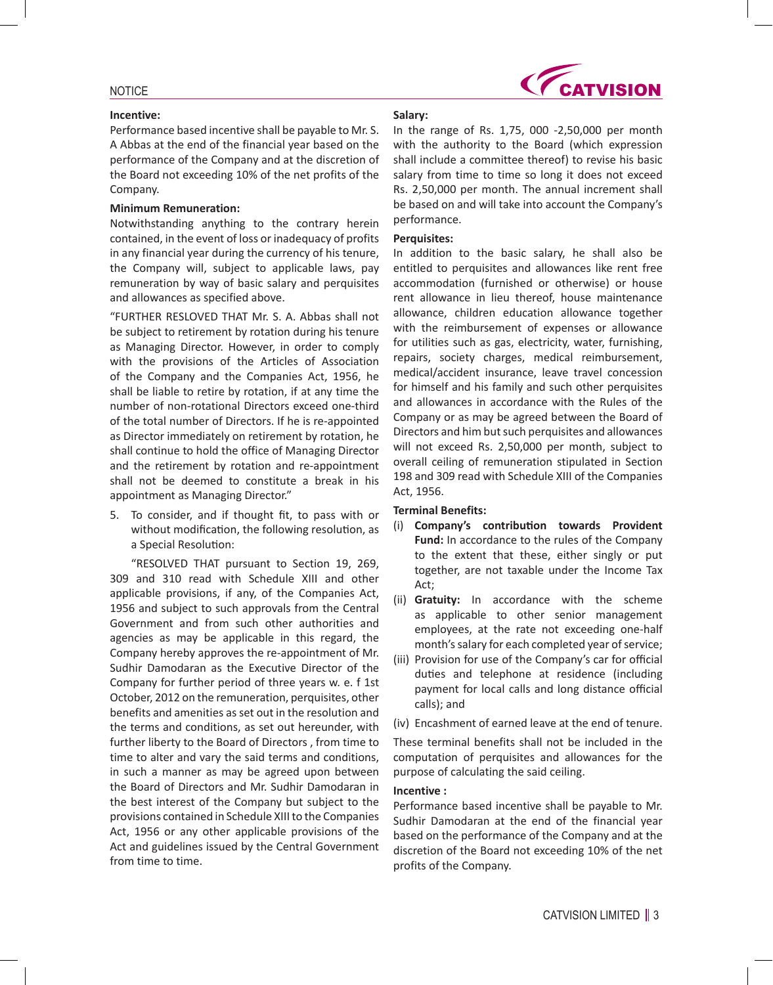#### **Incentive:**

**CATVISION** 

# Performance based incentive shall be payable to Mr. S. A Abbas at the end of the financial year based on the performance of the Company and at the discretion of the Board not exceeding 10% of the net profits of the Company.

### **Minimum Remuneration:**

Notwithstanding anything to the contrary herein contained, in the event of loss or inadequacy of profits in any financial year during the currency of his tenure, the Company will, subject to applicable laws, pay remuneration by way of basic salary and perquisites and allowances as specified above.

"FURTHER RESLOVED THAT Mr. S. A. Abbas shall not be subject to retirement by rotation during his tenure as Managing Director. However, in order to comply with the provisions of the Articles of Association of the Company and the Companies Act, 1956, he shall be liable to retire by rotation, if at any time the number of non-rotational Directors exceed one-third of the total number of Directors. If he is re-appointed as Director immediately on retirement by rotation, he shall continue to hold the office of Managing Director and the retirement by rotation and re-appointment shall not be deemed to constitute a break in his appointment as Managing Director."

5. To consider, and if thought fit, to pass with or without modification, the following resolution, as a Special Resolution:

"RESOLVED THAT pursuant to Section 19, 269, 309 and 310 read with Schedule XIII and other applicable provisions, if any, of the Companies Act, 1956 and subject to such approvals from the Central Government and from such other authorities and agencies as may be applicable in this regard, the Company hereby approves the re-appointment of Mr. Sudhir Damodaran as the Executive Director of the Company for further period of three years w. e. f 1st October, 2012 on the remuneration, perquisites, other benefits and amenities as set out in the resolution and the terms and conditions, as set out hereunder, with further liberty to the Board of Directors , from time to time to alter and vary the said terms and conditions, in such a manner as may be agreed upon between the Board of Directors and Mr. Sudhir Damodaran in the best interest of the Company but subject to the provisions contained in Schedule XIII to the Companies Act, 1956 or any other applicable provisions of the Act and guidelines issued by the Central Government from time to time.

### **Salary:**

In the range of Rs. 1,75, 000 -2,50,000 per month with the authority to the Board (which expression shall include a committee thereof) to revise his basic salary from time to time so long it does not exceed Rs. 2,50,000 per month. The annual increment shall be based on and will take into account the Company's performance.

#### **Perquisites:**

In addition to the basic salary, he shall also be entitled to perquisites and allowances like rent free accommodation (furnished or otherwise) or house rent allowance in lieu thereof, house maintenance allowance, children education allowance together with the reimbursement of expenses or allowance for utilities such as gas, electricity, water, furnishing, repairs, society charges, medical reimbursement, medical/accident insurance, leave travel concession for himself and his family and such other perquisites and allowances in accordance with the Rules of the Company or as may be agreed between the Board of Directors and him but such perquisites and allowances will not exceed Rs. 2,50,000 per month, subject to overall ceiling of remuneration stipulated in Section 198 and 309 read with Schedule XIII of the Companies Act, 1956.

## **Terminal Benefits:**

- (i) **Company's contribution towards Provident Fund:** In accordance to the rules of the Company to the extent that these, either singly or put together, are not taxable under the Income Tax Act;
- (ii) **Gratuity:** In accordance with the scheme as applicable to other senior management employees, at the rate not exceeding one-half month's salary for each completed year of service;
- (iii) Provision for use of the Company's car for official duties and telephone at residence (including payment for local calls and long distance official calls); and
- (iv) Encashment of earned leave at the end of tenure.

These terminal benefits shall not be included in the computation of perquisites and allowances for the purpose of calculating the said ceiling.

### **Incentive :**

Performance based incentive shall be payable to Mr. Sudhir Damodaran at the end of the financial year based on the performance of the Company and at the discretion of the Board not exceeding 10% of the net profits of the Company.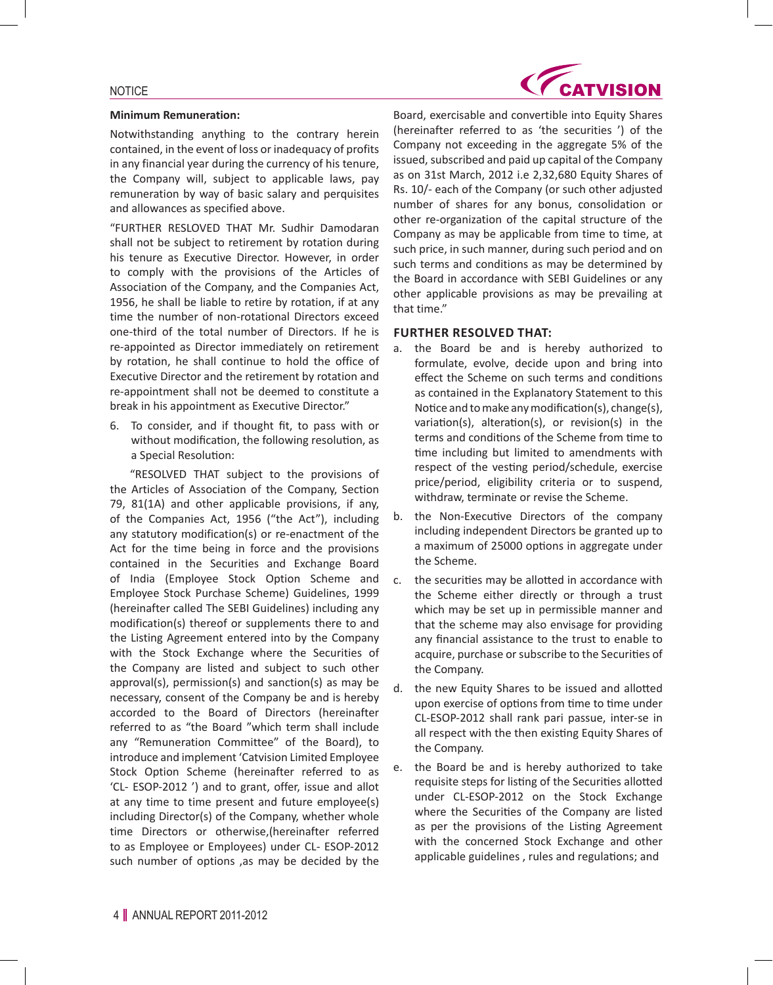#### **Minimum Remuneration:**

Notwithstanding anything to the contrary herein contained, in the event of loss or inadequacy of profits in any financial year during the currency of his tenure, the Company will, subject to applicable laws, pay remuneration by way of basic salary and perquisites and allowances as specified above.

"FURTHER RESLOVED THAT Mr. Sudhir Damodaran shall not be subject to retirement by rotation during his tenure as Executive Director. However, in order to comply with the provisions of the Articles of Association of the Company, and the Companies Act, 1956, he shall be liable to retire by rotation, if at any time the number of non-rotational Directors exceed one-third of the total number of Directors. If he is re-appointed as Director immediately on retirement by rotation, he shall continue to hold the office of Executive Director and the retirement by rotation and re-appointment shall not be deemed to constitute a break in his appointment as Executive Director."

6. To consider, and if thought fit, to pass with or without modification, the following resolution, as a Special Resolution:

"RESOLVED THAT subject to the provisions of the Articles of Association of the Company, Section 79, 81(1A) and other applicable provisions, if any, of the Companies Act, 1956 ("the Act"), including any statutory modification(s) or re-enactment of the Act for the time being in force and the provisions contained in the Securities and Exchange Board of India (Employee Stock Option Scheme and Employee Stock Purchase Scheme) Guidelines, 1999 (hereinafter called The SEBI Guidelines) including any modification(s) thereof or supplements there to and the Listing Agreement entered into by the Company with the Stock Exchange where the Securities of the Company are listed and subject to such other approval(s), permission(s) and sanction(s) as may be necessary, consent of the Company be and is hereby accorded to the Board of Directors (hereinafter referred to as "the Board "which term shall include any "Remuneration Committee" of the Board), to introduce and implement 'Catvision Limited Employee Stock Option Scheme (hereinafter referred to as 'CL- ESOP-2012 ') and to grant, offer, issue and allot at any time to time present and future employee(s) including Director(s) of the Company, whether whole time Directors or otherwise,(hereinafter referred to as Employee or Employees) under CL- ESOP-2012 such number of options ,as may be decided by the



Board, exercisable and convertible into Equity Shares (hereinafter referred to as 'the securities ') of the Company not exceeding in the aggregate 5% of the issued, subscribed and paid up capital of the Company as on 31st March, 2012 i.e 2,32,680 Equity Shares of Rs. 10/- each of the Company (or such other adjusted number of shares for any bonus, consolidation or other re-organization of the capital structure of the Company as may be applicable from time to time, at such price, in such manner, during such period and on such terms and conditions as may be determined by the Board in accordance with SEBI Guidelines or any other applicable provisions as may be prevailing at that time."

### **FURTHER RESOLVED THAT:**

- a. the Board be and is hereby authorized to formulate, evolve, decide upon and bring into effect the Scheme on such terms and conditions as contained in the Explanatory Statement to this Notice and tomake anymodification(s), change(s), variation(s), alteration(s), or revision(s) in the terms and conditions of the Scheme from time to time including but limited to amendments with respect of the vesting period/schedule, exercise price/period, eligibility criteria or to suspend, withdraw, terminate or revise the Scheme.
- b. the Non-Executive Directors of the company including independent Directors be granted up to a maximum of 25000 options in aggregate under the Scheme.
- c. the securities may be allotted in accordance with the Scheme either directly or through a trust which may be set up in permissible manner and that the scheme may also envisage for providing any financial assistance to the trust to enable to acquire, purchase or subscribe to the Securities of the Company.
- d. the new Equity Shares to be issued and allotted upon exercise of options from time to time under CL-ESOP-2012 shall rank pari passue, inter-se in all respect with the then existing Equity Shares of the Company.
- e. the Board be and is hereby authorized to take requisite steps for listing of the Securities allotted under CL-ESOP-2012 on the Stock Exchange where the Securities of the Company are listed as per the provisions of the Listing Agreement with the concerned Stock Exchange and other applicable guidelines , rules and regulations; and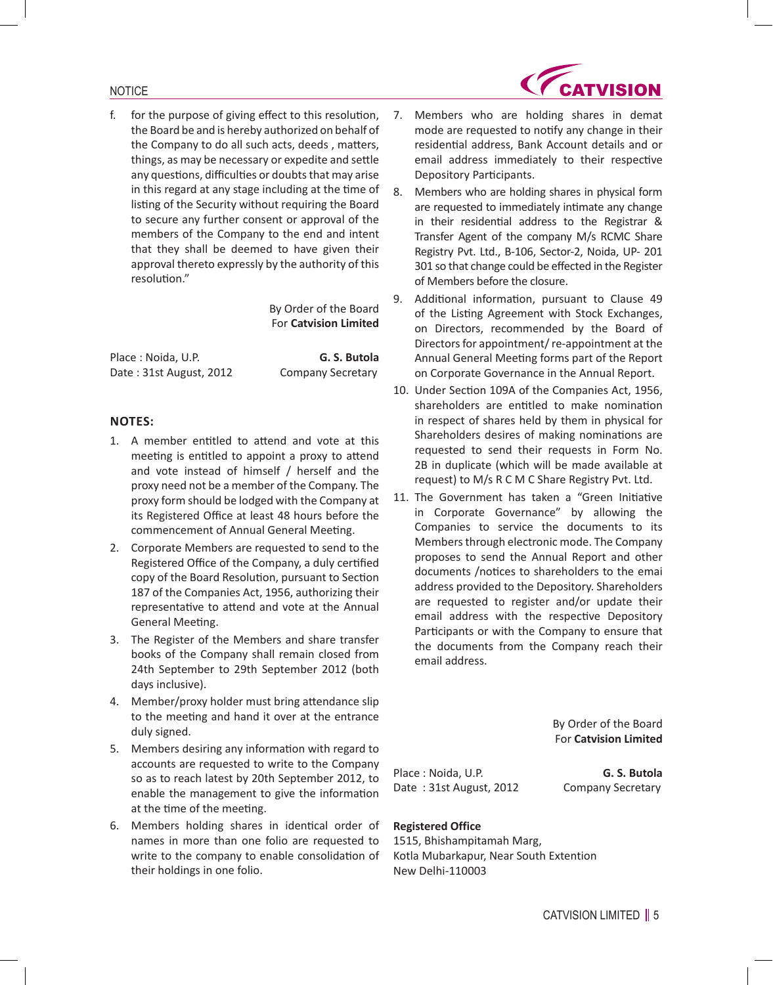f. for the purpose of giving effect to this resolution, the Board be and is hereby authorized on behalf of the Company to do all such acts, deeds , matters, things, as may be necessary or expedite and settle any questions, difficulties or doubts that may arise in this regard at any stage including at the time of listing of the Security without requiring the Board to secure any further consent or approval of the members of the Company to the end and intent that they shall be deemed to have given their approval thereto expressly by the authority of this resolution."

> By Order of the Board For **Catvision Limited**

Place : Noida, U.P. **G. S. Butola** Date: 31st August, 2012 Company Secretary

# **NOTES:**

- 1. A member entitled to attend and vote at this meeting is entitled to appoint a proxy to attend and vote instead of himself / herself and the proxy need not be a member of the Company. The proxy form should be lodged with the Company at its Registered Office at least 48 hours before the commencement of Annual General Meeting.
- 2. Corporate Members are requested to send to the Registered Office of the Company, a duly certified copy of the Board Resolution, pursuant to Section 187 of the Companies Act, 1956, authorizing their representative to attend and vote at the Annual General Meeting.
- 3. The Register of the Members and share transfer books of the Company shall remain closed from 24th September to 29th September 2012 (both days inclusive).
- 4. Member/proxy holder must bring attendance slip to the meeting and hand it over at the entrance duly signed.
- 5. Members desiring any information with regard to accounts are requested to write to the Company so as to reach latest by 20th September 2012, to enable the management to give the information at the time of the meeting.
- 6. Members holding shares in identical order of names in more than one folio are requested to write to the company to enable consolidation of their holdings in one folio.
- 7. Members who are holding shares in demat mode are requested to notify any change in their residential address, Bank Account details and or email address immediately to their respective Depository Participants.
- 8. Members who are holding shares in physical form are requested to immediately intimate any change in their residential address to the Registrar & Transfer Agent of the company M/s RCMC Share Registry Pvt. Ltd., B-106, Sector-2, Noida, UP- 201 301 so that change could be effected in the Register of Members before the closure.
- 9. Additional information, pursuant to Clause 49 of the Listing Agreement with Stock Exchanges, on Directors, recommended by the Board of Directors for appointment/ re-appointment at the Annual General Meeting forms part of the Report on Corporate Governance in the Annual Report.
- 10. Under Section 109A of the Companies Act, 1956, shareholders are entitled to make nomination in respect of shares held by them in physical for Shareholders desires of making nominations are requested to send their requests in Form No. 2B in duplicate (which will be made available at request) to M/s R C M C Share Registry Pvt. Ltd.
- 11. The Government has taken a "Green Initiative in Corporate Governance" by allowing the Companies to service the documents to its Members through electronic mode. The Company proposes to send the Annual Report and other documents /notices to shareholders to the emai address provided to the Depository. Shareholders are requested to register and/or update their email address with the respective Depository Participants or with the Company to ensure that the documents from the Company reach their email address.

By Order of the Board For **Catvision Limited**

Place : Noida, U.P. **G. S. Butola** Date: 31st August, 2012 Company Secretary

# **Registered Office**

1515, Bhishampitamah Marg, Kotla Mubarkapur, Near South Extention New Delhi-110003

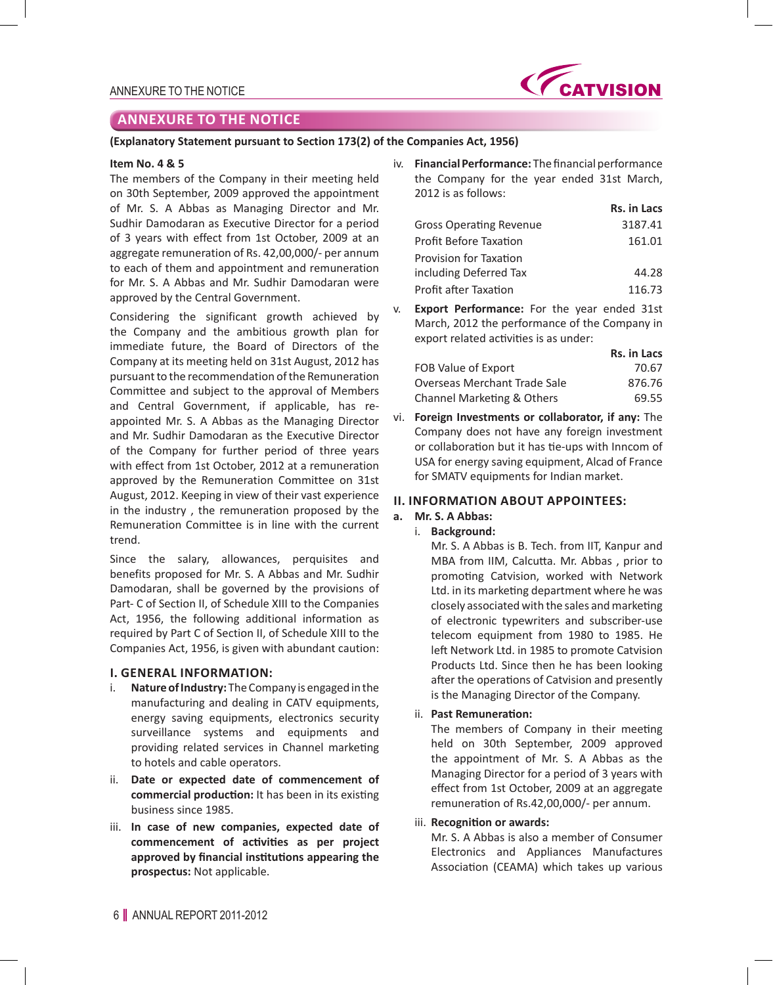

# **ANNEXURE TO THE NOTICE**

### **(Explanatory Statement pursuant to Section 173(2) of the Companies Act, 1956)**

#### **Item No. 4 & 5**

The members of the Company in their meeting held on 30th September, 2009 approved the appointment of Mr. S. A Abbas as Managing Director and Mr. Sudhir Damodaran as Executive Director for a period of 3 years with effect from 1st October, 2009 at an aggregate remuneration of Rs. 42,00,000/- per annum to each of them and appointment and remuneration for Mr. S. A Abbas and Mr. Sudhir Damodaran were approved by the Central Government.

Considering the significant growth achieved by the Company and the ambitious growth plan for immediate future, the Board of Directors of the Company at its meeting held on 31st August, 2012 has pursuant to the recommendation of the Remuneration Committee and subject to the approval of Members and Central Government, if applicable, has reappointed Mr. S. A Abbas as the Managing Director and Mr. Sudhir Damodaran as the Executive Director of the Company for further period of three years with effect from 1st October, 2012 at a remuneration approved by the Remuneration Committee on 31st August, 2012. Keeping in view of their vast experience in the industry , the remuneration proposed by the Remuneration Committee is in line with the current trend.

Since the salary, allowances, perquisites and benefits proposed for Mr. S. A Abbas and Mr. Sudhir Damodaran, shall be governed by the provisions of Part- C of Section II, of Schedule XIII to the Companies Act, 1956, the following additional information as required by Part C of Section II, of Schedule XIII to the Companies Act, 1956, is given with abundant caution:

### **I. GENERAL INFORMATION:**

- i. **Nature of Industry:** The Company is engaged in the manufacturing and dealing in CATV equipments, energy saving equipments, electronics security surveillance systems and equipments and providing related services in Channel marketing to hotels and cable operators.
- ii. **Date or expected date of commencement of commercial production:** It has been in its existing business since 1985.
- iii. **In case of new companies, expected date of commencement of activities as per project approved by financial institutions appearing the prospectus:** Not applicable.

iv. **Financial Performance:** The financial performance the Company for the year ended 31st March, 2012 is as follows:

|                                | Rs. in Lacs |
|--------------------------------|-------------|
| <b>Gross Operating Revenue</b> | 3187.41     |
| Profit Before Taxation         | 161.01      |
| Provision for Taxation         |             |
| including Deferred Tax         | 44.28       |
| Profit after Taxation          | 116.73      |

v. **Export Performance:** For the year ended 31st March, 2012 the performance of the Company in export related activities is as under:

|                              | <b>Rs. in Lacs</b> |
|------------------------------|--------------------|
| FOB Value of Export          | 70.67              |
| Overseas Merchant Trade Sale | 876.76             |
| Channel Marketing & Others   | 69.55              |

vi. **Foreign Investments or collaborator, if any:** The Company does not have any foreign investment or collaboration but it has tie-ups with Inncom of USA for energy saving equipment, Alcad of France for SMATV equipments for Indian market.

### **II. INFORMATION ABOUT APPOINTEES:**

## **a. Mr. S. A Abbas:**

i. **Background:**

 Mr. S. A Abbas is B. Tech. from IIT, Kanpur and MBA from IIM, Calcutta. Mr. Abbas , prior to promoting Catvision, worked with Network Ltd. in its marketing department where he was closely associated with the sales andmarketing of electronic typewriters and subscriber-use telecom equipment from 1980 to 1985. He left Network Ltd. in 1985 to promote Catvision Products Ltd. Since then he has been looking after the operations of Catvision and presently is the Managing Director of the Company.

ii. **Past Remuneration:**

 The members of Company in their meeting held on 30th September, 2009 approved the appointment of Mr. S. A Abbas as the Managing Director for a period of 3 years with effect from 1st October, 2009 at an aggregate remuneration of Rs.42,00,000/- per annum.

#### iii. **Recognition or awards:**

 Mr. S. A Abbas is also a member of Consumer Electronics and Appliances Manufactures Association (CEAMA) which takes up various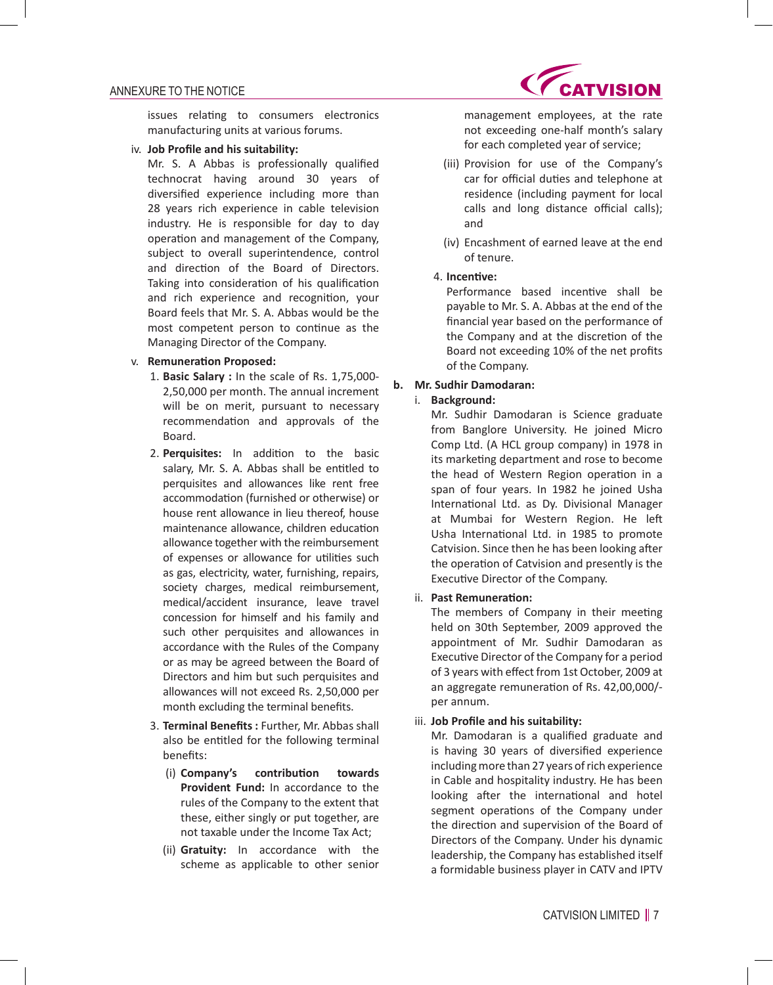issues relating to consumers electronics manufacturing units at various forums.

iv. **Job Profile and his suitability:**

 Mr. S. A Abbas is professionally qualified technocrat having around 30 years of diversified experience including more than 28 years rich experience in cable television industry. He is responsible for day to day operation and management of the Company, subject to overall superintendence, control and direction of the Board of Directors. Taking into consideration of his qualification and rich experience and recognition, your Board feels that Mr. S. A. Abbas would be the most competent person to continue as the Managing Director of the Company.

### v. **Remuneration Proposed:**

- 1. **Basic Salary :** In the scale of Rs. 1,75,000- 2,50,000 per month. The annual increment will be on merit, pursuant to necessary recommendation and approvals of the Board.
- 2. **Perquisites:** In addition to the basic salary, Mr. S. A. Abbas shall be entitled to perquisites and allowances like rent free accommodation (furnished or otherwise) or house rent allowance in lieu thereof, house maintenance allowance, children education allowance together with the reimbursement of expenses or allowance for utilities such as gas, electricity, water, furnishing, repairs, society charges, medical reimbursement, medical/accident insurance, leave travel concession for himself and his family and such other perquisites and allowances in accordance with the Rules of the Company or as may be agreed between the Board of Directors and him but such perquisites and allowances will not exceed Rs. 2,50,000 per month excluding the terminal benefits.
- 3. **Terminal Benefits :** Further, Mr. Abbas shall also be entitled for the following terminal benefits:
	- (i) **Company's contribution towards Provident Fund:** In accordance to the rules of the Company to the extent that these, either singly or put together, are not taxable under the Income Tax Act;
	- (ii) **Gratuity:** In accordance with the scheme as applicable to other senior



management employees, at the rate not exceeding one-half month's salary for each completed year of service;

- (iii) Provision for use of the Company's car for official duties and telephone at residence (including payment for local calls and long distance official calls); and
- (iv) Encashment of earned leave at the end of tenure.

### 4. **Incentive:**

 Performance based incentive shall be payable to Mr. S. A. Abbas at the end of the financial year based on the performance of the Company and at the discretion of the Board not exceeding 10% of the net profits of the Company.

## **b. Mr. Sudhir Damodaran:**

### i. **Background:**

 Mr. Sudhir Damodaran is Science graduate from Banglore University. He joined Micro Comp Ltd. (A HCL group company) in 1978 in its marketing department and rose to become the head of Western Region operation in a span of four years. In 1982 he joined Usha International Ltd. as Dy. Divisional Manager at Mumbai for Western Region. He left Usha International Ltd. in 1985 to promote Catvision. Since then he has been looking after the operation of Catvision and presently is the Executive Director of the Company.

### ii. **Past Remuneration:**

 The members of Company in their meeting held on 30th September, 2009 approved the appointment of Mr. Sudhir Damodaran as Executive Director of the Company for a period of 3 years with effect from 1st October, 2009 at an aggregate remuneration of Rs. 42,00,000/ per annum.

### iii. **Job Profile and his suitability:**

 Mr. Damodaran is a qualified graduate and is having 30 years of diversified experience including more than 27 years of rich experience in Cable and hospitality industry. He has been looking after the international and hotel segment operations of the Company under the direction and supervision of the Board of Directors of the Company. Under his dynamic leadership, the Company has established itself a formidable business player in CATV and IPTV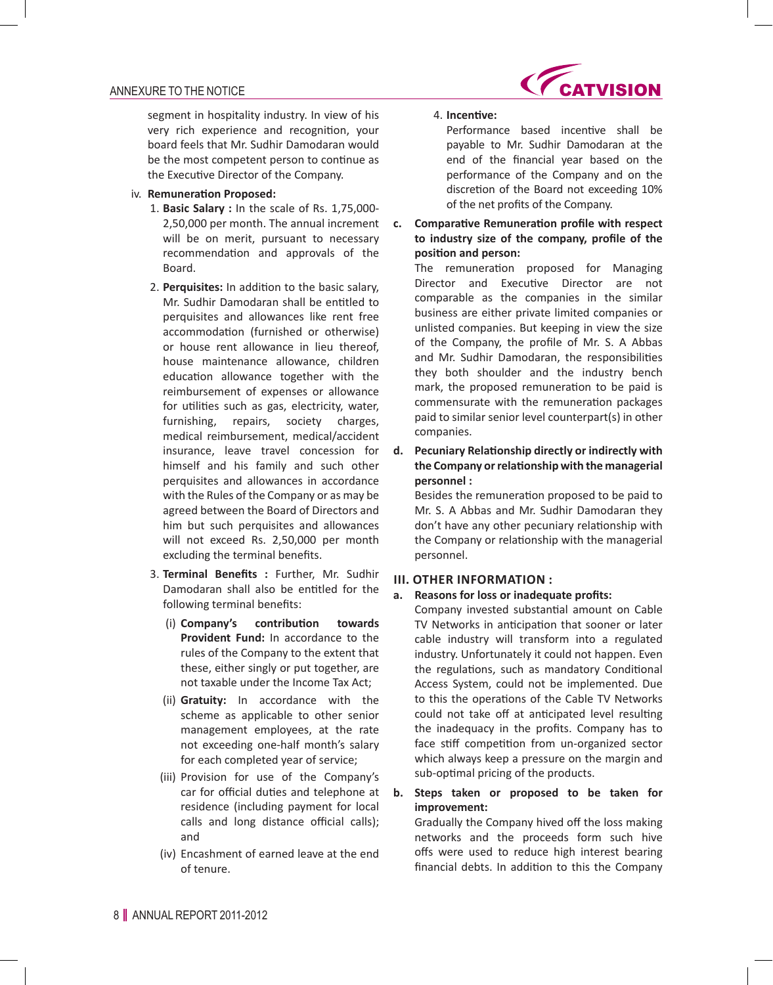

segment in hospitality industry. In view of his very rich experience and recognition, your board feels that Mr. Sudhir Damodaran would be the most competent person to continue as the Executive Director of the Company.

### iv. **Remuneration Proposed:**

- 1. **Basic Salary :** In the scale of Rs. 1,75,000- 2,50,000 per month. The annual increment will be on merit, pursuant to necessary recommendation and approvals of the Board.
- 2. **Perquisites:** In addition to the basic salary, Mr. Sudhir Damodaran shall be entitled to perquisites and allowances like rent free accommodation (furnished or otherwise) or house rent allowance in lieu thereof, house maintenance allowance, children education allowance together with the reimbursement of expenses or allowance for utilities such as gas, electricity, water, furnishing, repairs, society charges, medical reimbursement, medical/accident insurance, leave travel concession for himself and his family and such other perquisites and allowances in accordance with the Rules of the Company or as may be agreed between the Board of Directors and him but such perquisites and allowances will not exceed Rs. 2,50,000 per month excluding the terminal benefits.
- 3. **Terminal Benefits :** Further, Mr. Sudhir Damodaran shall also be entitled for the following terminal benefits:
	- (i) **Company's contribution towards Provident Fund:** In accordance to the rules of the Company to the extent that these, either singly or put together, are not taxable under the Income Tax Act;
	- (ii) **Gratuity:** In accordance with the scheme as applicable to other senior management employees, at the rate not exceeding one-half month's salary for each completed year of service;
	- (iii) Provision for use of the Company's car for official duties and telephone at residence (including payment for local calls and long distance official calls); and
	- (iv) Encashment of earned leave at the end of tenure.

### 4. **Incentive:**

 Performance based incentive shall be payable to Mr. Sudhir Damodaran at the end of the financial year based on the performance of the Company and on the discretion of the Board not exceeding 10% of the net profits of the Company.

**c. Comparative Remuneration profile with respect to industry size of the company, profile of the position and person:**

 The remuneration proposed for Managing Director and Executive Director are not comparable as the companies in the similar business are either private limited companies or unlisted companies. But keeping in view the size of the Company, the profile of Mr. S. A Abbas and Mr. Sudhir Damodaran, the responsibilities they both shoulder and the industry bench mark, the proposed remuneration to be paid is commensurate with the remuneration packages paid to similar senior level counterpart(s) in other companies.

**d. Pecuniary Relationship directly or indirectly with the Company or relationship with the managerial personnel :**

 Besides the remuneration proposed to be paid to Mr. S. A Abbas and Mr. Sudhir Damodaran they don't have any other pecuniary relationship with the Company or relationship with the managerial personnel.

### **III. OTHER INFORMATION :**

#### **a. Reasons for loss or inadequate profits:**

 Company invested substantial amount on Cable TV Networks in anticipation that sooner or later cable industry will transform into a regulated industry. Unfortunately it could not happen. Even the regulations, such as mandatory Conditional Access System, could not be implemented. Due to this the operations of the Cable TV Networks could not take off at anticipated level resulting the inadequacy in the profits. Company has to face stiff competition from un-organized sector which always keep a pressure on the margin and sub-optimal pricing of the products.

# **b. Steps taken or proposed to be taken for improvement:**

 Gradually the Company hived off the loss making networks and the proceeds form such hive offs were used to reduce high interest bearing financial debts. In addition to this the Company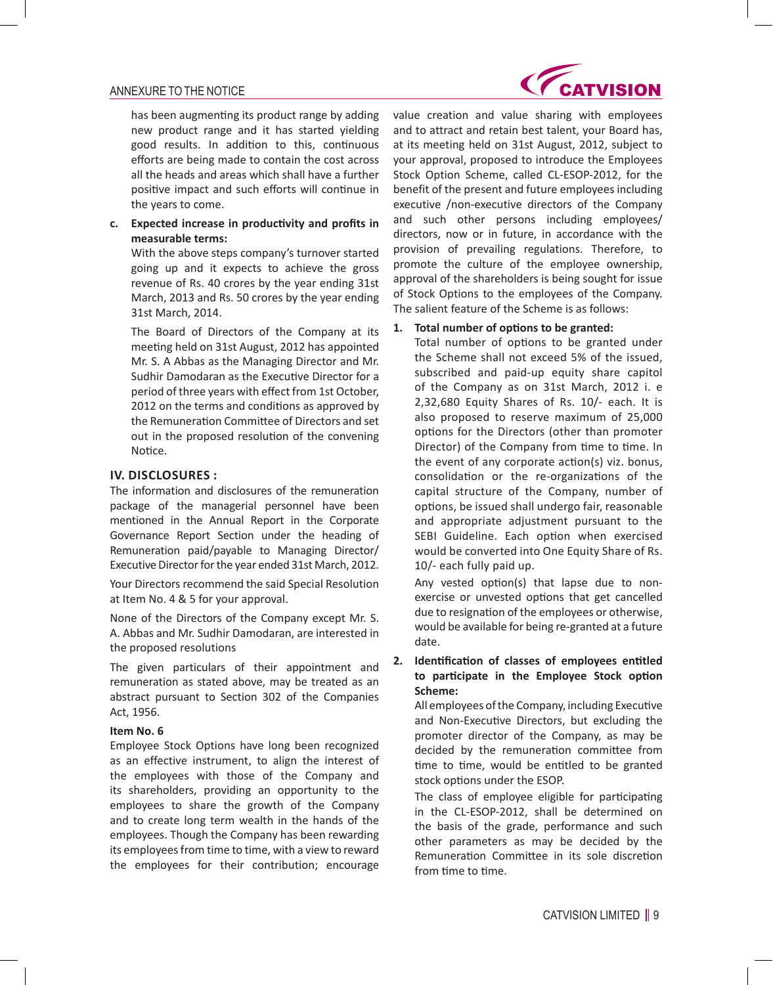

has been augmenting its product range by adding new product range and it has started yielding good results. In addition to this, continuous efforts are being made to contain the cost across all the heads and areas which shall have a further positive impact and such efforts will continue in the years to come.

**c. Expected increase in productivity and profits in measurable terms:**

With the above steps company's turnover started going up and it expects to achieve the gross revenue of Rs. 40 crores by the year ending 31st March, 2013 and Rs. 50 crores by the year ending 31st March, 2014.

The Board of Directors of the Company at its meeting held on 31st August, 2012 has appointed Mr. S. A Abbas as the Managing Director and Mr. Sudhir Damodaran as the Executive Director for a period of three years with effect from 1st October, 2012 on the terms and conditions as approved by the Remuneration Committee of Directors and set out in the proposed resolution of the convening Notice.

### **IV. DISCLOSURES :**

The information and disclosures of the remuneration package of the managerial personnel have been mentioned in the Annual Report in the Corporate Governance Report Section under the heading of Remuneration paid/payable to Managing Director/ Executive Director for the year ended 31st March, 2012.

Your Directors recommend the said Special Resolution at Item No. 4 & 5 for your approval.

None of the Directors of the Company except Mr. S. A. Abbas and Mr. Sudhir Damodaran, are interested in the proposed resolutions

The given particulars of their appointment and remuneration as stated above, may be treated as an abstract pursuant to Section 302 of the Companies Act, 1956.

#### **Item No. 6**

Employee Stock Options have long been recognized as an effective instrument, to align the interest of the employees with those of the Company and its shareholders, providing an opportunity to the employees to share the growth of the Company and to create long term wealth in the hands of the employees. Though the Company has been rewarding its employees from time to time, with a view to reward the employees for their contribution; encourage

value creation and value sharing with employees and to attract and retain best talent, your Board has, at its meeting held on 31st August, 2012, subject to your approval, proposed to introduce the Employees Stock Option Scheme, called CL-ESOP-2012, for the benefit of the present and future employees including executive /non-executive directors of the Company and such other persons including employees/ directors, now or in future, in accordance with the provision of prevailing regulations. Therefore, to promote the culture of the employee ownership, approval of the shareholders is being sought for issue of Stock Options to the employees of the Company. The salient feature of the Scheme is as follows:

#### **1. Total number of options to be granted:**

 Total number of options to be granted under the Scheme shall not exceed 5% of the issued, subscribed and paid-up equity share capitol of the Company as on 31st March, 2012 i. e 2,32,680 Equity Shares of Rs. 10/- each. It is also proposed to reserve maximum of 25,000 options for the Directors (other than promoter Director) of the Company from time to time. In the event of any corporate action(s) viz. bonus, consolidation or the re-organizations of the capital structure of the Company, number of options, be issued shall undergo fair, reasonable and appropriate adjustment pursuant to the SEBI Guideline. Each option when exercised would be converted into One Equity Share of Rs. 10/- each fully paid up.

 Any vested option(s) that lapse due to nonexercise or unvested options that get cancelled due to resignation of the employees or otherwise, would be available for being re-granted at a future date.

# **2. Identification of classes of employees entitled to participate in the Employee Stock option Scheme:**

 All employees ofthe Company, including Executive and Non-Executive Directors, but excluding the promoter director of the Company, as may be decided by the remuneration committee from time to time, would be entitled to be granted stock options under the ESOP.

 The class of employee eligible for participating in the CL-ESOP-2012, shall be determined on the basis of the grade, performance and such other parameters as may be decided by the Remuneration Committee in its sole discretion from time to time.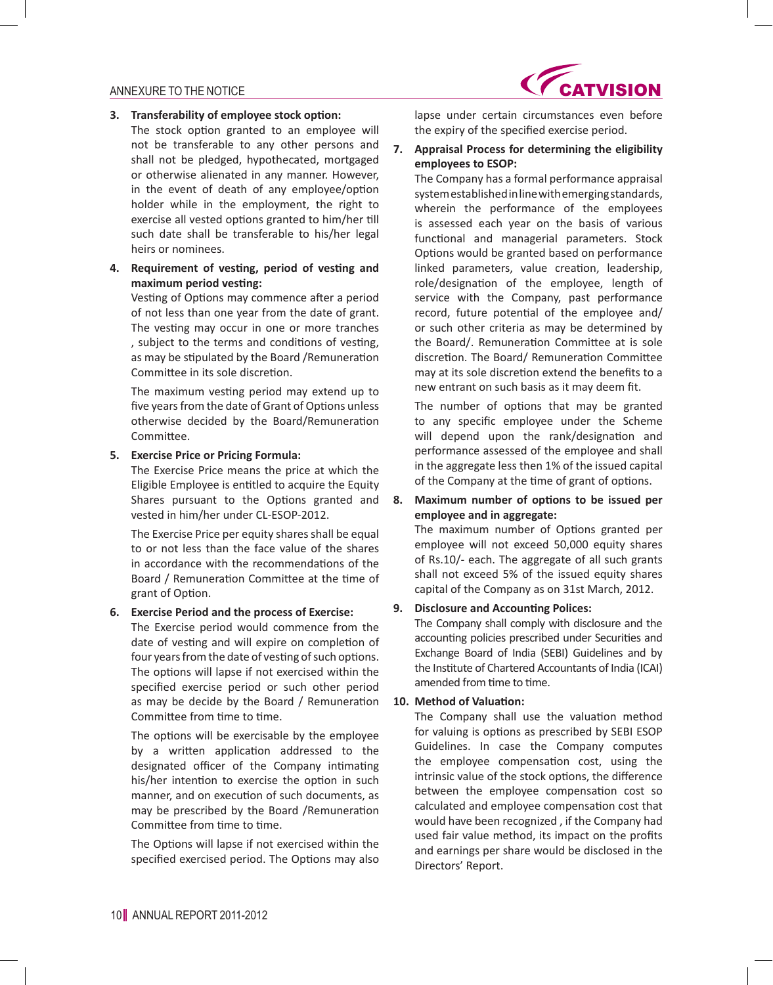

#### **3. Transferability of employee stock option:**

- The stock option granted to an employee will not be transferable to any other persons and shall not be pledged, hypothecated, mortgaged or otherwise alienated in any manner. However, in the event of death of any employee/option holder while in the employment, the right to exercise all vested options granted to him/her till such date shall be transferable to his/her legal heirs or nominees.
- **4. Requirement of vesting, period of vesting and maximum period vesting:**

 Vesting of Options may commence after a period of not less than one year from the date of grant. The vesting may occur in one or more tranches , subject to the terms and conditions of vesting, as may be stipulated by the Board /Remuneration Committee in its sole discretion.

 The maximum vesting period may extend up to five years from the date of Grant of Options unless otherwise decided by the Board/Remuneration Committee.

### **5. Exercise Price or Pricing Formula:**

The Exercise Price means the price at which the Eligible Employee is entitled to acquire the Equity Shares pursuant to the Options granted and vested in him/her under CL-ESOP-2012.

The Exercise Price per equity shares shall be equal to or not less than the face value of the shares in accordance with the recommendations of the Board / Remuneration Committee at the time of grant of Option.

#### **6. Exercise Period and the process of Exercise:**

The Exercise period would commence from the date of vesting and will expire on completion of four years from the date of vesting of such options. The options will lapse if not exercised within the specified exercise period or such other period as may be decide by the Board / Remuneration Committee from time to time.

 The options will be exercisable by the employee by a written application addressed to the designated officer of the Company intimating his/her intention to exercise the option in such manner, and on execution of such documents, as may be prescribed by the Board /Remuneration Committee from time to time.

 The Options will lapse if not exercised within the specified exercised period. The Options may also lapse under certain circumstances even before the expiry of the specified exercise period.

### **7. Appraisal Process for determining the eligibility employees to ESOP:**

The Company has a formal performance appraisal system established in line with emerging standards, wherein the performance of the employees is assessed each year on the basis of various functional and managerial parameters. Stock Options would be granted based on performance linked parameters, value creation, leadership, role/designation of the employee, length of service with the Company, past performance record, future potential of the employee and/ or such other criteria as may be determined by the Board/. Remuneration Committee at is sole discretion. The Board/ Remuneration Committee may at its sole discretion extend the benefits to a new entrant on such basis as it may deem fit.

 The number of options that may be granted to any specific employee under the Scheme will depend upon the rank/designation and performance assessed of the employee and shall in the aggregate less then 1% of the issued capital of the Company at the time of grant of options.

# **8. Maximum number of options to be issued per employee and in aggregate:**

 The maximum number of Options granted per employee will not exceed 50,000 equity shares of Rs.10/- each. The aggregate of all such grants shall not exceed 5% of the issued equity shares capital of the Company as on 31st March, 2012.

#### **9. Disclosure and Accounting Polices:**

The Company shall comply with disclosure and the accounting policies prescribed under Securities and Exchange Board of India (SEBI) Guidelines and by the Institute of Chartered Accountants of India (ICAI) amended from time to time.

### **10. Method of Valuation:**

 The Company shall use the valuation method for valuing is options as prescribed by SEBI ESOP Guidelines. In case the Company computes the employee compensation cost, using the intrinsic value of the stock options, the difference between the employee compensation cost so calculated and employee compensation cost that would have been recognized , if the Company had used fair value method, its impact on the profits and earnings per share would be disclosed in the Directors' Report.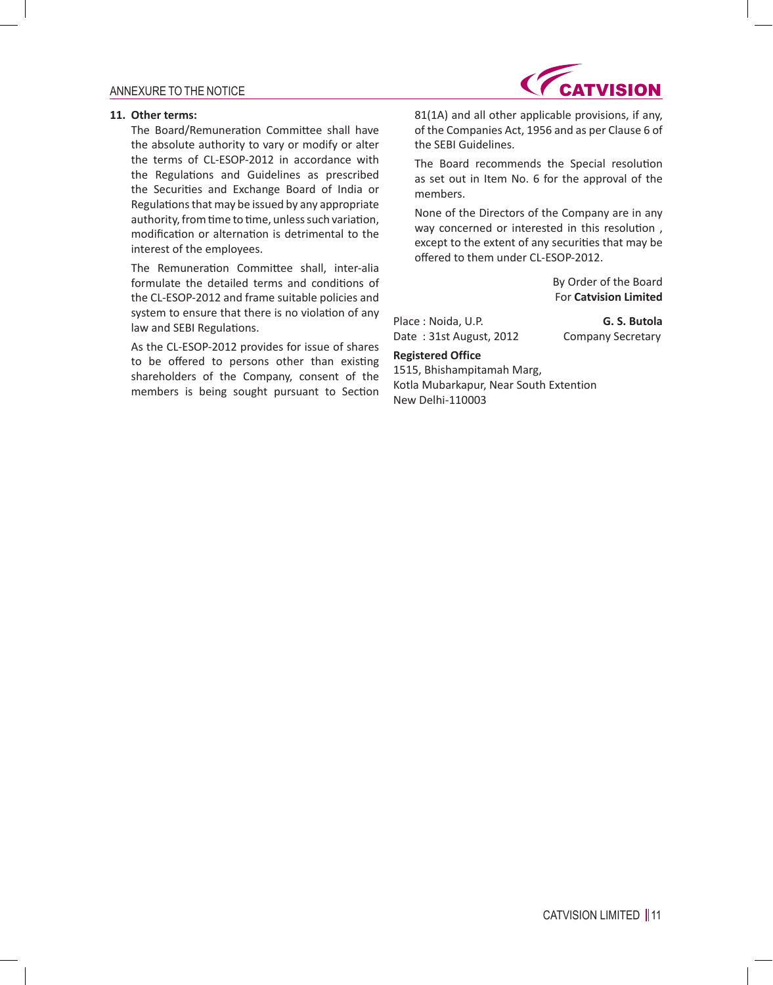#### **11. Other terms:**

 The Board/Remuneration Committee shall have the absolute authority to vary or modify or alter the terms of CL-ESOP-2012 in accordance with the Regulations and Guidelines as prescribed the Securities and Exchange Board of India or Regulations that may be issued by any appropriate authority, from time to time, unless such variation, modification or alternation is detrimental to the interest of the employees.

 The Remuneration Committee shall, inter-alia formulate the detailed terms and conditions of the CL-ESOP-2012 and frame suitable policies and system to ensure that there is no violation of any law and SEBI Regulations.

As the CL-ESOP-2012 provides for issue of shares to be offered to persons other than existing shareholders of the Company, consent of the members is being sought pursuant to Section



81(1A) and all other applicable provisions, if any, of the Companies Act, 1956 and as per Clause 6 of the SEBI Guidelines.

 The Board recommends the Special resolution as set out in Item No. 6 for the approval of the members.

None of the Directors of the Company are in any way concerned or interested in this resolution , except to the extent of any securities that may be offered to them under CL-ESOP-2012.

> By Order of the Board For **Catvision Limited**

Place : Noida, U.P. **G. S. Butola** Date: 31st August, 2012 Company Secretary

#### **Registered Office**

1515, Bhishampitamah Marg, Kotla Mubarkapur, Near South Extention New Delhi-110003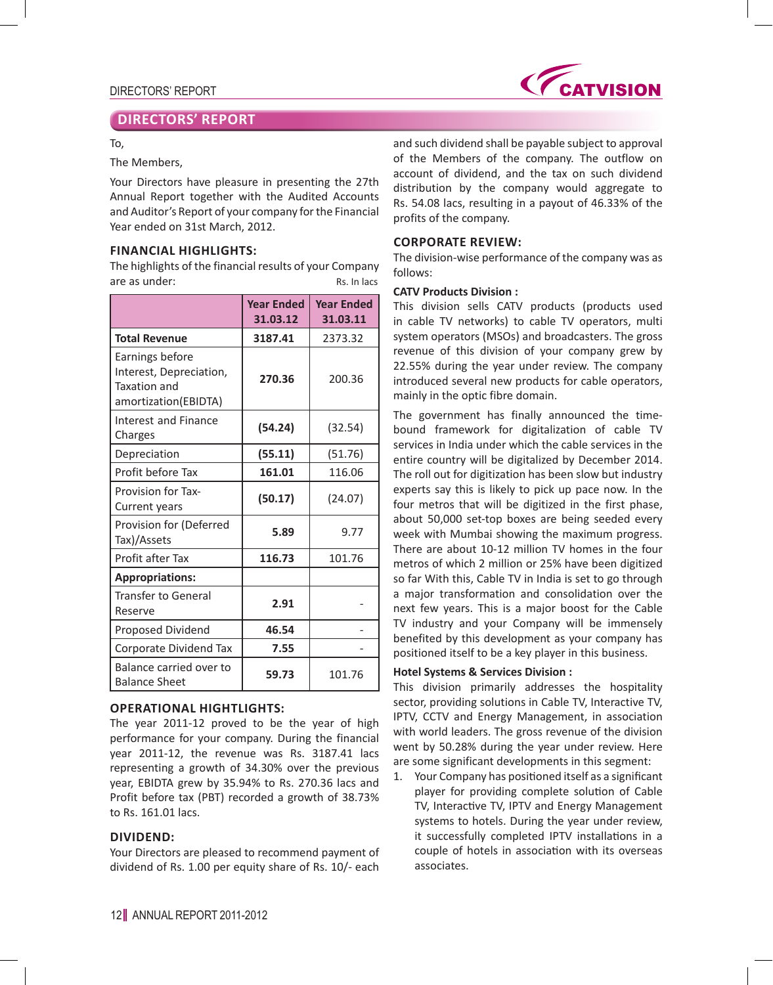

# **DIRECTORS' REPORT**

### To,

### The Members,

Your Directors have pleasure in presenting the 27th Annual Report together with the Audited Accounts and Auditor's Report of your company for the Financial Year ended on 31st March, 2012.

# **FINANCIAL HIGHLIGHTS:**

The highlights of the financial results of your Company are as under: The contract of the Rs. In lacs

|                                                                                           | <b>Year Ended</b><br>31.03.12 | <b>Year Ended</b><br>31.03.11 |
|-------------------------------------------------------------------------------------------|-------------------------------|-------------------------------|
| <b>Total Revenue</b>                                                                      | 3187.41                       | 2373.32                       |
| Earnings before<br>Interest, Depreciation,<br><b>Taxation and</b><br>amortization(EBIDTA) | 270.36                        | 200.36                        |
| Interest and Finance<br>Charges                                                           | (54.24)                       | (32.54)                       |
| Depreciation                                                                              | (55.11)                       | (51.76)                       |
| Profit before Tax                                                                         | 161.01                        | 116.06                        |
| <b>Provision for Tax-</b><br>Current years                                                | (50.17)                       | (24.07)                       |
| Provision for (Deferred<br>Tax)/Assets                                                    | 5.89                          | 9.77                          |
| Profit after Tax                                                                          | 116.73                        | 101.76                        |
| <b>Appropriations:</b>                                                                    |                               |                               |
| <b>Transfer to General</b><br>Reserve                                                     | 2.91                          |                               |
| Proposed Dividend                                                                         | 46.54                         |                               |
| Corporate Dividend Tax                                                                    | 7.55                          |                               |
| Balance carried over to<br><b>Balance Sheet</b>                                           | 59.73                         | 101.76                        |

### **OPERATIONAL HIGHTLIGHTS:**

The year 2011-12 proved to be the year of high performance for your company. During the financial year 2011-12, the revenue was Rs. 3187.41 lacs representing a growth of 34.30% over the previous year, EBIDTA grew by 35.94% to Rs. 270.36 lacs and Profit before tax (PBT) recorded a growth of 38.73% to Rs. 161.01 lacs.

### **DIVIDEND:**

Your Directors are pleased to recommend payment of dividend of Rs. 1.00 per equity share of Rs. 10/- each and such dividend shall be payable subject to approval of the Members of the company. The outflow on account of dividend, and the tax on such dividend distribution by the company would aggregate to Rs. 54.08 lacs, resulting in a payout of 46.33% of the profits of the company.

### **CORPORATE REVIEW:**

The division-wise performance of the company was as follows:

#### **CATV Products Division :**

This division sells CATV products (products used in cable TV networks) to cable TV operators, multi system operators (MSOs) and broadcasters. The gross revenue of this division of your company grew by 22.55% during the year under review. The company introduced several new products for cable operators, mainly in the optic fibre domain.

The government has finally announced the timebound framework for digitalization of cable TV services in India under which the cable services in the entire country will be digitalized by December 2014. The roll out for digitization has been slow but industry experts say this is likely to pick up pace now. In the four metros that will be digitized in the first phase, about 50,000 set-top boxes are being seeded every week with Mumbai showing the maximum progress. There are about 10-12 million TV homes in the four metros of which 2 million or 25% have been digitized so far With this, Cable TV in India is set to go through a major transformation and consolidation over the next few years. This is a major boost for the Cable TV industry and your Company will be immensely benefited by this development as your company has positioned itself to be a key player in this business.

#### **Hotel Systems & Services Division :**

This division primarily addresses the hospitality sector, providing solutions in Cable TV, Interactive TV, IPTV, CCTV and Energy Management, in association with world leaders. The gross revenue of the division went by 50.28% during the year under review. Here are some significant developments in this segment:

1. Your Company has positioned itself as a significant player for providing complete solution of Cable TV, Interactive TV, IPTV and Energy Management systems to hotels. During the year under review, it successfully completed IPTV installations in a couple of hotels in association with its overseas associates.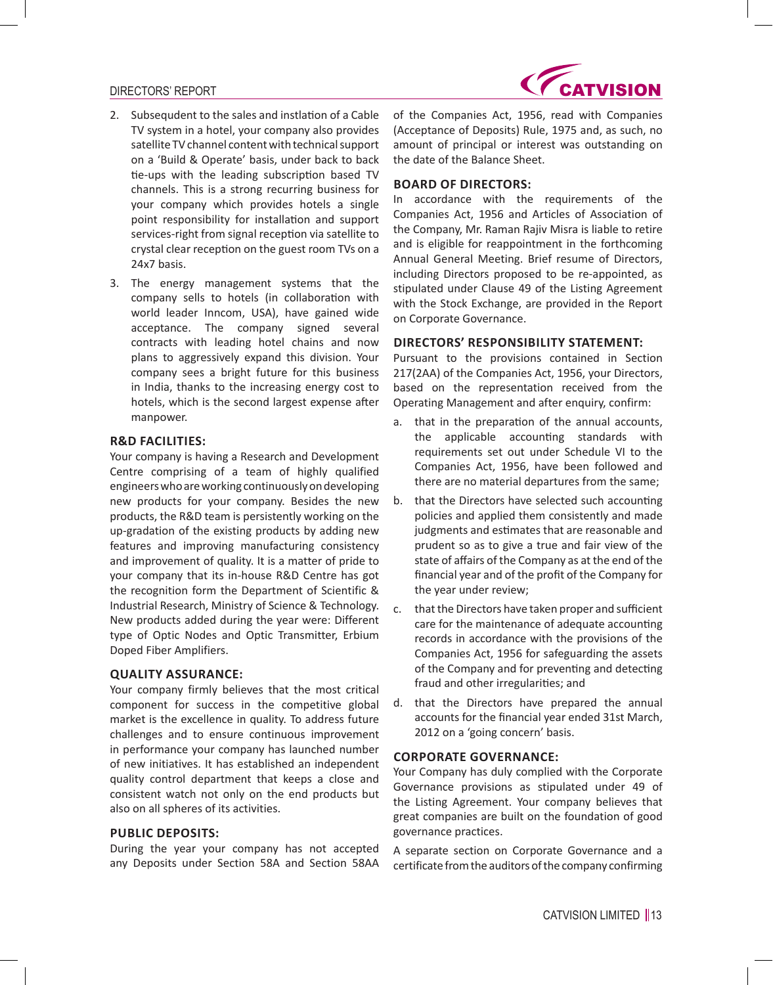### DIRECTORS' REPORT



- 2. Subsequdent to the sales and instlation of a Cable TV system in a hotel, your company also provides satellite TV channel content with technical support on a 'Build & Operate' basis, under back to back tie-ups with the leading subscription based TV channels. This is a strong recurring business for your company which provides hotels a single point responsibility for installation and support services-right from signal reception via satellite to crystal clear reception on the guest room TVs on a 24x7 basis.
- 3. The energy management systems that the company sells to hotels (in collaboration with world leader Inncom, USA), have gained wide acceptance. The company signed several contracts with leading hotel chains and now plans to aggressively expand this division. Your company sees a bright future for this business in India, thanks to the increasing energy cost to hotels, which is the second largest expense after manpower.

### **R&D FACILITIES:**

Your company is having a Research and Development Centre comprising of a team of highly qualified engineers who are working continuously on developing new products for your company. Besides the new products, the R&D team is persistently working on the up-gradation of the existing products by adding new features and improving manufacturing consistency and improvement of quality. It is a matter of pride to your company that its in-house R&D Centre has got the recognition form the Department of Scientific & Industrial Research, Ministry of Science & Technology. New products added during the year were: Different type of Optic Nodes and Optic Transmitter, Erbium Doped Fiber Amplifiers.

#### **QUALITY ASSURANCE:**

Your company firmly believes that the most critical component for success in the competitive global market is the excellence in quality. To address future challenges and to ensure continuous improvement in performance your company has launched number of new initiatives. It has established an independent quality control department that keeps a close and consistent watch not only on the end products but also on all spheres of its activities.

#### **PUBLIC DEPOSITS:**

During the year your company has not accepted any Deposits under Section 58A and Section 58AA of the Companies Act, 1956, read with Companies (Acceptance of Deposits) Rule, 1975 and, as such, no amount of principal or interest was outstanding on the date of the Balance Sheet.

### **BOARD OF DIRECTORS:**

In accordance with the requirements of the Companies Act, 1956 and Articles of Association of the Company, Mr. Raman Rajiv Misra is liable to retire and is eligible for reappointment in the forthcoming Annual General Meeting. Brief resume of Directors, including Directors proposed to be re-appointed, as stipulated under Clause 49 of the Listing Agreement with the Stock Exchange, are provided in the Report on Corporate Governance.

### **DIRECTORS' RESPONSIBILITY STATEMENT:**

Pursuant to the provisions contained in Section 217(2AA) of the Companies Act, 1956, your Directors, based on the representation received from the Operating Management and after enquiry, confirm:

- a. that in the preparation of the annual accounts, the applicable accounting standards with requirements set out under Schedule VI to the Companies Act, 1956, have been followed and there are no material departures from the same;
- b. that the Directors have selected such accounting policies and applied them consistently and made judgments and estimates that are reasonable and prudent so as to give a true and fair view of the state of affairs of the Company as at the end of the financial year and of the profit of the Company for the year under review;
- c. that the Directors have taken proper and sufficient care for the maintenance of adequate accounting records in accordance with the provisions of the Companies Act, 1956 for safeguarding the assets of the Company and for preventing and detecting fraud and other irregularities; and
- d. that the Directors have prepared the annual accounts for the financial year ended 31st March, 2012 on a 'going concern' basis.

### **CORPORATE GOVERNANCE:**

Your Company has duly complied with the Corporate Governance provisions as stipulated under 49 of the Listing Agreement. Your company believes that great companies are built on the foundation of good governance practices.

A separate section on Corporate Governance and a certificate from the auditors of the company confirming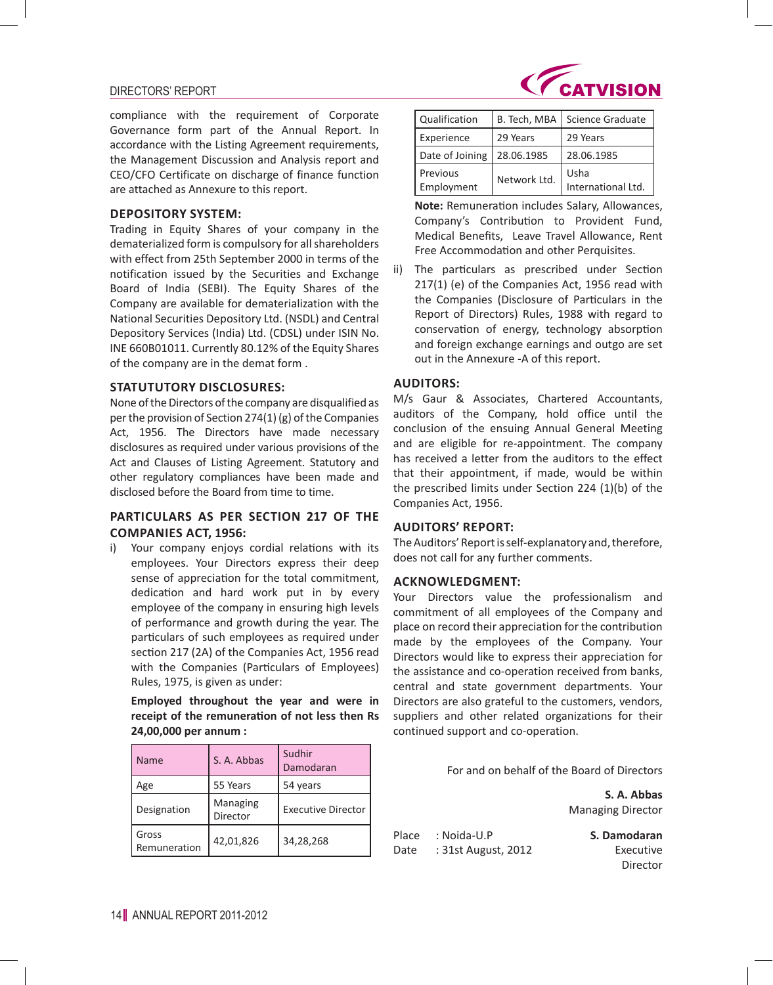### DIRECTORS' REPORT

compliance with the requirement of Corporate Governance form part of the Annual Report. In accordance with the Listing Agreement requirements, the Management Discussion and Analysis report and CEO/CFO Certificate on discharge of finance function are attached as Annexure to this report.

### **DEPOSITORY SYSTEM:**

Trading in Equity Shares of your company in the dematerialized form is compulsory for all shareholders with effect from 25th September 2000 in terms of the notification issued by the Securities and Exchange Board of India (SEBI). The Equity Shares of the Company are available for dematerialization with the National Securities Depository Ltd. (NSDL) and Central Depository Services (India) Ltd. (CDSL) under ISIN No. INE 660B01011. Currently 80.12% of the Equity Shares of the company are in the demat form .

# **STATUTUTORY DISCLOSURES:**

None of the Directors of the company are disqualified as per the provision of Section 274(1) (g) of the Companies Act, 1956. The Directors have made necessary disclosures as required under various provisions of the Act and Clauses of Listing Agreement. Statutory and other regulatory compliances have been made and disclosed before the Board from time to time.

# **PARTICULARS AS PER SECTION 217 OF THE COMPANIES ACT, 1956:**

i) Your company enjoys cordial relations with its employees. Your Directors express their deep sense of appreciation for the total commitment, dedication and hard work put in by every employee of the company in ensuring high levels of performance and growth during the year. The particulars of such employees as required under section 217 (2A) of the Companies Act, 1956 read with the Companies (Particulars of Employees) Rules, 1975, is given as under:

**Employed throughout the year and were in receipt of the remuneration of not less then Rs 24,00,000 per annum :** 

| Name                  | S. A. Abbas          | Sudhir<br>Damodaran       |
|-----------------------|----------------------|---------------------------|
| Age                   | 55 Years             | 54 years                  |
| Designation           | Managing<br>Director | <b>Executive Director</b> |
| Gross<br>Remuneration | 42,01,826            | 34,28,268                 |



| Qualification          | B. Tech, MBA | <b>Science Graduate</b>    |
|------------------------|--------------|----------------------------|
| Experience             | 29 Years     | 29 Years                   |
| Date of Joining        | 28.06.1985   | 28.06.1985                 |
| Previous<br>Employment | Network Ltd. | Usha<br>International Ltd. |

**Note:** Remuneration includes Salary, Allowances, Company's Contribution to Provident Fund, Medical Benefits, Leave Travel Allowance, Rent Free Accommodation and other Perquisites.

ii) The particulars as prescribed under Section 217(1) (e) of the Companies Act, 1956 read with the Companies (Disclosure of Particulars in the Report of Directors) Rules, 1988 with regard to conservation of energy, technology absorption and foreign exchange earnings and outgo are set out in the Annexure -A of this report.

### **AUDITORS:**

M/s Gaur & Associates, Chartered Accountants, auditors of the Company, hold office until the conclusion of the ensuing Annual General Meeting and are eligible for re-appointment. The company has received a letter from the auditors to the effect that their appointment, if made, would be within the prescribed limits under Section 224 (1)(b) of the Companies Act, 1956.

### **AUDITORS' REPORT:**

The Auditors' Report is self-explanatory and, therefore, does not call for any further comments.

### **ACKNOWLEDGMENT:**

Your Directors value the professionalism and commitment of all employees of the Company and place on record their appreciation for the contribution made by the employees of the Company. Your Directors would like to express their appreciation for the assistance and co-operation received from banks, central and state government departments. Your Directors are also grateful to the customers, vendors, suppliers and other related organizations for their continued support and co-operation.

For and on behalf of the Board of Directors

**S. A. Abbas** Managing Director

| Place | : Noida-U.P         | S. Damodaran |
|-------|---------------------|--------------|
| Date  | : 31st August, 2012 | Executive    |
|       |                     | Director     |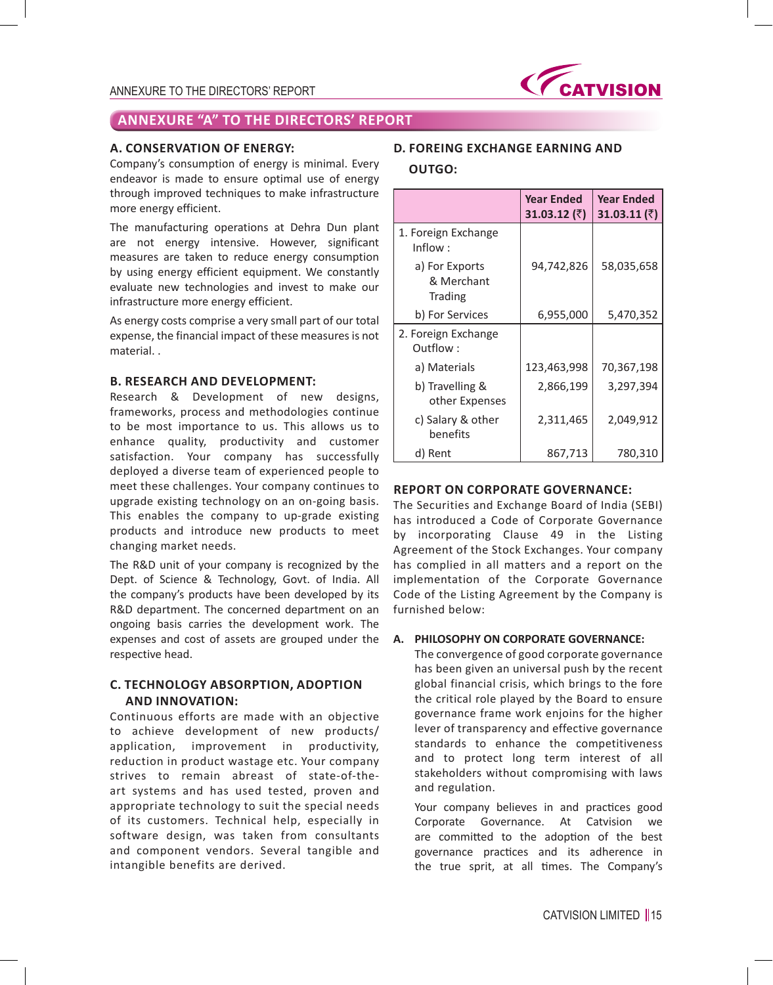

### **A. CONSERVATION OF ENERGY:**

Company's consumption of energy is minimal. Every endeavor is made to ensure optimal use of energy through improved techniques to make infrastructure more energy efficient.

The manufacturing operations at Dehra Dun plant are not energy intensive. However, significant measures are taken to reduce energy consumption by using energy efficient equipment. We constantly evaluate new technologies and invest to make our infrastructure more energy efficient.

As energy costs comprise a very small part of our total expense, the financial impact of these measures is not material. .

### **B. RESEARCH AND DEVELOPMENT:**

Research & Development of new designs, frameworks, process and methodologies continue to be most importance to us. This allows us to enhance quality, productivity and customer satisfaction. Your company has successfully deployed a diverse team of experienced people to meet these challenges. Your company continues to upgrade existing technology on an on-going basis. This enables the company to up-grade existing products and introduce new products to meet changing market needs.

The R&D unit of your company is recognized by the Dept. of Science & Technology, Govt. of India. All the company's products have been developed by its R&D department. The concerned department on an ongoing basis carries the development work. The expenses and cost of assets are grouped under the respective head.

# **C. TECHNOLOGY ABSORPTION, ADOPTION AND INNOVATION:**

Continuous efforts are made with an objective to achieve development of new products/ application, improvement in productivity, reduction in product wastage etc. Your company strives to remain abreast of state-of-theart systems and has used tested, proven and appropriate technology to suit the special needs of its customers. Technical help, especially in software design, was taken from consultants and component vendors. Several tangible and intangible benefits are derived.

### **D. FOREING EXCHANGE EARNING AND**

# **OUTGO:**

|                                                | <b>Year Ended</b><br>31.03.12 $($ ₹) | <b>Year Ended</b><br>31.03.11 (₹) |
|------------------------------------------------|--------------------------------------|-----------------------------------|
| 1. Foreign Exchange<br>Inflow:                 |                                      |                                   |
| a) For Exports<br>& Merchant<br><b>Trading</b> | 94,742,826                           | 58,035,658                        |
| b) For Services                                | 6,955,000                            | 5,470,352                         |
| 2. Foreign Exchange<br>Outflow :               |                                      |                                   |
| a) Materials                                   | 123,463,998                          | 70,367,198                        |
| b) Travelling &<br>other Expenses              | 2,866,199                            | 3,297,394                         |
| c) Salary & other<br>benefits                  | 2,311,465                            | 2,049,912                         |
| d) Rent                                        | 867,713                              | 780,310                           |

# **REPORT ON CORPORATE GOVERNANCE:**

The Securities and Exchange Board of India (SEBI) has introduced a Code of Corporate Governance by incorporating Clause 49 in the Listing Agreement of the Stock Exchanges. Your company has complied in all matters and a report on the implementation of the Corporate Governance Code of the Listing Agreement by the Company is furnished below:

#### **A. PHILOSOPHY ON CORPORATE GOVERNANCE:**

The convergence of good corporate governance has been given an universal push by the recent global financial crisis, which brings to the fore the critical role played by the Board to ensure governance frame work enjoins for the higher lever of transparency and effective governance standards to enhance the competitiveness and to protect long term interest of all stakeholders without compromising with laws and regulation.

 Your company believes in and practices good Corporate Governance. At Catvision we are committed to the adoption of the best governance practices and its adherence in the true sprit, at all times. The Company's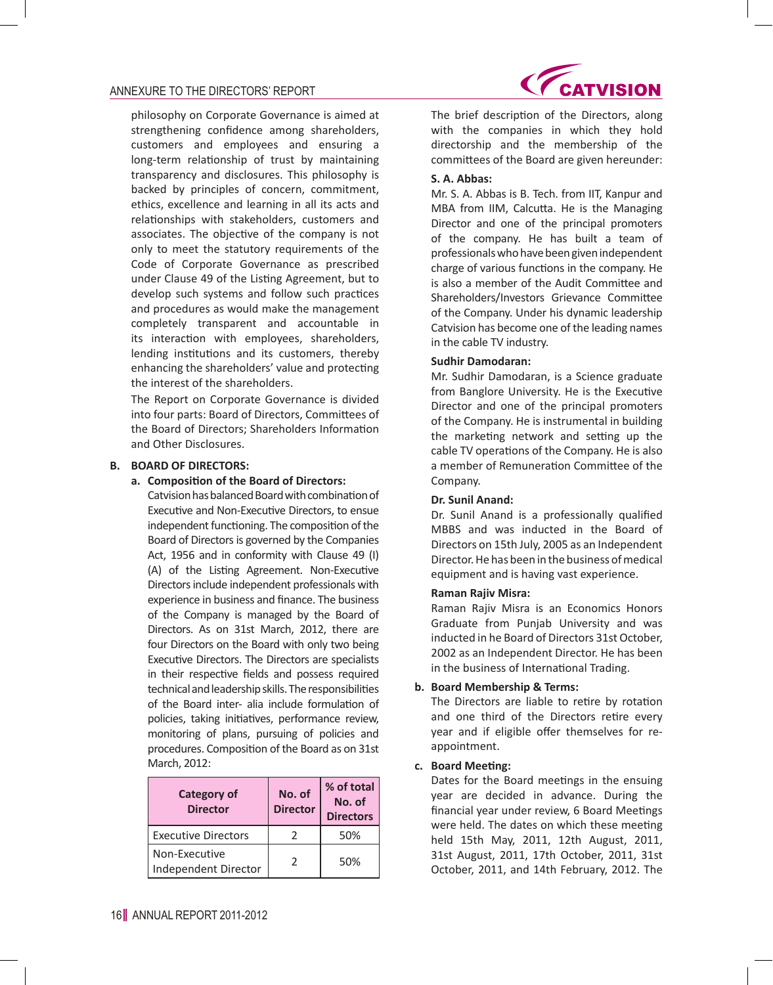philosophy on Corporate Governance is aimed at strengthening confidence among shareholders, customers and employees and ensuring a long-term relationship of trust by maintaining transparency and disclosures. This philosophy is backed by principles of concern, commitment, ethics, excellence and learning in all its acts and relationships with stakeholders, customers and associates. The objective of the company is not only to meet the statutory requirements of the Code of Corporate Governance as prescribed under Clause 49 of the Listing Agreement, but to develop such systems and follow such practices and procedures as would make the management completely transparent and accountable in its interaction with employees, shareholders, lending institutions and its customers, thereby enhancing the shareholders' value and protecting the interest of the shareholders.

The Report on Corporate Governance is divided into four parts: Board of Directors, Committees of the Board of Directors; Shareholders Information and Other Disclosures.

### **B. BOARD OF DIRECTORS:**

### **a. Composition of the Board of Directors:**

Catvision has balanced Board with combination of Executive and Non-Executive Directors, to ensue independent functioning. The composition of the Board of Directors is governed by the Companies Act, 1956 and in conformity with Clause 49 (I) (A) of the Listing Agreement. Non-Executive Directors include independent professionals with experience in business and finance. The business of the Company is managed by the Board of Directors. As on 31st March, 2012, there are four Directors on the Board with only two being Executive Directors. The Directors are specialists in their respective fields and possess required technical and leadership skills. The responsibilities of the Board inter- alia include formulation of policies, taking initiatives, performance review, monitoring of plans, pursuing of policies and procedures. Composition of the Board as on 31st March, 2012:

| Category of<br><b>Director</b>        | No. of<br><b>Director</b> | % of total<br>No. of<br><b>Directors</b> |
|---------------------------------------|---------------------------|------------------------------------------|
| <b>Executive Directors</b>            |                           | 50%                                      |
| Non-Executive<br>Independent Director | $\mathcal{L}$             | 50%                                      |



 The brief description of the Directors, along with the companies in which they hold directorship and the membership of the committees of the Board are given hereunder:

### **S. A. Abbas:**

 Mr. S. A. Abbas is B. Tech. from IIT, Kanpur and MBA from IIM, Calcutta. He is the Managing Director and one of the principal promoters of the company. He has built a team of professionals who have been given independent charge of various functions in the company. He is also a member of the Audit Committee and Shareholders/Investors Grievance Committee of the Company. Under his dynamic leadership Catvision has become one of the leading names in the cable TV industry.

### **Sudhir Damodaran:**

 Mr. Sudhir Damodaran, is a Science graduate from Banglore University. He is the Executive Director and one of the principal promoters of the Company. He is instrumental in building the marketing network and setting up the cable TV operations of the Company. He is also a member of Remuneration Committee of the Company.

#### **Dr. Sunil Anand:**

 Dr. Sunil Anand is a professionally qualified MBBS and was inducted in the Board of Directors on 15th July, 2005 as an Independent Director. He has been in the business of medical equipment and is having vast experience.

#### **Raman Rajiv Misra:**

 Raman Rajiv Misra is an Economics Honors Graduate from Punjab University and was inducted in he Board of Directors 31st October, 2002 as an Independent Director. He has been in the business of International Trading.

#### **b. Board Membership & Terms:**

 The Directors are liable to retire by rotation and one third of the Directors retire every year and if eligible offer themselves for reappointment.

#### **c. Board Meeting:**

 Dates for the Board meetings in the ensuing year are decided in advance. During the financial year under review, 6 Board Meetings were held. The dates on which these meeting held 15th May, 2011, 12th August, 2011, 31st August, 2011, 17th October, 2011, 31st October, 2011, and 14th February, 2012. The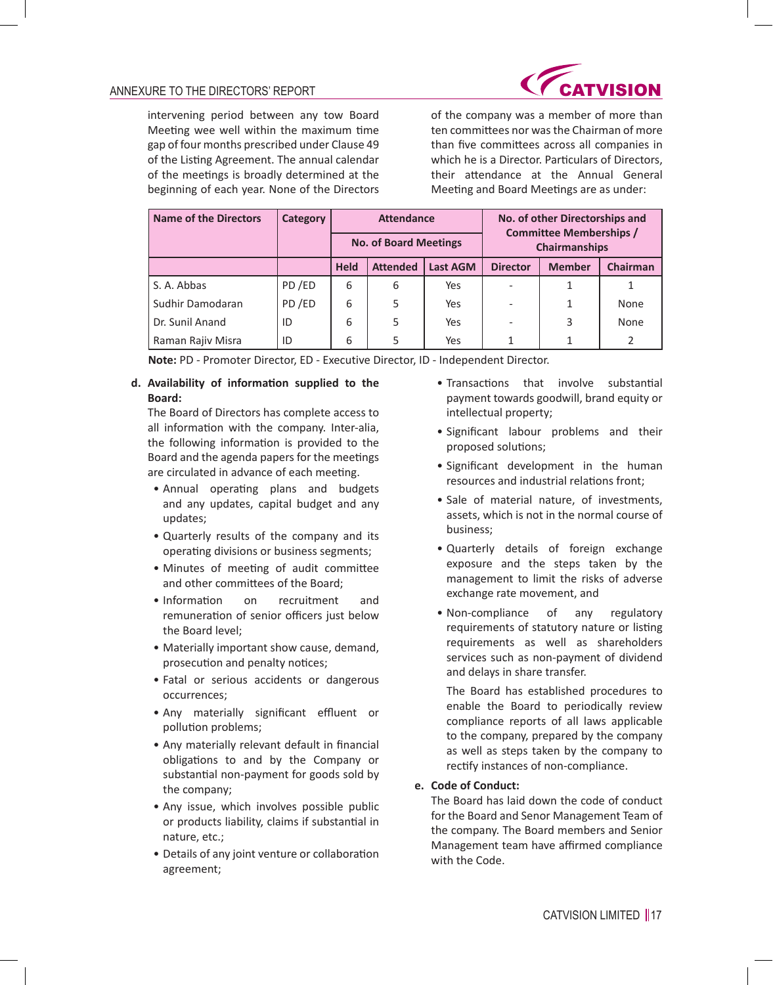

intervening period between any tow Board Meeting wee well within the maximum time gap of four months prescribed under Clause 49 of the Listing Agreement. The annual calendar of the meetings is broadly determined at the beginning of each year. None of the Directors of the company was a member of more than ten committees nor wasthe Chairman of more than five committees across all companies in which he is a Director. Particulars of Directors, their attendance at the Annual General Meeting and Board Meetings are as under:

| <b>Name of the Directors</b> | Category | <b>Attendance</b>            |                 |                 |                 | No. of other Directorships and<br><b>Committee Memberships /</b> |          |
|------------------------------|----------|------------------------------|-----------------|-----------------|-----------------|------------------------------------------------------------------|----------|
|                              |          | <b>No. of Board Meetings</b> |                 |                 |                 | Chairmanships                                                    |          |
|                              |          | <b>Held</b>                  | <b>Attended</b> | <b>Last AGM</b> | <b>Director</b> | <b>Member</b>                                                    | Chairman |
| S. A. Abbas                  | PD/ED    | 6                            | 6               | Yes             |                 |                                                                  |          |
| Sudhir Damodaran             | PD/ED    | 6                            | 5               | Yes             |                 | 1                                                                | None     |
| Dr. Sunil Anand              | ID       | 6                            | 5               | Yes             |                 | 3                                                                | None     |
| Raman Rajiv Misra            | ID       | 6                            | 5               | Yes             |                 |                                                                  |          |

**Note:** PD - Promoter Director, ED - Executive Director, ID - Independent Director.

## **d. Availability of information supplied to the Board:**

 The Board of Directors has complete access to all information with the company. Inter-alia, the following information is provided to the Board and the agenda papers for the meetings are circulated in advance of each meeting.

- Annual operating plans and budgets and any updates, capital budget and any updates;
- • Quarterly results of the company and its operating divisions or business segments;
- • Minutes of meeting of audit committee and other committees of the Board;
- • Information on recruitment and remuneration of senior officers just below the Board level;
- Materially important show cause, demand, prosecution and penalty notices;
- Fatal or serious accidents or dangerous occurrences;
- • Any materially significant effluent or pollution problems;
- Any materially relevant default in financial obligations to and by the Company or substantial non-payment for goods sold by the company;
- Any issue, which involves possible public or products liability, claims if substantial in nature, etc.;
- Details of any joint venture or collaboration agreement;
- • Transactions that involve substantial payment towards goodwill, brand equity or intellectual property;
- • Significant labour problems and their proposed solutions;
- • Significant development in the human resources and industrial relations front;
- • Sale of material nature, of investments, assets, which is not in the normal course of business;
- • Quarterly details of foreign exchange exposure and the steps taken by the management to limit the risks of adverse exchange rate movement, and
- Non-compliance of any regulatory requirements of statutory nature or listing requirements as well as shareholders services such as non-payment of dividend and delays in share transfer.

 The Board has established procedures to enable the Board to periodically review compliance reports of all laws applicable to the company, prepared by the company as well as steps taken by the company to rectify instances of non-compliance.

# **e. Code of Conduct:**

 The Board has laid down the code of conduct for the Board and Senor Management Team of the company. The Board members and Senior Management team have affirmed compliance with the Code.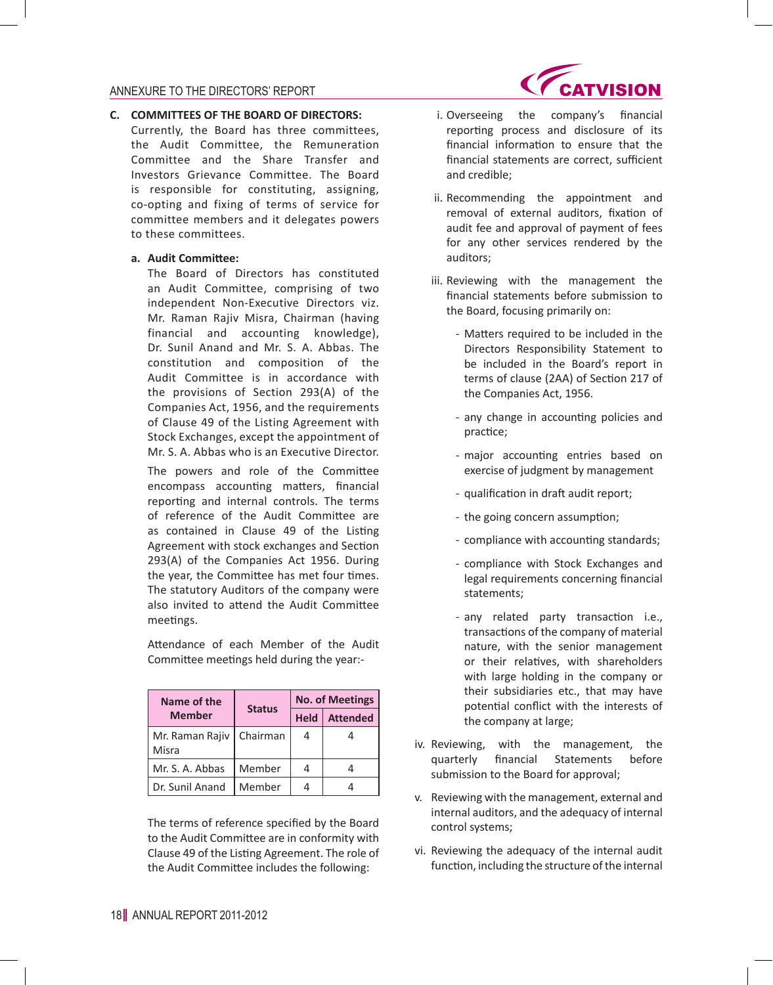### **C. COMMITTEES OF THE BOARD OF DIRECTORS:**

Currently, the Board has three committees, the Audit Committee, the Remuneration Committee and the Share Transfer and Investors Grievance Committee. The Board is responsible for constituting, assigning, co-opting and fixing of terms of service for committee members and it delegates powers to these committees.

#### **a. Audit Committee:**

 The Board of Directors has constituted an Audit Committee, comprising of two independent Non-Executive Directors viz. Mr. Raman Rajiv Misra, Chairman (having financial and accounting knowledge), Dr. Sunil Anand and Mr. S. A. Abbas. The constitution and composition of the Audit Committee is in accordance with the provisions of Section 293(A) of the Companies Act, 1956, and the requirements of Clause 49 of the Listing Agreement with Stock Exchanges, except the appointment of Mr. S. A. Abbas who is an Executive Director.

 The powers and role of the Committee encompass accounting matters, financial reporting and internal controls. The terms of reference of the Audit Committee are as contained in Clause 49 of the Listing Agreement with stock exchanges and Section 293(A) of the Companies Act 1956. During the year, the Committee has met four times. The statutory Auditors of the company were also invited to attend the Audit Committee meetings.

 Attendance of each Member of the Audit Committee meetings held during the year:-

| Name of the              | <b>Status</b> |             | <b>No. of Meetings</b> |
|--------------------------|---------------|-------------|------------------------|
| <b>Member</b>            |               | <b>Held</b> | <b>Attended</b>        |
| Mr. Raman Rajiv<br>Misra | Chairman      |             |                        |
| Mr. S. A. Abbas          | Member        |             |                        |
| Dr. Sunil Anand          | Member        |             |                        |

 The terms of reference specified by the Board to the Audit Committee are in conformity with Clause 49 of the Listing Agreement. The role of the Audit Committee includes the following:



- i. Overseeing the company's financial reporting process and disclosure of its financial information to ensure that the financial statements are correct, sufficient and credible;
- ii. Recommending the appointment and removal of external auditors, fixation of audit fee and approval of payment of fees for any other services rendered by the auditors;
- iii. Reviewing with the management the financial statements before submission to the Board, focusing primarily on:
	- Matters required to be included in the Directors Responsibility Statement to be included in the Board's report in terms of clause (2AA) of Section 217 of the Companies Act, 1956.
	- any change in accounting policies and practice;
	- major accounting entries based on exercise of judgment by management
	- qualification in draft audit report;
	- the going concern assumption;
	- compliance with accounting standards;
	- compliance with Stock Exchanges and legal requirements concerning financial statements;
	- any related party transaction i.e., transactions of the company of material nature, with the senior management or their relatives, with shareholders with large holding in the company or their subsidiaries etc., that may have potential conflict with the interests of the company at large;
- iv. Reviewing, with the management, the quarterly financial Statements before submission to the Board for approval;
- v. Reviewing with the management, external and internal auditors, and the adequacy of internal control systems;
- vi. Reviewing the adequacy of the internal audit function, including the structure of the internal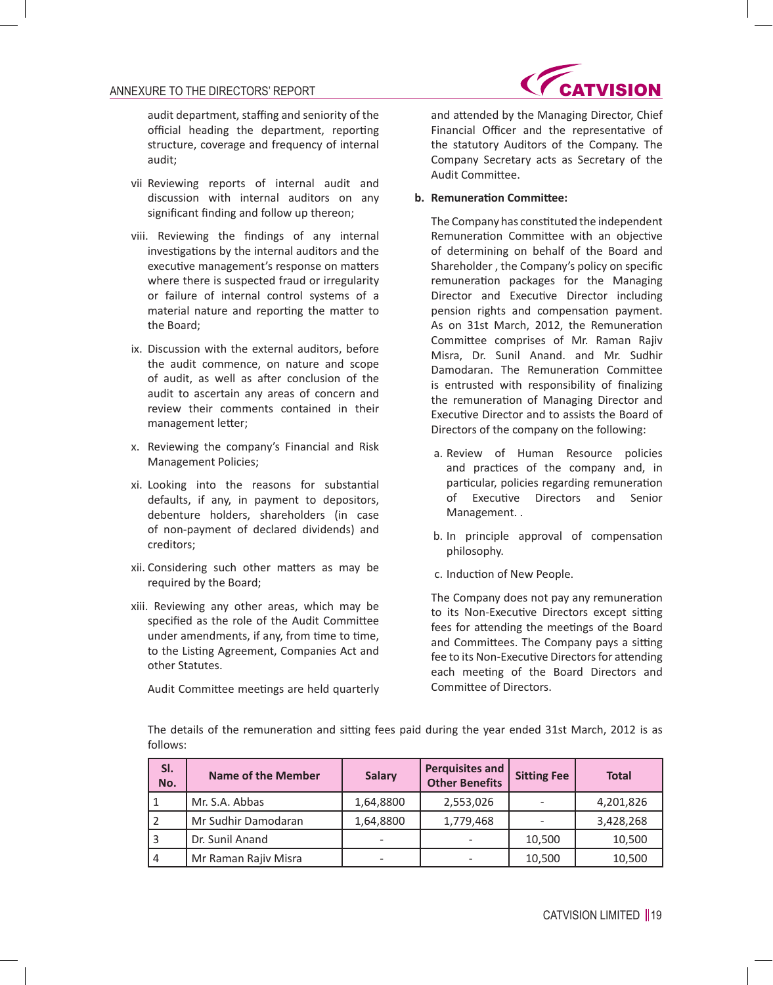

audit department, staffing and seniority of the official heading the department, reporting structure, coverage and frequency of internal audit;

- vii Reviewing reports of internal audit and discussion with internal auditors on any significant finding and follow up thereon;
- viii. Reviewing the findings of any internal investigations by the internal auditors and the executive management's response on matters where there is suspected fraud or irregularity or failure of internal control systems of a material nature and reporting the matter to the Board;
- ix. Discussion with the external auditors, before the audit commence, on nature and scope of audit, as well as after conclusion of the audit to ascertain any areas of concern and review their comments contained in their management letter;
- x. Reviewing the company's Financial and Risk Management Policies;
- xi. Looking into the reasons for substantial defaults, if any, in payment to depositors, debenture holders, shareholders (in case of non-payment of declared dividends) and creditors;
- xii. Considering such other matters as may be required by the Board;
- xiii. Reviewing any other areas, which may be specified as the role of the Audit Committee under amendments, if any, from time to time, to the Listing Agreement, Companies Act and other Statutes.

 Audit Committee meetings are held quarterly

and attended by the Managing Director, Chief Financial Officer and the representative of the statutory Auditors of the Company. The Company Secretary acts as Secretary of the Audit Committee.

### **b. Remuneration Committee:**

 The Company has constituted the independent Remuneration Committee with an objective of determining on behalf of the Board and Shareholder , the Company's policy on specific remuneration packages for the Managing Director and Executive Director including pension rights and compensation payment. As on 31st March, 2012, the Remuneration Committee comprises of Mr. Raman Rajiv Misra, Dr. Sunil Anand. and Mr. Sudhir Damodaran. The Remuneration Committee is entrusted with responsibility of finalizing the remuneration of Managing Director and Executive Director and to assists the Board of Directors of the company on the following:

- a. Review of Human Resource policies and practices of the company and, in particular, policies regarding remuneration of Executive Directors and Senior Management. .
- b. In principle approval of compensation philosophy.
- c. Induction of New People.

 The Company does not pay any remuneration to its Non-Executive Directors except sitting fees for attending the meetings of the Board and Committees. The Company pays a sitting fee to its Non-Executive Directors for attending each meeting of the Board Directors and Committee of Directors.

 The details of the remuneration and sitting fees paid during the year ended 31st March, 2012 is as follows:

| SI.<br>No. | <b>Name of the Member</b> | <b>Salary</b> | <b>Perquisites and</b><br><b>Other Benefits</b> | <b>Sitting Fee</b> | <b>Total</b> |
|------------|---------------------------|---------------|-------------------------------------------------|--------------------|--------------|
|            | Mr. S.A. Abbas            | 1,64,8800     | 2,553,026                                       |                    | 4,201,826    |
|            | Mr Sudhir Damodaran       | 1,64,8800     | 1,779,468                                       |                    | 3,428,268    |
|            | Dr. Sunil Anand           |               |                                                 | 10,500             | 10,500       |
| 4          | Mr Raman Rajiv Misra      |               |                                                 | 10,500             | 10,500       |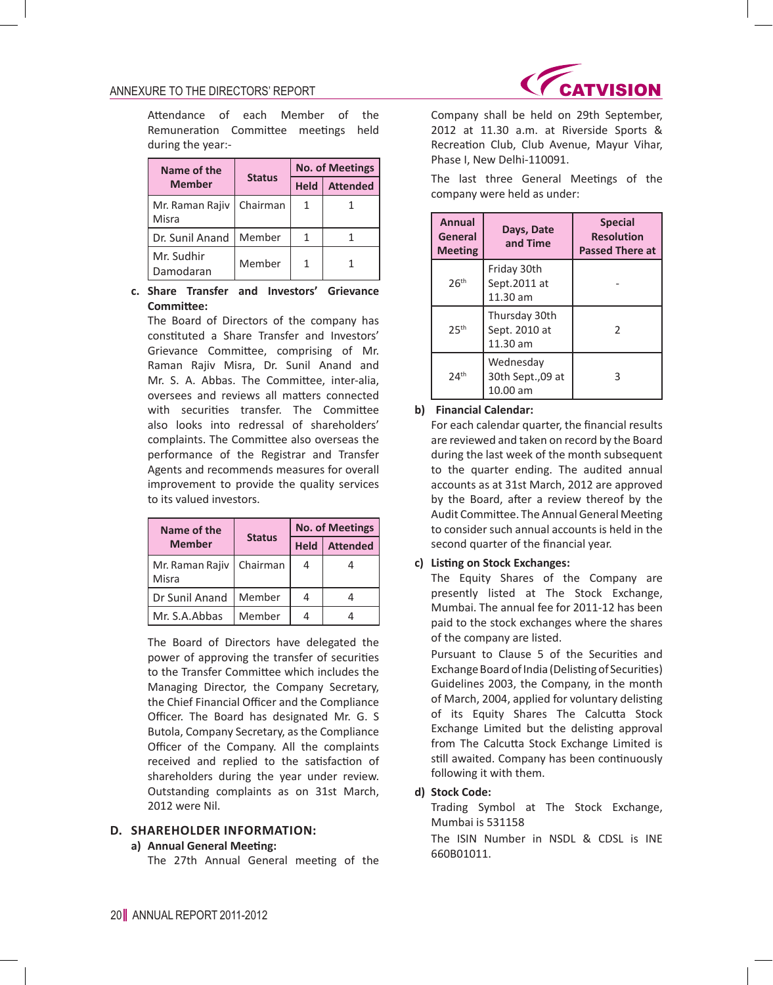

 Attendance of each Member of the Remuneration Committee meetings held during the year:-

| Name of the              | <b>Status</b> |             | <b>No. of Meetings</b> |
|--------------------------|---------------|-------------|------------------------|
| <b>Member</b>            |               | <b>Held</b> | <b>Attended</b>        |
| Mr. Raman Rajiv<br>Misra | Chairman      |             |                        |
| Dr. Sunil Anand          | Member        |             |                        |
| Mr. Sudhir<br>Damodaran  | Member        |             |                        |

## **c. Share Transfer and Investors' Grievance Committee:**

 The Board of Directors of the company has constituted a Share Transfer and Investors' Grievance Committee, comprising of Mr. Raman Rajiv Misra, Dr. Sunil Anand and Mr. S. A. Abbas. The Committee, inter-alia, oversees and reviews all matters connected with securities transfer. The Committee also looks into redressal of shareholders' complaints. The Committee also overseas the performance of the Registrar and Transfer Agents and recommends measures for overall improvement to provide the quality services to its valued investors.

| Name of the              |               | <b>No. of Meetings</b> |                 |
|--------------------------|---------------|------------------------|-----------------|
| <b>Member</b>            | <b>Status</b> | <b>Held</b>            | <b>Attended</b> |
| Mr. Raman Rajiv<br>Misra | Chairman      | 4                      |                 |
| Dr Sunil Anand           | Member        |                        |                 |
| Mr. S.A.Abbas            | Member        |                        |                 |

 The Board of Directors have delegated the power of approving the transfer of securities to the Transfer Committee which includes the Managing Director, the Company Secretary, the Chief Financial Officer and the Compliance Officer. The Board has designated Mr. G. S Butola, Company Secretary, as the Compliance Officer of the Company. All the complaints received and replied to the satisfaction of shareholders during the year under review. Outstanding complaints as on 31st March, 2012 were Nil.

# **D. SHAREHOLDER INFORMATION:**

# **a) Annual General Meeting:**

 The 27th Annual General meeting of the

Company shall be held on 29th September, 2012 at 11.30 a.m. at Riverside Sports & Recreation Club, Club Avenue, Mayur Vihar, Phase I, New Delhi-110091.

 The last three General Meetings of the company were held as under:

| Annual<br>General<br><b>Meeting</b> | Days, Date<br>and Time                       | <b>Special</b><br><b>Resolution</b><br><b>Passed There at</b> |
|-------------------------------------|----------------------------------------------|---------------------------------------------------------------|
| 26 <sup>th</sup>                    | Friday 30th<br>Sept.2011 at<br>$11.30$ am    |                                                               |
| 25 <sup>th</sup>                    | Thursday 30th<br>Sept. 2010 at<br>$11.30$ am | $\mathcal{P}$                                                 |
| 24 <sup>th</sup>                    | Wednesday<br>30th Sept.,09 at<br>10.00 am    |                                                               |

## **b) Financial Calendar:**

 For each calendar quarter, the financial results are reviewed and taken on record by the Board during the last week of the month subsequent to the quarter ending. The audited annual accounts as at 31st March, 2012 are approved by the Board, after a review thereof by the Audit Committee. The AnnualGeneral Meeting to consider such annual accounts is held in the second quarter of the financial year.

# **c) Listing on Stock Exchanges:**

 The Equity Shares of the Company are presently listed at The Stock Exchange, Mumbai. The annual fee for 2011-12 has been paid to the stock exchanges where the shares of the company are listed.

 Pursuant to Clause 5 of the Securities and Exchange Board of India (Delisting of Securities) Guidelines 2003, the Company, in the month of March, 2004, applied for voluntary delisting of its Equity Shares The Calcutta Stock Exchange Limited but the delisting approval from The Calcutta Stock Exchange Limited is still awaited. Company has been continuously following it with them.

# **d) Stock Code:**

 Trading Symbol at The Stock Exchange, Mumbai is 531158

 The ISIN Number in NSDL & CDSL is INE 660B01011.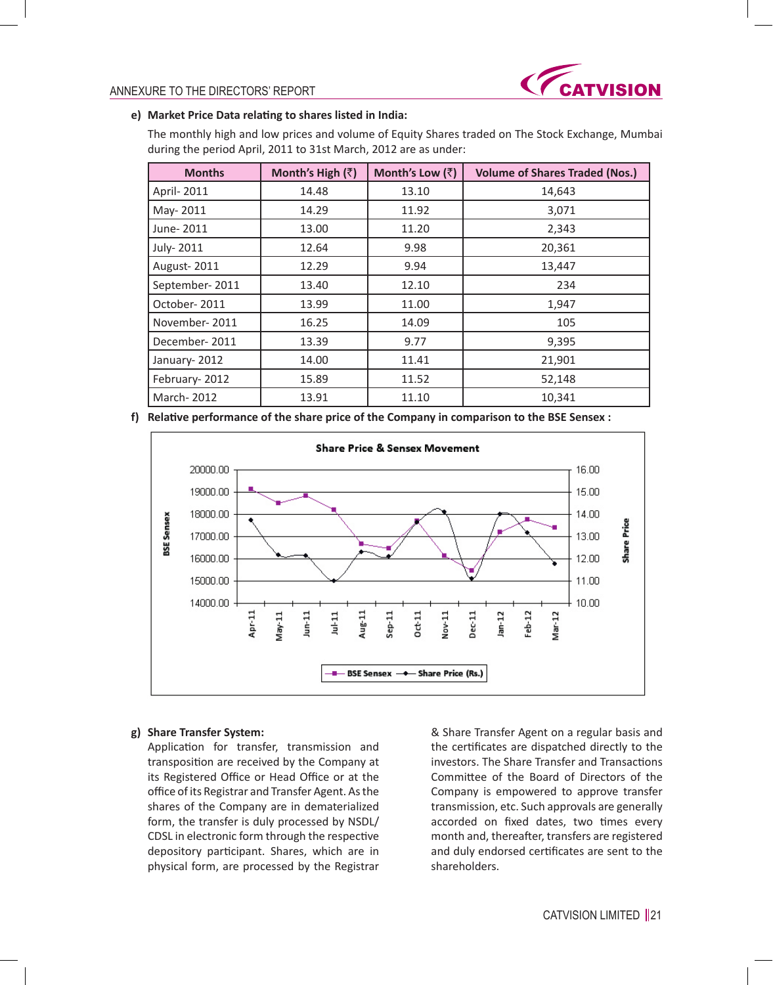

### **e) Market Price Data relating to shares listed in India:**

 The monthly high and low prices and volume of Equity Shares traded on The Stock Exchange, Mumbai during the period April, 2011 to 31st March, 2012 are as under:

| <b>Months</b>  | Month's High $(\bar{z})$ | Month's Low (₹) | <b>Volume of Shares Traded (Nos.)</b> |
|----------------|--------------------------|-----------------|---------------------------------------|
| April-2011     | 14.48                    | 13.10           | 14,643                                |
| May-2011       | 14.29                    | 11.92           | 3,071                                 |
| June-2011      | 13.00                    | 11.20           | 2,343                                 |
| July-2011      | 12.64                    | 9.98            | 20,361                                |
| August-2011    | 12.29                    | 9.94            | 13,447                                |
| September-2011 | 13.40                    | 12.10           | 234                                   |
| October-2011   | 13.99                    | 11.00           | 1,947                                 |
| November-2011  | 16.25                    | 14.09           | 105                                   |
| December-2011  | 13.39                    | 9.77            | 9,395                                 |
| January-2012   | 14.00                    | 11.41           | 21,901                                |
| February-2012  | 15.89                    | 11.52           | 52,148                                |
| March-2012     | 13.91                    | 11.10           | 10,341                                |

**f) Relative performance of the share price of the Company in comparison to the BSE Sensex :**



# **g) Share Transfer System:**

 Application for transfer, transmission and transposition are received by the Company at its Registered Office or Head Office or at the office of its Registrar and Transfer Agent. Asthe shares of the Company are in dematerialized form, the transfer is duly processed by NSDL/ CDSL in electronic form through the respective depository participant. Shares, which are in physical form, are processed by the Registrar

& Share Transfer Agent on a regular basis and the certificates are dispatched directly to the investors. The Share Transfer and Transactions Committee of the Board of Directors of the Company is empowered to approve transfer transmission, etc. Such approvals are generally accorded on fixed dates, two times every month and, thereafter, transfers are registered and duly endorsed certificates are sent to the shareholders.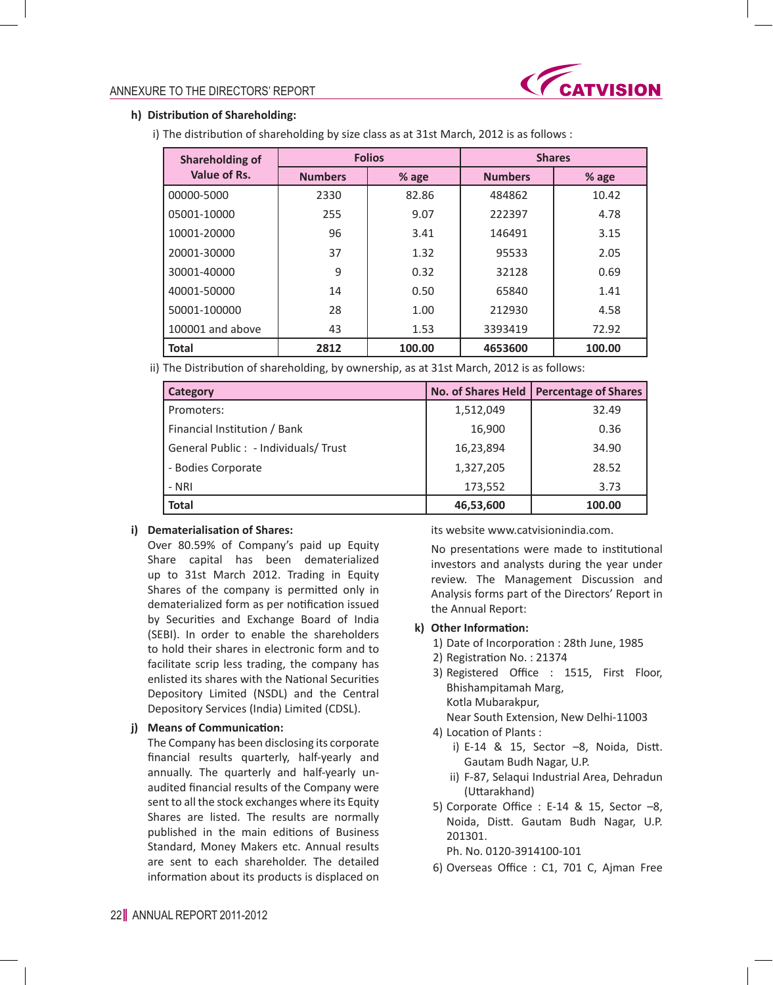

# **h) Distribution of Shareholding:**

i) The distribution of shareholding by size class as at 31st March, 2012 is as follows :

| <b>Shareholding of</b> | <b>Folios</b>  |        |                | <b>Shares</b> |  |
|------------------------|----------------|--------|----------------|---------------|--|
| Value of Rs.           | <b>Numbers</b> | % age  | <b>Numbers</b> | % age         |  |
| 00000-5000             | 2330           | 82.86  | 484862         | 10.42         |  |
| 05001-10000            | 255            | 9.07   | 222397         | 4.78          |  |
| 10001-20000            | 96             | 3.41   | 146491         | 3.15          |  |
| 20001-30000            | 37             | 1.32   | 95533          | 2.05          |  |
| 30001-40000            | 9              | 0.32   | 32128          | 0.69          |  |
| 40001-50000            | 14             | 0.50   | 65840          | 1.41          |  |
| 50001-100000           | 28             | 1.00   | 212930         | 4.58          |  |
| 100001 and above       | 43             | 1.53   | 3393419        | 72.92         |  |
| Total                  | 2812           | 100.00 | 4653600        | 100.00        |  |

ii) The Distribution of shareholding, by ownership, as at 31st March, 2012 is as follows:

| Category                             |           | No. of Shares Held   Percentage of Shares |
|--------------------------------------|-----------|-------------------------------------------|
| Promoters:                           | 1,512,049 | 32.49                                     |
| Financial Institution / Bank         | 16,900    | 0.36                                      |
| General Public : - Individuals/Trust | 16,23,894 | 34.90                                     |
| - Bodies Corporate                   | 1,327,205 | 28.52                                     |
| - NRI                                | 173,552   | 3.73                                      |
| <b>Total</b>                         | 46,53,600 | 100.00                                    |

### **i) Dematerialisation of Shares:**

 Over 80.59% of Company's paid up Equity Share capital has been dematerialized up to 31st March 2012. Trading in Equity Shares of the company is permitted only in dematerialized form as per notification issued by Securities and Exchange Board of India (SEBI). In order to enable the shareholders to hold their shares in electronic form and to facilitate scrip less trading, the company has enlisted its shares with the National Securities Depository Limited (NSDL) and the Central Depository Services (India) Limited (CDSL).

### **j) Means of Communication:**

 The Company has been disclosing its corporate financial results quarterly, half-yearly and annually. The quarterly and half-yearly unaudited financial results of the Company were sent to all the stock exchanges where its Equity Shares are listed. The results are normally published in the main editions of Business Standard, Money Makers etc. Annual results are sent to each shareholder. The detailed information about its products is displaced on its website www.catvisionindia.com.

 No presentations were made to institutional investors and analysts during the year under review. The Management Discussion and Analysis forms part of the Directors' Report in the Annual Report:

#### **k) Other Information:**

- 1) Date of Incorporation : 28th June, 1985
- 2) Registration No.: 21374
- 3) Registered Office : 1515, First Floor, Bhishampitamah Marg, Kotla Mubarakpur, Near South Extension, New Delhi-11003
- 4) Location of Plants :
	- i) E-14 & 15, Sector  $-8$ , Noida, Distt. Gautam Budh Nagar, U.P.
	- ii) F-87, Selaqui Industrial Area, Dehradun (Uttarakhand)
- 5) Corporate Office : E-14 & 15, Sector  $-8$ , Noida, Distt. Gautam Budh Nagar, U.P. 201301.
	- Ph. No. 0120-3914100-101
- 6) Overseas Office : C1, 701 C, Ajman Free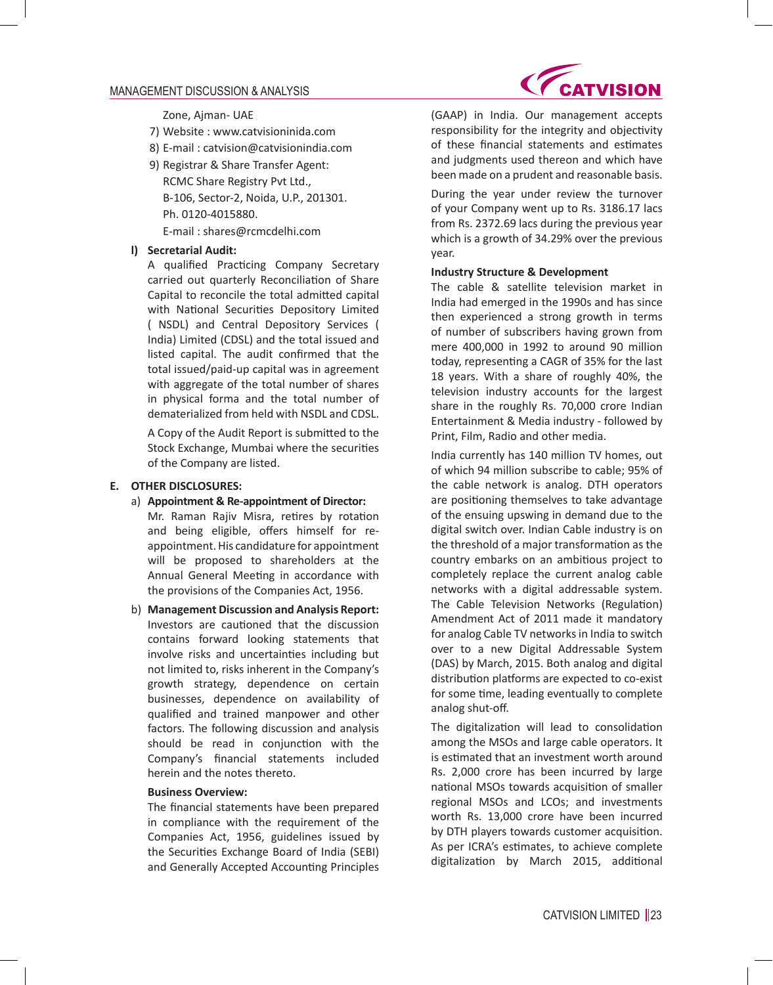### MANAGEMENT DISCUSSION & ANALYSIS

Zone, Ajman- UAE

- 7) Website : www.catvisioninida.com
- 8) E-mail : catvision@catvisionindia.com
- 9) Registrar & Share Transfer Agent: RCMC Share Registry Pvt Ltd., B-106, Sector-2, Noida, U.P., 201301. Ph. 0120-4015880. E-mail : shares@rcmcdelhi.com

#### **l) Secretarial Audit:**

 A qualified Practicing Company Secretary carried out quarterly Reconciliation of Share Capital to reconcile the total admitted capital with National Securities Depository Limited ( NSDL) and Central Depository Services ( India) Limited (CDSL) and the total issued and listed capital. The audit confirmed that the total issued/paid-up capital was in agreement with aggregate of the total number of shares in physical forma and the total number of dematerialized from held with NSDL and CDSL.

 A Copy of the Audit Report is submitted to the Stock Exchange, Mumbai where the securities of the Company are listed.

#### **E. OTHER DISCLOSURES:**

- a) **Appointment & Re-appointment of Director:** Mr. Raman Rajiv Misra, retires by rotation and being eligible, offers himself for reappointment. His candidature for appointment will be proposed to shareholders at the Annual General Meeting in accordance with the provisions of the Companies Act, 1956.
- b) **Management Discussion and Analysis Report:** Investors are cautioned that the discussion contains forward looking statements that involve risks and uncertainties including but not limited to, risks inherent in the Company's growth strategy, dependence on certain businesses, dependence on availability of qualified and trained manpower and other factors. The following discussion and analysis should be read in conjunction with the Company's financial statements included herein and the notes thereto.

### **Business Overview:**

 The financial statements have been prepared in compliance with the requirement of the Companies Act, 1956, guidelines issued by the Securities Exchange Board of India (SEBI) and Generally Accepted Accounting Principles

**ATVISION** 

(GAAP) in India. Our management accepts responsibility for the integrity and objectivity of these financial statements and estimates and judgments used thereon and which have been made on a prudent and reasonable basis.

 During the year under review the turnover of your Company went up to Rs. 3186.17 lacs from Rs. 2372.69 lacs during the previous year which is a growth of 34.29% over the previous year.

#### **Industry Structure & Development**

 The cable & satellite television market in India had emerged in the 1990s and has since then experienced a strong growth in terms of number of subscribers having grown from mere 400,000 in 1992 to around 90 million today, representing a CAGR of 35% for the last 18 years. With a share of roughly 40%, the television industry accounts for the largest share in the roughly Rs. 70,000 crore Indian Entertainment & Media industry - followed by Print, Film, Radio and other media.

 India currently has 140 million TV homes, out of which 94 million subscribe to cable; 95% of the cable network is analog. DTH operators are positioning themselves to take advantage of the ensuing upswing in demand due to the digital switch over. Indian Cable industry is on the threshold of a major transformation as the country embarks on an ambitious project to completely replace the current analog cable networks with a digital addressable system. The Cable Television Networks (Regulation) Amendment Act of 2011 made it mandatory for analog Cable TV networks in India to switch over to a new Digital Addressable System (DAS) by March, 2015. Both analog and digital distribution platforms are expected to co-exist for some time, leading eventually to complete analog shut-off.

 The digitalization will lead to consolidation among the MSOs and large cable operators. It is estimated that an investment worth around Rs. 2,000 crore has been incurred by large national MSOs towards acquisition of smaller regional MSOs and LCOs; and investments worth Rs. 13,000 crore have been incurred by DTH players towards customer acquisition. As per ICRA's estimates, to achieve complete digitalization by March 2015, additional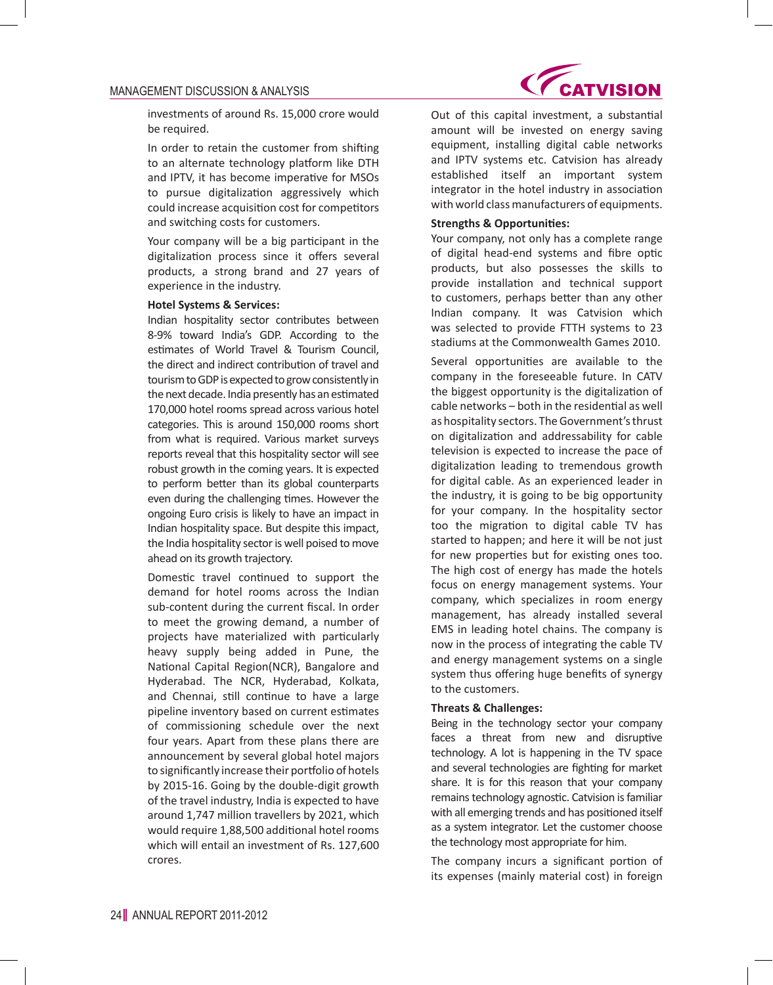#### MANAGEMENT DISCUSSION & ANALYSIS

investments of around Rs. 15,000 crore would be required.

 In order to retain the customer from shifting to an alternate technology platform like DTH and IPTV, it has become imperative for MSOs to pursue digitalization aggressively which could increase acquisition cost for competitors and switching costs for customers.

 Your company will be a big participant in the digitalization process since it offers several products, a strong brand and 27 years of experience in the industry.

#### **Hotel Systems & Services:**

 Indian hospitality sector contributes between 8-9% toward India's GDP. According to the estimates of World Travel & Tourism Council, the direct and indirect contribution of travel and tourism to GDP is expected to grow consistently in the next decade. India presently has an estimated 170,000 hotel rooms spread across various hotel categories. This is around 150,000 rooms short from what is required. Various market surveys reports reveal that this hospitality sector will see robust growth in the coming years. It is expected to perform better than its global counterparts even during the challenging times. However the ongoing Euro crisis is likely to have an impact in Indian hospitality space. But despite this impact, the India hospitality sector is well poised to move ahead on its growth trajectory.

 Domestic travel continued to support the demand for hotel rooms across the Indian sub-content during the current fiscal. In order to meet the growing demand, a number of projects have materialized with particularly heavy supply being added in Pune, the National Capital Region(NCR), Bangalore and Hyderabad. The NCR, Hyderabad, Kolkata, and Chennai, still continue to have a large pipeline inventory based on current estimates of commissioning schedule over the next four years. Apart from these plans there are announcement by several global hotel majors to significantly increase their portfolio of hotels by 2015-16. Going by the double-digit growth of the travel industry, India is expected to have around 1,747 million travellers by 2021, which would require 1,88,500 additional hotel rooms which will entail an investment of Rs. 127,600 crores.



 Out of this capital investment, a substantial amount will be invested on energy saving equipment, installing digital cable networks and IPTV systems etc. Catvision has already established itself an important system integrator in the hotel industry in association with world class manufacturers of equipments.

#### **Strengths & Opportunities:**

 Your company, not only has a complete range of digital head-end systems and fibre optic products, but also possesses the skills to provide installation and technical support to customers, perhaps better than any other Indian company. It was Catvision which was selected to provide FTTH systems to 23 stadiums at the Commonwealth Games 2010.

 Several opportunities are available to the company in the foreseeable future. In CATV the biggest opportunity is the digitalization of cable networks – both in the residential as well as hospitality sectors. The Government's thrust on digitalization and addressability for cable television is expected to increase the pace of digitalization leading to tremendous growth for digital cable. As an experienced leader in the industry, it is going to be big opportunity for your company. In the hospitality sector too the migration to digital cable TV has started to happen; and here it will be not just for new properties but for existing ones too. The high cost of energy has made the hotels focus on energy management systems. Your company, which specializes in room energy management, has already installed several EMS in leading hotel chains. The company is now in the process of integrating the cable TV and energy management systems on a single system thus offering huge benefits of synergy to the customers.

#### **Threats & Challenges:**

 Being in the technology sector your company faces a threat from new and disruptive technology. A lot is happening in the TV space and several technologies are fighting for market share. It is for this reason that your company remains technology agnostic. Catvision is familiar with all emerging trends and has positioned itself as a system integrator. Let the customer choose the technology most appropriate for him.

 The company incurs a significant portion of its expenses (mainly material cost) in foreign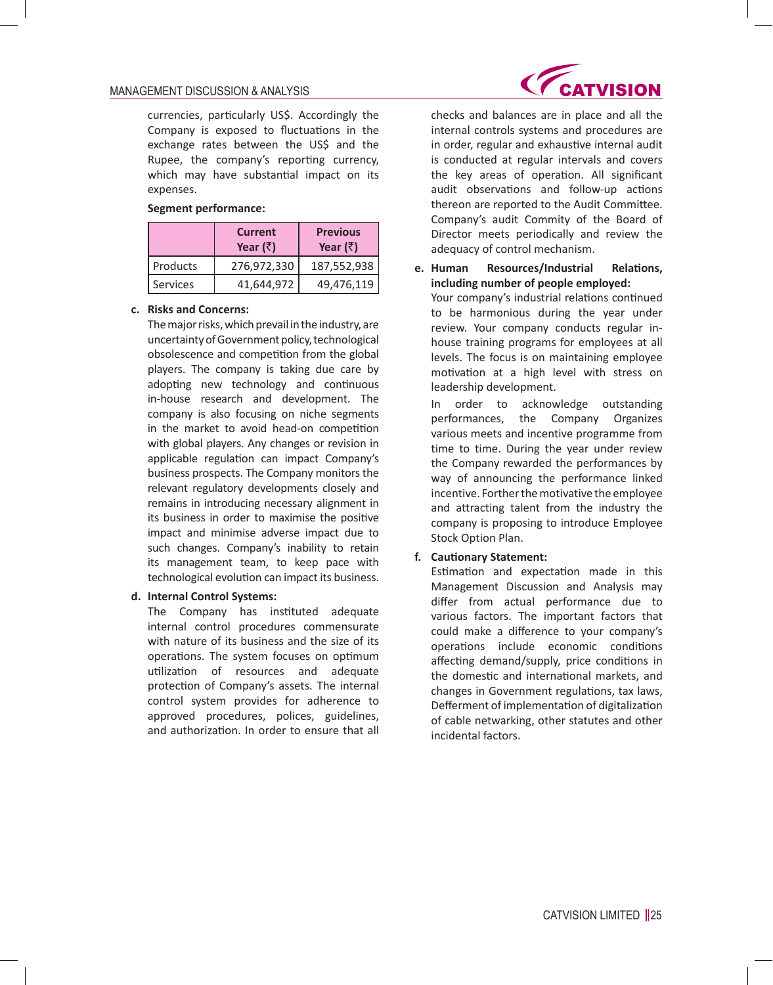### MANAGEMENT DISCUSSION & ANALYSIS

currencies, particularly US\$. Accordingly the Company is exposed to fluctuations in the exchange rates between the US\$ and the Rupee, the company's reporting currency, which may have substantial impact on its expenses.

### **Segment performance:**

|          | Current<br>Year $(\bar{z})$ | <b>Previous</b><br>Year $(\bar{z})$ |
|----------|-----------------------------|-------------------------------------|
| Products | 276,972,330                 | 187,552,938                         |
| Services | 41,644,972                  | 49,476,119                          |

### **c. Risks and Concerns:**

 The major risks, which prevail in the industry, are uncertainty of Government policy, technological obsolescence and competition from the global players. The company is taking due care by adopting new technology and continuous in-house research and development. The company is also focusing on niche segments in the market to avoid head-on competition with global players. Any changes or revision in applicable regulation can impact Company's business prospects. The Company monitors the relevant regulatory developments closely and remains in introducing necessary alignment in its business in order to maximise the positive impact and minimise adverse impact due to such changes. Company's inability to retain its management team, to keep pace with technological evolution can impact its business.

### **d. Internal Control Systems:**

 The Company has instituted adequate internal control procedures commensurate with nature of its business and the size of its operations. The system focuses on optimum utilization of resources and adequate protection of Company's assets. The internal control system provides for adherence to approved procedures, polices, guidelines, and authorization. In order to ensure that all



checks and balances are in place and all the internal controls systems and procedures are in order, regular and exhaustive internal audit is conducted at regular intervals and covers the key areas of operation. All significant audit observations and follow-up actions thereon are reported to the Audit Committee. Company's audit Commity of the Board of Director meets periodically and review the adequacy of control mechanism.

**e. Human Resources/Industrial Relations, including number of people employed:**

 Your company's industrial relations continued to be harmonious during the year under review. Your company conducts regular inhouse training programs for employees at all levels. The focus is on maintaining employee motivation at a high level with stress on leadership development.

 In order to acknowledge outstanding performances, the Company Organizes various meets and incentive programme from time to time. During the year under review the Company rewarded the performances by way of announcing the performance linked incentive. Forther the motivative the employee and attracting talent from the industry the company is proposing to introduce Employee Stock Option Plan.

### **f. Cautionary Statement:**

 Estimation and expectation made in this Management Discussion and Analysis may differ from actual performance due to various factors. The important factors that could make a difference to your company's operations include economic conditions affecting demand/supply, price conditions in the domestic and international markets, and changes in Government regulations, tax laws, Defferment of implementation of digitalization of cable netwarking, other statutes and other incidental factors.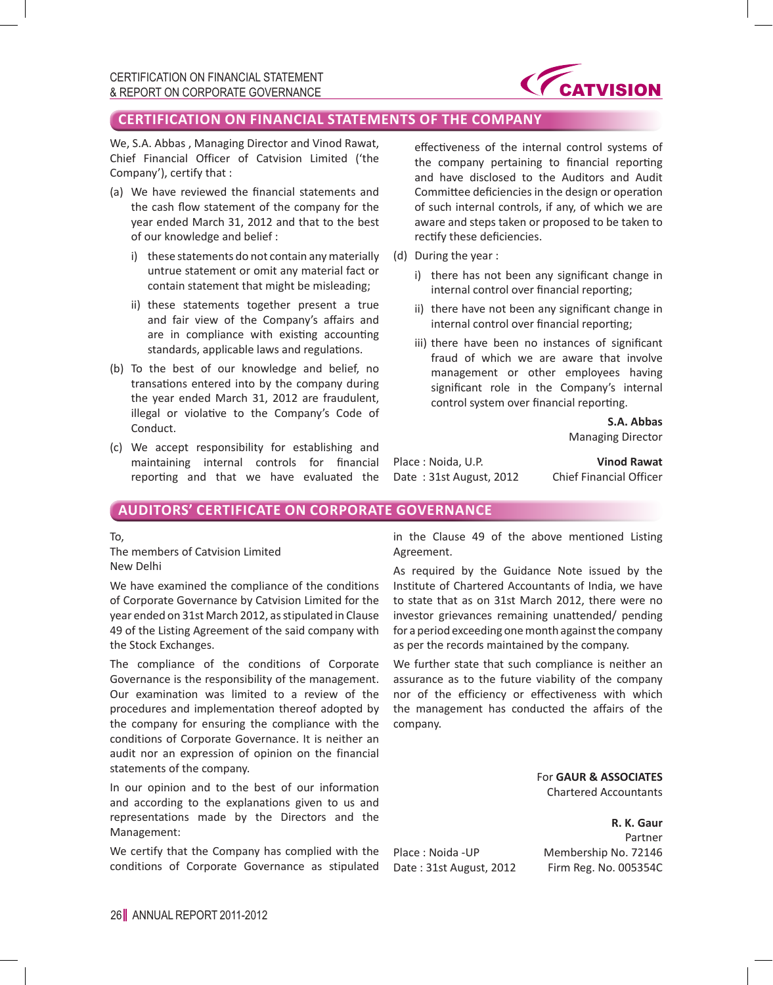

# **CERTIFICATION ON FINANCIAL STATEMENTS OF THE COMPANY**

We, S.A. Abbas , Managing Director and Vinod Rawat, Chief Financial Officer of Catvision Limited ('the Company'), certify that :

- (a) We have reviewed the financial statements and the cash flow statement of the company for the year ended March 31, 2012 and that to the best of our knowledge and belief :
	- i) these statements do not contain any materially untrue statement or omit any material fact or contain statement that might be misleading;
	- ii) these statements together present a true and fair view of the Company's affairs and are in compliance with existing accounting standards, applicable laws and regulations.
- (b) To the best of our knowledge and belief, no transations entered into by the company during the year ended March 31, 2012 are fraudulent, illegal or violative to the Company's Code of Conduct.
- (c) We accept responsibility for establishing and maintaining internal controls for financial reporting and that we have evaluated the

effectiveness of the internal control systems of the company pertaining to financial reporting and have disclosed to the Auditors and Audit Committee deficiencies in the design or operation of such internal controls, if any, of which we are aware and steps taken or proposed to be taken to rectify these deficiencies.

- (d) During the year :
	- i) there has not been any significant change in internal control over financial reporting;
	- ii) there have not been any significant change in internal control over financial reporting;
	- iii) there have been no instances of significant fraud of which we are aware that involve management or other employees having significant role in the Company's internal control system over financial reporting.

**S.A. Abbas** Managing Director

Place : Noida, U.P. **Vinod Rawat** Date : 31st August, 2012 Chief Financial Officer

# **AUDITORS' CERTIFICATE ON CORPORATE GOVERNANCE**

To,

The members of Catvision Limited New Delhi

We have examined the compliance of the conditions of Corporate Governance by Catvision Limited for the year ended on 31st March 2012, as stipulated in Clause 49 of the Listing Agreement of the said company with the Stock Exchanges.

The compliance of the conditions of Corporate Governance is the responsibility of the management. Our examination was limited to a review of the procedures and implementation thereof adopted by the company for ensuring the compliance with the conditions of Corporate Governance. It is neither an audit nor an expression of opinion on the financial statements of the company.

In our opinion and to the best of our information and according to the explanations given to us and representations made by the Directors and the Management:

We certify that the Company has complied with the conditions of Corporate Governance as stipulated

in the Clause 49 of the above mentioned Listing Agreement.

As required by the Guidance Note issued by the Institute of Chartered Accountants of India, we have to state that as on 31st March 2012, there were no investor grievances remaining unattended/ pending for a period exceeding one month against the company as per the records maintained by the company.

We further state that such compliance is neither an assurance as to the future viability of the company nor of the efficiency or effectiveness with which the management has conducted the affairs of the company.

> For **GAUR & ASSOCIATES** Chartered Accountants

Place : Noida -UP Membership No. 72146 Date : 31st August, 2012 Firm Reg. No. 005354C

**R. K. Gaur** Partner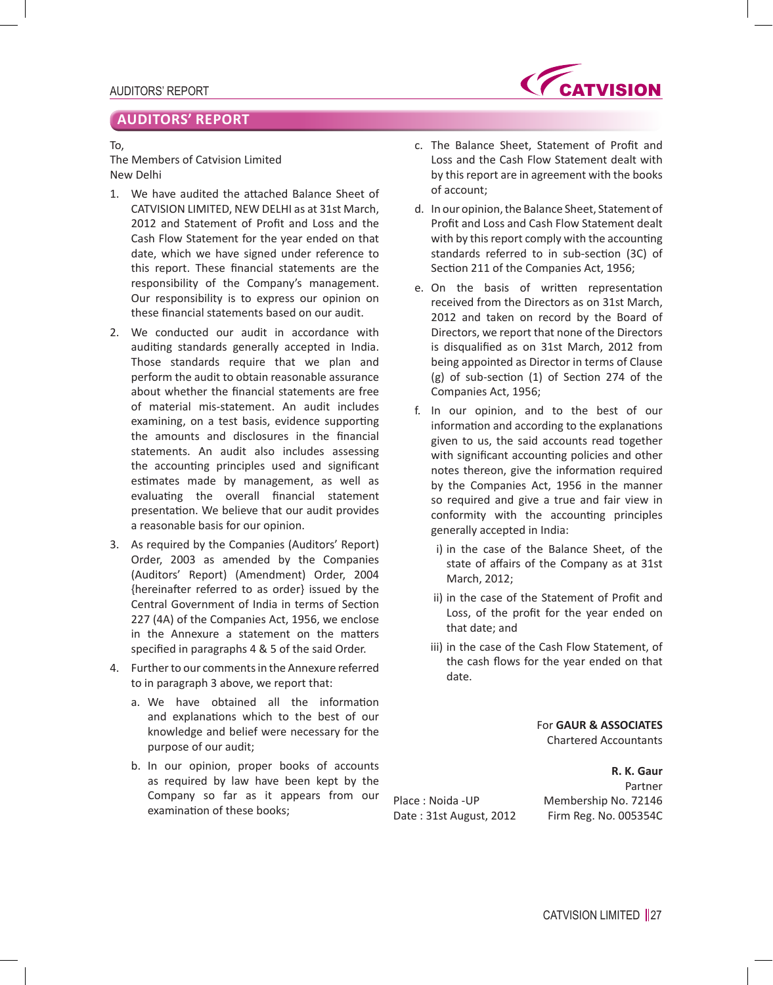# **AUDITORS' REPORT**

#### To,

The Members of Catvision Limited New Delhi

- 1. We have audited the attached Balance Sheet of CATVISION LIMITED, NEW DELHI as at 31st March, 2012 and Statement of Profit and Loss and the Cash Flow Statement for the year ended on that date, which we have signed under reference to this report. These financial statements are the responsibility of the Company's management. Our responsibility is to express our opinion on these financial statements based on our audit.
- 2. We conducted our audit in accordance with auditing standards generally accepted in India. Those standards require that we plan and perform the audit to obtain reasonable assurance about whether the financial statements are free of material mis-statement. An audit includes examining, on a test basis, evidence supporting the amounts and disclosures in the financial statements. An audit also includes assessing the accounting principles used and significant estimates made by management, as well as evaluating the overall financial statement presentation. We believe that our audit provides a reasonable basis for our opinion.
- 3. As required by the Companies (Auditors' Report) Order, 2003 as amended by the Companies (Auditors' Report) (Amendment) Order, 2004 {hereinafter referred to as order} issued by the Central Government of India in terms of Section 227 (4A) of the Companies Act, 1956, we enclose in the Annexure a statement on the matters specified in paragraphs 4 & 5 of the said Order.
- 4. Further to our comments in the Annexure referred to in paragraph 3 above, we report that:
	- a. We have obtained all the information and explanations which to the best of our knowledge and belief were necessary for the purpose of our audit;
	- b. In our opinion, proper books of accounts as required by law have been kept by the Company so far as it appears from our examination of these books;
- c. The Balance Sheet, Statement of Profit and Loss and the Cash Flow Statement dealt with by this report are in agreement with the books of account;
- d. In our opinion, the Balance Sheet, Statement of Profit and Loss and Cash Flow Statement dealt with by this report comply with the accounting standards referred to in sub-section (3C) of Section 211 of the Companies Act, 1956;
- e. On the basis of written representation received from the Directors as on 31st March, 2012 and taken on record by the Board of Directors, we report that none of the Directors is disqualified as on 31st March, 2012 from being appointed as Director in terms of Clause (g) of sub-section (1) of Section 274 of the Companies Act, 1956;
- f. In our opinion, and to the best of our information and according to the explanations given to us, the said accounts read together with significant accounting policies and other notes thereon, give the information required by the Companies Act, 1956 in the manner so required and give a true and fair view in conformity with the accounting principles generally accepted in India:
	- i) in the case of the Balance Sheet, of the state of affairs of the Company as at 31st March, 2012;
	- ii) in the case of the Statement of Profit and Loss, of the profit for the year ended on that date; and
	- iii) in the case of the Cash Flow Statement, of the cash flows for the year ended on that date.

For **GAUR & ASSOCIATES** Chartered Accountants

**R. K. Gaur** Partner Place : Noida -UP Membership No. 72146 Date : 31st August, 2012 Firm Reg. No. 005354C

CATVISION LIMITED ||27

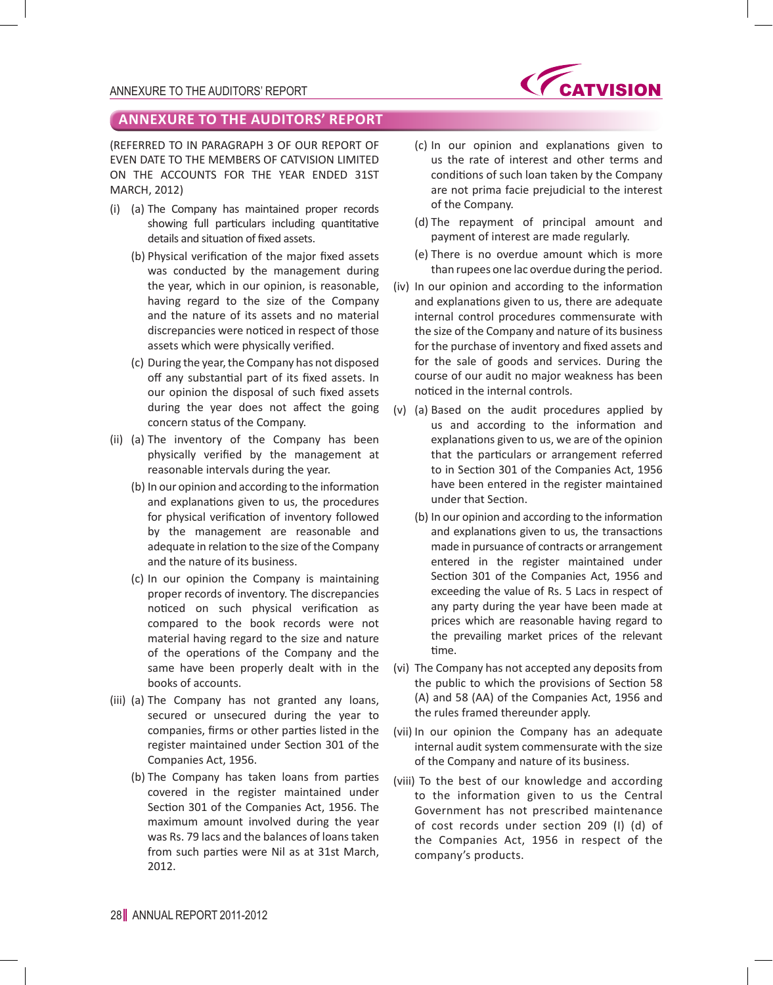

(REFERRED TO IN PARAGRAPH 3 OF OUR REPORT OF EVEN DATE TO THE MEMBERS OF CATVISION LIMITED ON THE ACCOUNTS FOR THE YEAR ENDED 31ST MARCH, 2012)

- (i) (a) The Company has maintained proper records showing full particulars including quantitative details and situation of fixed assets.
	- (b) Physical verification of the major fixed assets was conducted by the management during the year, which in our opinion, is reasonable, having regard to the size of the Company and the nature of its assets and no material discrepancies were noticed in respect of those assets which were physically verified.
	- (c) During the year, the Company has not disposed off any substantial part of its fixed assets. In our opinion the disposal of such fixed assets during the year does not affect the going concern status of the Company.
- (ii) (a) The inventory of the Company has been physically verified by the management at reasonable intervals during the year.
	- (b) In our opinion and according to the information and explanations given to us, the procedures for physical verification of inventory followed by the management are reasonable and adequate in relation to the size of the Company and the nature of its business.
	- (c) In our opinion the Company is maintaining proper records of inventory. The discrepancies noticed on such physical verification as compared to the book records were not material having regard to the size and nature of the operations of the Company and the same have been properly dealt with in the books of accounts.
- (iii) (a) The Company has not granted any loans, secured or unsecured during the year to companies, firms or other parties listed in the register maintained under Section 301 of the Companies Act, 1956.
	- (b) The Company has taken loans from parties covered in the register maintained under Section 301 of the Companies Act, 1956. The maximum amount involved during the year was Rs. 79 lacs and the balances of loans taken from such parties were Nil as at 31st March, 2012.
- (c) In our opinion and explanations given to us the rate of interest and other terms and conditions of such loan taken by the Company are not prima facie prejudicial to the interest of the Company.
- (d) The repayment of principal amount and payment of interest are made regularly.
- (e) There is no overdue amount which is more than rupees one lac overdue during the period.
- (iv) In our opinion and according to the information and explanations given to us, there are adequate internal control procedures commensurate with the size of the Company and nature of its business for the purchase of inventory and fixed assets and for the sale of goods and services. During the course of our audit no major weakness has been noticed in the internal controls.
- (v) (a) Based on the audit procedures applied by us and according to the information and explanations given to us, we are of the opinion that the particulars or arrangement referred to in Section 301 of the Companies Act, 1956 have been entered in the register maintained under that Section.
	- (b) In our opinion and according to the information and explanations given to us, the transactions made in pursuance of contracts or arrangement entered in the register maintained under Section 301 of the Companies Act, 1956 and exceeding the value of Rs. 5 Lacs in respect of any party during the year have been made at prices which are reasonable having regard to the prevailing market prices of the relevant time.
- (vi) The Company has not accepted any deposits from the public to which the provisions of Section 58 (A) and 58 (AA) of the Companies Act, 1956 and the rules framed thereunder apply.
- (vii) In our opinion the Company has an adequate internal audit system commensurate with the size of the Company and nature of its business.
- (viii) To the best of our knowledge and according to the information given to us the Central Government has not prescribed maintenance of cost records under section 209 (I) (d) of the Companies Act, 1956 in respect of the company's products.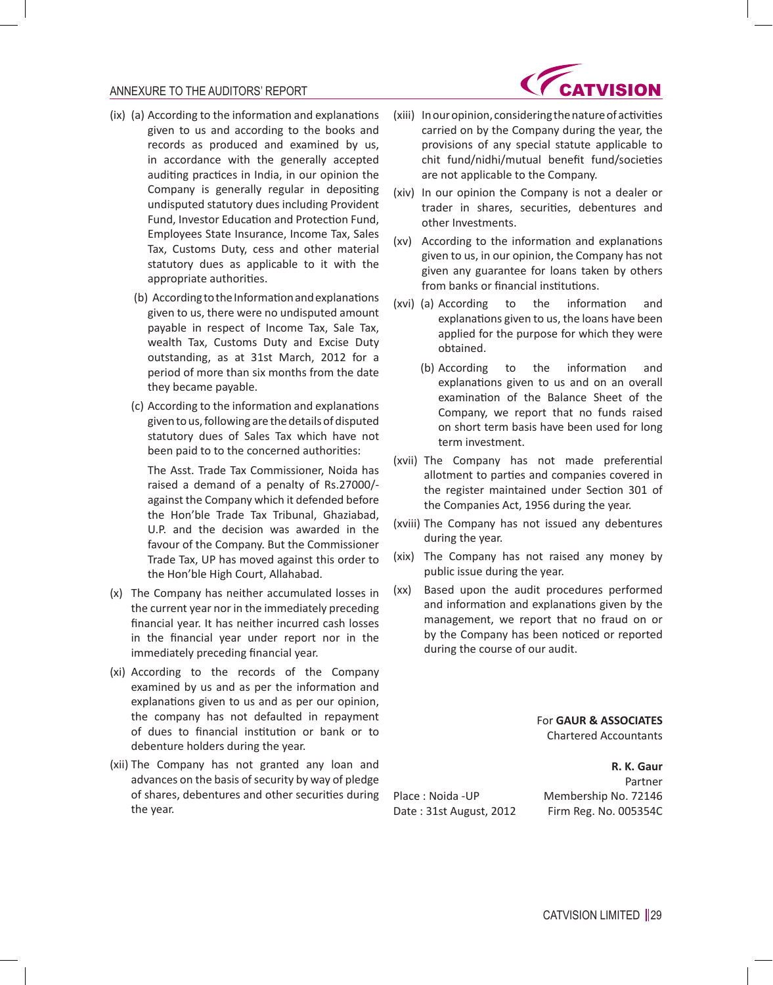

- (ix) (a) According to the information and explanations given to us and according to the books and records as produced and examined by us, in accordance with the generally accepted auditing practices in India, in our opinion the Company is generally regular in depositing undisputed statutory dues including Provident Fund, Investor Education and Protection Fund, Employees State Insurance, Income Tax, Sales Tax, Customs Duty, cess and other material statutory dues as applicable to it with the appropriate authorities.
	- (b) According to the Information and explanations given to us, there were no undisputed amount payable in respect of Income Tax, Sale Tax, wealth Tax, Customs Duty and Excise Duty outstanding, as at 31st March, 2012 for a period of more than six months from the date they became payable.
	- (c) According to the information and explanations given to us, following are the details of disputed statutory dues of Sales Tax which have not been paid to to the concerned authorities:

 The Asst. Trade Tax Commissioner, Noida has raised a demand of a penalty of Rs.27000/ against the Company which it defended before the Hon'ble Trade Tax Tribunal, Ghaziabad, U.P. and the decision was awarded in the favour of the Company. But the Commissioner Trade Tax, UP has moved against this order to the Hon'ble High Court, Allahabad.

- (x) The Company has neither accumulated losses in the current year nor in the immediately preceding financial year. It has neither incurred cash losses in the financial year under report nor in the immediately preceding financial year.
- (xi) According to the records of the Company examined by us and as per the information and explanations given to us and as per our opinion, the company has not defaulted in repayment of dues to financial institution or bank or to debenture holders during the year.
- (xii) The Company has not granted any loan and advances on the basis of security by way of pledge of shares, debentures and other securities during the year.
- (xiii) In our opinion, considering the nature of activities carried on by the Company during the year, the provisions of any special statute applicable to chit fund/nidhi/mutual benefit fund/societies are not applicable to the Company.
- (xiv) In our opinion the Company is not a dealer or trader in shares, securities, debentures and other Investments.
- (xv) According to the information and explanations given to us, in our opinion, the Company has not given any guarantee for loans taken by others from banks or financial institutions.
- (xvi) (a) According to the information and explanations given to us, the loans have been applied for the purpose for which they were obtained.
	- (b) According to the information and explanations given to us and on an overall examination of the Balance Sheet of the Company, we report that no funds raised on short term basis have been used for long term investment.
- (xvii) The Company has not made preferential allotment to parties and companies covered in the register maintained under Section 301 of the Companies Act, 1956 during the year.
- (xviii) The Company has not issued any debentures during the year.
- (xix) The Company has not raised any money by public issue during the year.
- (xx) Based upon the audit procedures performed and information and explanations given by the management, we report that no fraud on or by the Company has been noticed or reported during the course of our audit.

For **GAUR & ASSOCIATES** Chartered Accountants

**R. K. Gaur** Partner Place : Noida -UP Membership No. 72146 Date : 31st August, 2012 Firm Reg. No. 005354C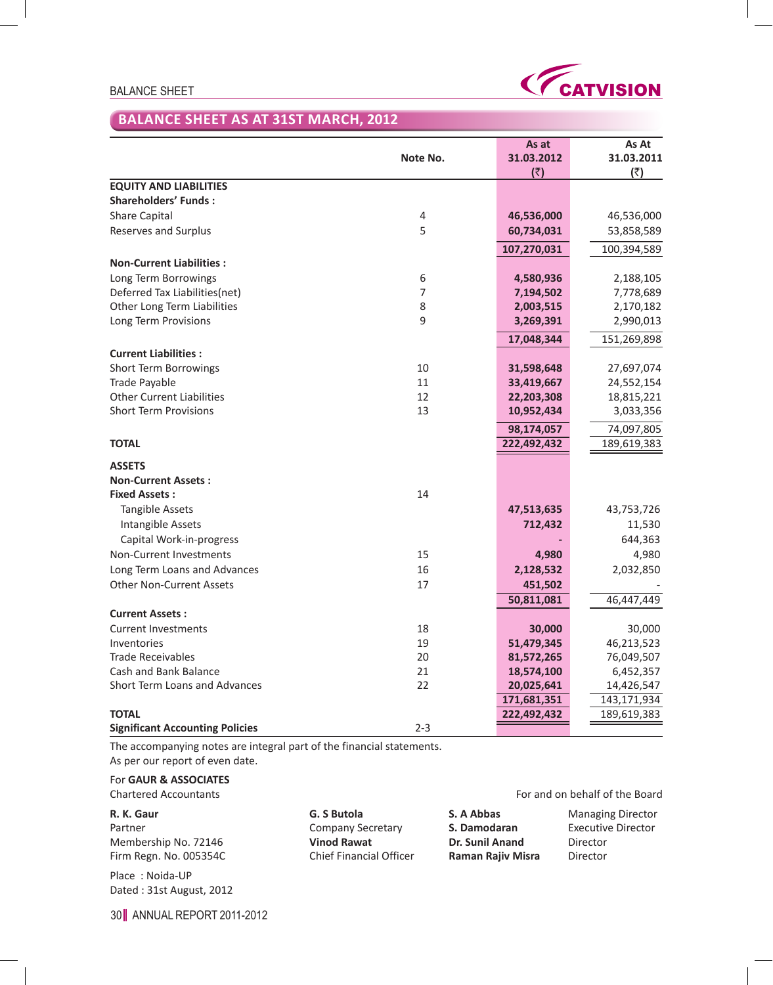### BALANCE SHEET



# **BALANCE SHEET AS AT 31ST MARCH, 2012**

|                                        |                | As at       | As At       |
|----------------------------------------|----------------|-------------|-------------|
|                                        | Note No.       | 31.03.2012  | 31.03.2011  |
|                                        |                | (3)         | (₹)         |
| <b>EQUITY AND LIABILITIES</b>          |                |             |             |
| <b>Shareholders' Funds:</b>            |                |             |             |
| <b>Share Capital</b>                   | $\overline{4}$ | 46,536,000  | 46,536,000  |
| Reserves and Surplus                   | 5              | 60,734,031  | 53,858,589  |
|                                        |                | 107,270,031 | 100,394,589 |
| <b>Non-Current Liabilities:</b>        |                |             |             |
| Long Term Borrowings                   | 6              | 4,580,936   | 2,188,105   |
| Deferred Tax Liabilities(net)          | 7              | 7,194,502   | 7,778,689   |
| Other Long Term Liabilities            | 8              | 2,003,515   | 2,170,182   |
| Long Term Provisions                   | 9              | 3,269,391   | 2,990,013   |
|                                        |                | 17,048,344  | 151,269,898 |
| <b>Current Liabilities:</b>            |                |             |             |
| Short Term Borrowings                  | 10             | 31,598,648  | 27,697,074  |
| Trade Payable                          | 11             | 33,419,667  | 24,552,154  |
| <b>Other Current Liabilities</b>       | 12             | 22,203,308  | 18,815,221  |
| <b>Short Term Provisions</b>           | 13             | 10,952,434  | 3,033,356   |
|                                        |                | 98,174,057  | 74,097,805  |
| <b>TOTAL</b>                           |                | 222,492,432 | 189,619,383 |
| <b>ASSETS</b>                          |                |             |             |
| <b>Non-Current Assets:</b>             |                |             |             |
| <b>Fixed Assets:</b>                   | 14             |             |             |
| <b>Tangible Assets</b>                 |                | 47,513,635  | 43,753,726  |
| Intangible Assets                      |                | 712,432     | 11,530      |
| Capital Work-in-progress               |                |             | 644,363     |
| Non-Current Investments                | 15             | 4,980       | 4,980       |
| Long Term Loans and Advances           | 16             | 2,128,532   | 2,032,850   |
| <b>Other Non-Current Assets</b>        | 17             | 451,502     |             |
|                                        |                | 50,811,081  | 46,447,449  |
| <b>Current Assets:</b>                 |                |             |             |
| <b>Current Investments</b>             | 18             | 30,000      | 30,000      |
| Inventories                            | 19             | 51,479,345  | 46,213,523  |
| <b>Trade Receivables</b>               | 20             | 81,572,265  | 76,049,507  |
| Cash and Bank Balance                  | 21             | 18,574,100  | 6,452,357   |
| <b>Short Term Loans and Advances</b>   | 22             | 20,025,641  | 14,426,547  |
|                                        |                | 171,681,351 | 143,171,934 |
| <b>TOTAL</b>                           |                | 222,492,432 | 189,619,383 |
| <b>Significant Accounting Policies</b> | $2 - 3$        |             |             |

The accompanying notes are integral part of the financial statements. As per our report of even date.

For **GAUR & ASSOCIATES**

**R. K. Gaur G. S Butola S. A Abbas** Managing Director

Dated : 31st August, 2012

Place : Noida-UP

#### Chartered Accountants For and on behalf of the Board

Partner **National Executive Director** Company Secretary **S. Damodaran** Executive Director Membership No. 72146 **Vinod Rawat Dr. Sunil Anand** Director Firm Regn. No. 005354C Chief Financial Officer **Raman Rajiv Misra** Director

30 ANNUAL REPORT 2011-2012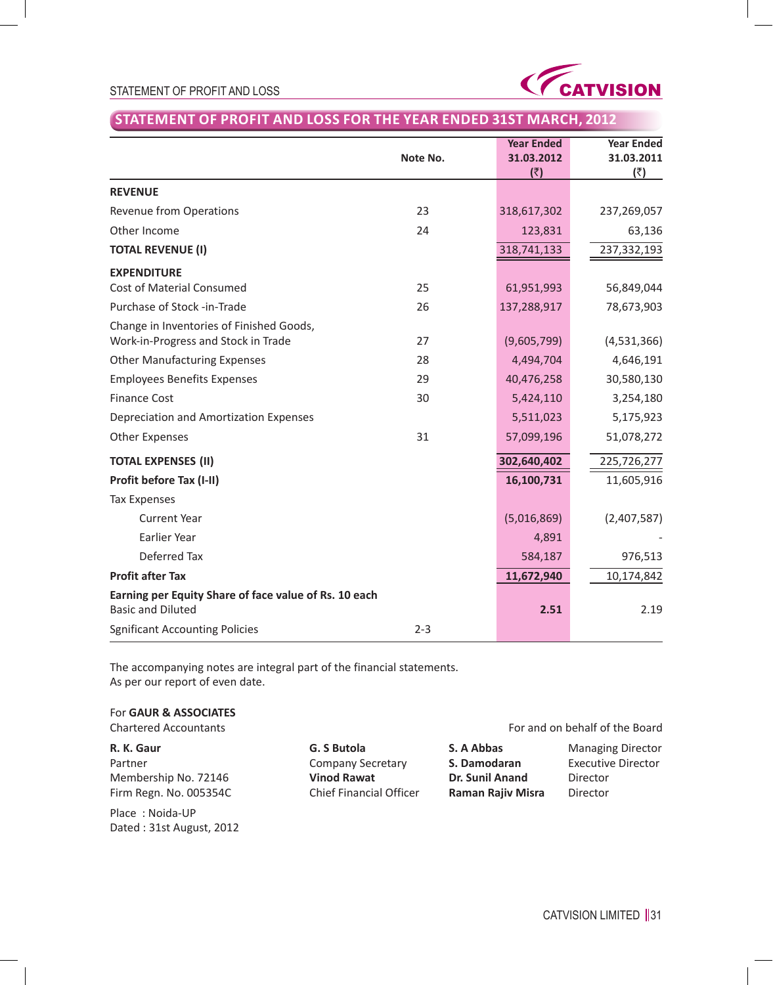



# **STATEMENT OF PROFIT AND LOSS FOR THE YEAR ENDED 31ST MARCH, 2012**

|                                                                                   | Note No. | <b>Year Ended</b><br>31.03.2012<br>(₹) | <b>Year Ended</b><br>31.03.2011<br>(3) |
|-----------------------------------------------------------------------------------|----------|----------------------------------------|----------------------------------------|
| <b>REVENUE</b>                                                                    |          |                                        |                                        |
| Revenue from Operations                                                           | 23       | 318,617,302                            | 237,269,057                            |
| Other Income                                                                      | 24       | 123,831                                | 63,136                                 |
| <b>TOTAL REVENUE (I)</b>                                                          |          | 318,741,133                            | 237,332,193                            |
| <b>EXPENDITURE</b>                                                                |          |                                        |                                        |
| <b>Cost of Material Consumed</b>                                                  | 25       | 61,951,993                             | 56,849,044                             |
| Purchase of Stock -in-Trade                                                       | 26       | 137,288,917                            | 78,673,903                             |
| Change in Inventories of Finished Goods,<br>Work-in-Progress and Stock in Trade   | 27       | (9,605,799)                            | (4,531,366)                            |
| <b>Other Manufacturing Expenses</b>                                               | 28       | 4,494,704                              | 4,646,191                              |
| <b>Employees Benefits Expenses</b>                                                | 29       | 40,476,258                             | 30,580,130                             |
| <b>Finance Cost</b>                                                               | 30       | 5,424,110                              | 3,254,180                              |
| Depreciation and Amortization Expenses                                            |          | 5,511,023                              | 5,175,923                              |
| <b>Other Expenses</b>                                                             | 31       | 57,099,196                             | 51,078,272                             |
| <b>TOTAL EXPENSES (II)</b>                                                        |          | 302,640,402                            | 225,726,277                            |
| Profit before Tax (I-II)                                                          |          | 16,100,731                             | 11,605,916                             |
| <b>Tax Expenses</b>                                                               |          |                                        |                                        |
| <b>Current Year</b>                                                               |          | (5,016,869)                            | (2,407,587)                            |
| Earlier Year                                                                      |          | 4,891                                  |                                        |
| Deferred Tax                                                                      |          | 584,187                                | 976,513                                |
| <b>Profit after Tax</b>                                                           |          | 11,672,940                             | 10,174,842                             |
| Earning per Equity Share of face value of Rs. 10 each<br><b>Basic and Diluted</b> |          | 2.51                                   | 2.19                                   |
| <b>Sgnificant Accounting Policies</b>                                             | $2 - 3$  |                                        |                                        |

The accompanying notes are integral part of the financial statements. As per our report of even date.

## For **GAUR & ASSOCIATES**

Partner **Company Secretary S. Damodaran** Executive Director Membership No. 72146 **Vinod Rawat Dr. Sunil Anand** Director **Firm Regn. No. 005354C Chief Financial Officer Raman Rajiv Misra** Director Firm Regn. No. 005354C Chief Financial Officer **Raman Rajiv Misra** Director

Place : Noida-UP Dated : 31st August, 2012

For and on behalf of the Board

**R. K. Gaur G. S Butola S. A Abbas** Managing Director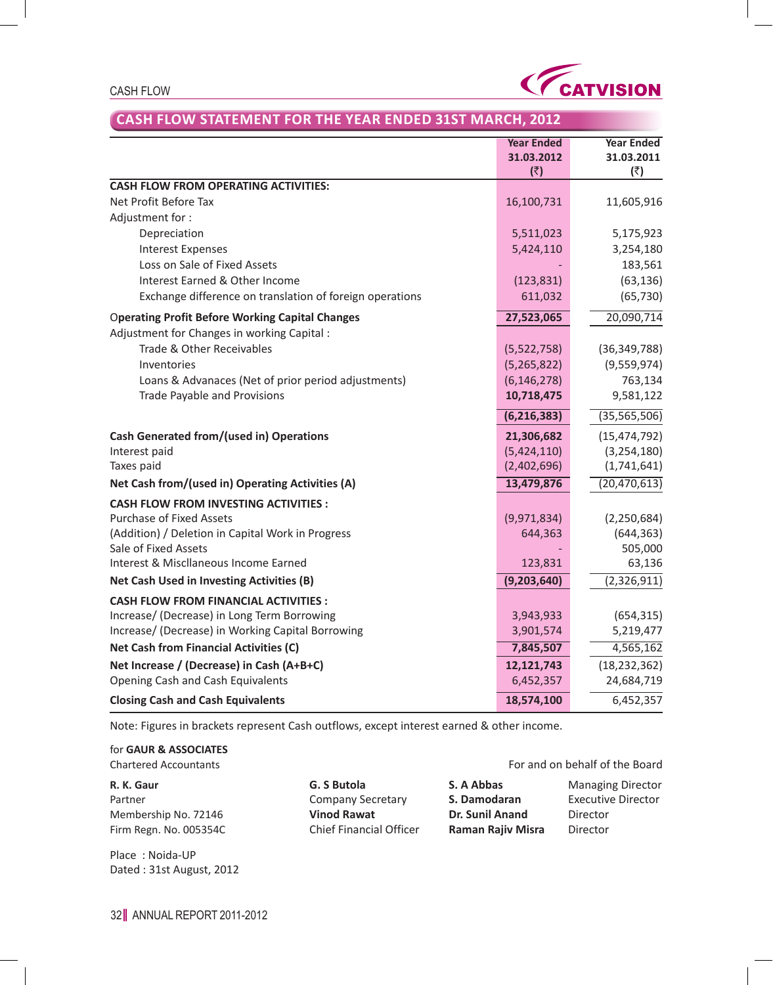

#### CASH FLOW

# **CASH FLOW STATEMENT FOR THE YEAR ENDED 31ST MARCH, 2012**

|                                                          | <b>Year Ended</b><br>31.03.2012<br>(₹) | <b>Year Ended</b><br>31.03.2011<br>(₹) |
|----------------------------------------------------------|----------------------------------------|----------------------------------------|
| <b>CASH FLOW FROM OPERATING ACTIVITIES:</b>              |                                        |                                        |
| Net Profit Before Tax                                    | 16,100,731                             | 11,605,916                             |
| Adjustment for:                                          |                                        |                                        |
| Depreciation                                             | 5,511,023                              | 5,175,923                              |
| <b>Interest Expenses</b>                                 | 5,424,110                              | 3,254,180                              |
| Loss on Sale of Fixed Assets                             |                                        | 183,561                                |
| Interest Earned & Other Income                           | (123, 831)                             | (63, 136)                              |
| Exchange difference on translation of foreign operations | 611,032                                | (65, 730)                              |
| <b>Operating Profit Before Working Capital Changes</b>   | 27,523,065                             | 20,090,714                             |
| Adjustment for Changes in working Capital :              |                                        |                                        |
| Trade & Other Receivables                                | (5,522,758)                            | (36, 349, 788)                         |
| Inventories                                              | (5,265,822)                            | (9,559,974)                            |
| Loans & Advanaces (Net of prior period adjustments)      | (6, 146, 278)                          | 763,134                                |
| Trade Payable and Provisions                             | 10,718,475                             | 9,581,122                              |
|                                                          | (6, 216, 383)                          | (35, 565, 506)                         |
| <b>Cash Generated from/(used in) Operations</b>          | 21,306,682                             | (15, 474, 792)                         |
| Interest paid                                            | (5,424,110)                            | (3, 254, 180)                          |
| Taxes paid                                               | (2,402,696)                            | (1,741,641)                            |
| Net Cash from/(used in) Operating Activities (A)         | 13,479,876                             | (20, 470, 613)                         |
| <b>CASH FLOW FROM INVESTING ACTIVITIES:</b>              |                                        |                                        |
| <b>Purchase of Fixed Assets</b>                          | (9,971,834)                            | (2, 250, 684)                          |
| (Addition) / Deletion in Capital Work in Progress        | 644,363                                | (644, 363)                             |
| Sale of Fixed Assets                                     |                                        | 505,000                                |
| Interest & Miscllaneous Income Earned                    | 123,831                                | 63,136                                 |
| Net Cash Used in Investing Activities (B)                | (9, 203, 640)                          | (2,326,911)                            |
| <b>CASH FLOW FROM FINANCIAL ACTIVITIES:</b>              |                                        |                                        |
| Increase/ (Decrease) in Long Term Borrowing              | 3,943,933                              | (654, 315)                             |
| Increase/ (Decrease) in Working Capital Borrowing        | 3,901,574                              | 5,219,477                              |
| <b>Net Cash from Financial Activities (C)</b>            | 7,845,507                              | 4,565,162                              |
| Net Increase / (Decrease) in Cash (A+B+C)                | 12,121,743                             | (18, 232, 362)                         |
| Opening Cash and Cash Equivalents                        | 6,452,357                              | 24,684,719                             |
| <b>Closing Cash and Cash Equivalents</b>                 | 18,574,100                             | 6,452,357                              |

Note: Figures in brackets represent Cash outflows, except interest earned & other income.

for **GAUR & ASSOCIATES**

Place : Noida-UP Dated : 31st August, 2012

**R. K. Gaur G. S Butola S. A Abbas** Managing Director Partner Company Secretary **S. Damodaran** Executive Director Membership No. 72146 **Vinod Rawat Dr. Sunil Anand** Director Firm Regn. No. 005354C Chief Financial Officer **Raman Rajiv Misra** Director

Chartered Accountants For and on behalf of the Board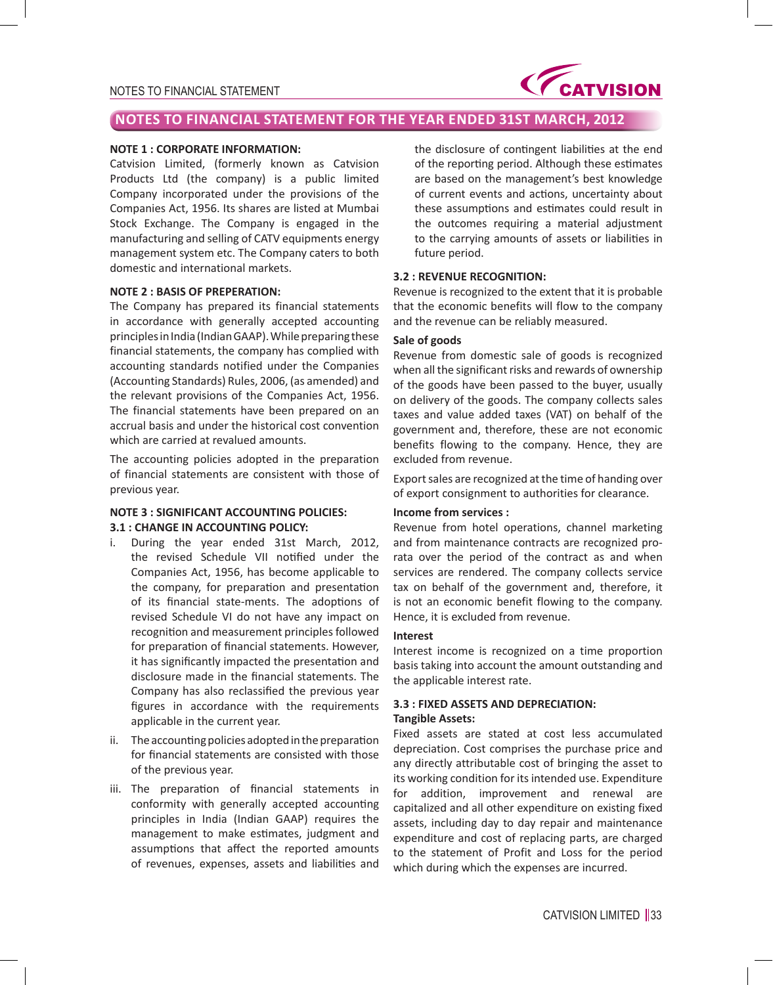

# **NOTES TO FINANCIAL STATEMENT FOR THE YEAR ENDED 31ST MARCH, 2012**

### **NOTE 1 : CORPORATE INFORMATION:**

Catvision Limited, (formerly known as Catvision Products Ltd (the company) is a public limited Company incorporated under the provisions of the Companies Act, 1956. Its shares are listed at Mumbai Stock Exchange. The Company is engaged in the manufacturing and selling of CATV equipments energy management system etc. The Company caters to both domestic and international markets.

#### **NOTE 2 : BASIS OF PREPERATION:**

The Company has prepared its financial statements in accordance with generally accepted accounting principles in India (Indian GAAP). While preparing these financial statements, the company has complied with accounting standards notified under the Companies (Accounting Standards) Rules, 2006, (as amended) and the relevant provisions of the Companies Act, 1956. The financial statements have been prepared on an accrual basis and under the historical cost convention which are carried at revalued amounts.

The accounting policies adopted in the preparation of financial statements are consistent with those of previous year.

### **NOTE 3 : SIGNIFICANT ACCOUNTING POLICIES: 3.1 : CHANGE IN ACCOUNTING POLICY:**

- i. During the year ended 31st March, 2012, the revised Schedule VII notified under the Companies Act, 1956, has become applicable to the company, for preparation and presentation of its financial state-ments. The adoptions of revised Schedule VI do not have any impact on recognition and measurement principles followed for preparation of financial statements. However, it has significantly impacted the presentation and disclosure made in the financial statements. The Company has also reclassified the previous year figures in accordance with the requirements applicable in the current year.
- ii. The accounting policies adopted in the preparation for financial statements are consisted with those of the previous year.
- iii. The preparation of financial statements in conformity with generally accepted accounting principles in India (Indian GAAP) requires the management to make estimates, judgment and assumptions that affect the reported amounts of revenues, expenses, assets and liabilities and

the disclosure of contingent liabilities at the end of the reporting period. Although these estimates are based on the management's best knowledge of current events and actions, uncertainty about these assumptions and estimates could result in the outcomes requiring a material adjustment to the carrying amounts of assets or liabilities in future period.

### **3.2 : REVENUE RECOGNITION:**

Revenue is recognized to the extent that it is probable that the economic benefits will flow to the company and the revenue can be reliably measured.

### **Sale of goods**

Revenue from domestic sale of goods is recognized when all the significant risks and rewards of ownership of the goods have been passed to the buyer, usually on delivery of the goods. The company collects sales taxes and value added taxes (VAT) on behalf of the government and, therefore, these are not economic benefits flowing to the company. Hence, they are excluded from revenue.

Export sales are recognized at the time of handing over of export consignment to authorities for clearance.

### **Income from services :**

Revenue from hotel operations, channel marketing and from maintenance contracts are recognized prorata over the period of the contract as and when services are rendered. The company collects service tax on behalf of the government and, therefore, it is not an economic benefit flowing to the company. Hence, it is excluded from revenue.

#### **Interest**

Interest income is recognized on a time proportion basis taking into account the amount outstanding and the applicable interest rate.

### **3.3 : FIXED ASSETS AND DEPRECIATION: Tangible Assets:**

Fixed assets are stated at cost less accumulated depreciation. Cost comprises the purchase price and any directly attributable cost of bringing the asset to its working condition for its intended use. Expenditure for addition, improvement and renewal are capitalized and all other expenditure on existing fixed assets, including day to day repair and maintenance expenditure and cost of replacing parts, are charged to the statement of Profit and Loss for the period which during which the expenses are incurred.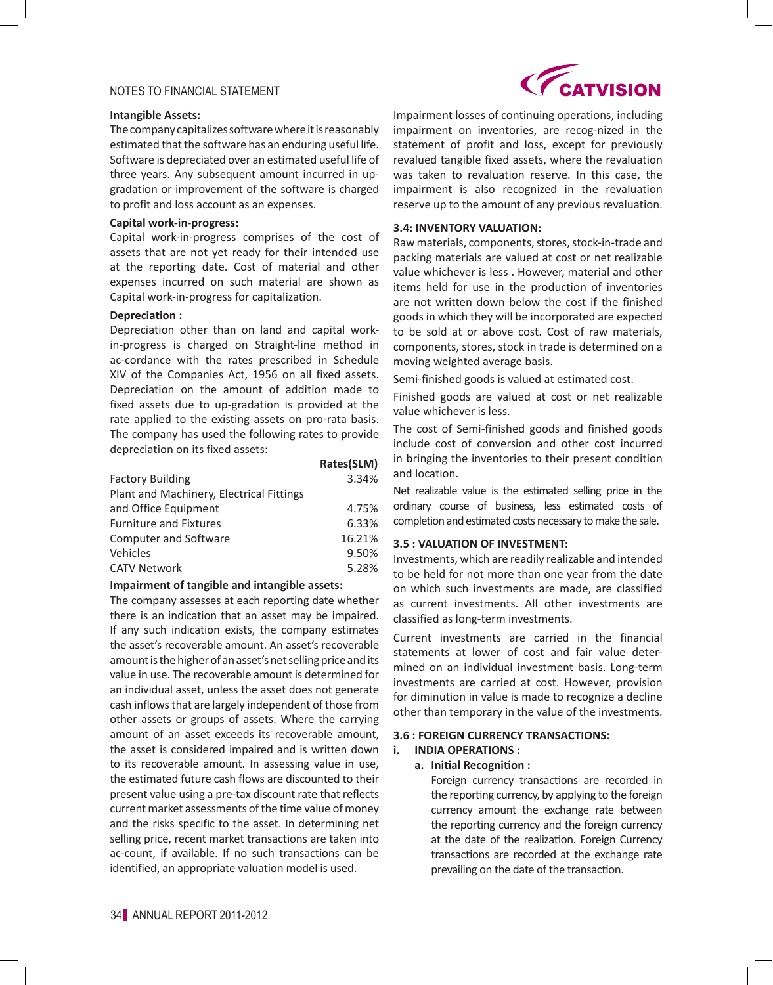#### **Intangible Assets:**

The company capitalizes software where it is reasonably estimated that the software has an enduring useful life. Software is depreciated over an estimated useful life of three years. Any subsequent amount incurred in upgradation or improvement of the software is charged to profit and loss account as an expenses.

### **Capital work-in-progress:**

Capital work-in-progress comprises of the cost of assets that are not yet ready for their intended use at the reporting date. Cost of material and other expenses incurred on such material are shown as Capital work-in-progress for capitalization.

#### **Depreciation :**

Depreciation other than on land and capital workin-progress is charged on Straight-line method in ac-cordance with the rates prescribed in Schedule XIV of the Companies Act, 1956 on all fixed assets. Depreciation on the amount of addition made to fixed assets due to up-gradation is provided at the rate applied to the existing assets on pro-rata basis. The company has used the following rates to provide depreciation on its fixed assets:

|                                          | Rates(SLM) |
|------------------------------------------|------------|
| <b>Factory Building</b>                  | 3.34%      |
| Plant and Machinery, Electrical Fittings |            |
| and Office Equipment                     | 4.75%      |
| <b>Furniture and Fixtures</b>            | 6.33%      |
| <b>Computer and Software</b>             | 16.21%     |
| Vehicles                                 | 9.50%      |
| <b>CATV Network</b>                      | 5.28%      |

#### **Impairment of tangible and intangible assets:**

The company assesses at each reporting date whether there is an indication that an asset may be impaired. If any such indication exists, the company estimates the asset's recoverable amount. An asset's recoverable amount is the higher of an asset's net selling price and its value in use. The recoverable amount is determined for an individual asset, unless the asset does not generate cash inflows that are largely independent of those from other assets or groups of assets. Where the carrying amount of an asset exceeds its recoverable amount, the asset is considered impaired and is written down to its recoverable amount. In assessing value in use, the estimated future cash flows are discounted to their present value using a pre-tax discount rate that reflects current market assessments of the time value of money and the risks specific to the asset. In determining net selling price, recent market transactions are taken into ac-count, if available. If no such transactions can be identified, an appropriate valuation model is used.



Impairment losses of continuing operations, including impairment on inventories, are recog-nized in the statement of profit and loss, except for previously revalued tangible fixed assets, where the revaluation was taken to revaluation reserve. In this case, the impairment is also recognized in the revaluation reserve up to the amount of any previous revaluation.

#### **3.4: INVENTORY VALUATION:**

Raw materials, components, stores, stock-in-trade and packing materials are valued at cost or net realizable value whichever is less . However, material and other items held for use in the production of inventories are not written down below the cost if the finished goods in which they will be incorporated are expected to be sold at or above cost. Cost of raw materials, components, stores, stock in trade is determined on a moving weighted average basis.

Semi-finished goods is valued at estimated cost.

Finished goods are valued at cost or net realizable value whichever is less.

The cost of Semi-finished goods and finished goods include cost of conversion and other cost incurred in bringing the inventories to their present condition and location.

Net realizable value is the estimated selling price in the ordinary course of business, less estimated costs of completion and estimated costs necessary to make the sale.

#### **3.5 : VALUATION OF INVESTMENT:**

Investments, which are readily realizable and intended to be held for not more than one year from the date on which such investments are made, are classified as current investments. All other investments are classified as long-term investments.

Current investments are carried in the financial statements at lower of cost and fair value determined on an individual investment basis. Long-term investments are carried at cost. However, provision for diminution in value is made to recognize a decline other than temporary in the value of the investments.

### **3.6 : FOREIGN CURRENCY TRANSACTIONS:**

#### **i. INDIA OPERATIONS :**

#### **a. Initial Recognition :**

 Foreign currency transactions are recorded in the reporting currency, by applying to the foreign currency amount the exchange rate between the reporting currency and the foreign currency at the date of the realization. Foreign Currency transactions are recorded at the exchange rate prevailing on the date of the transaction.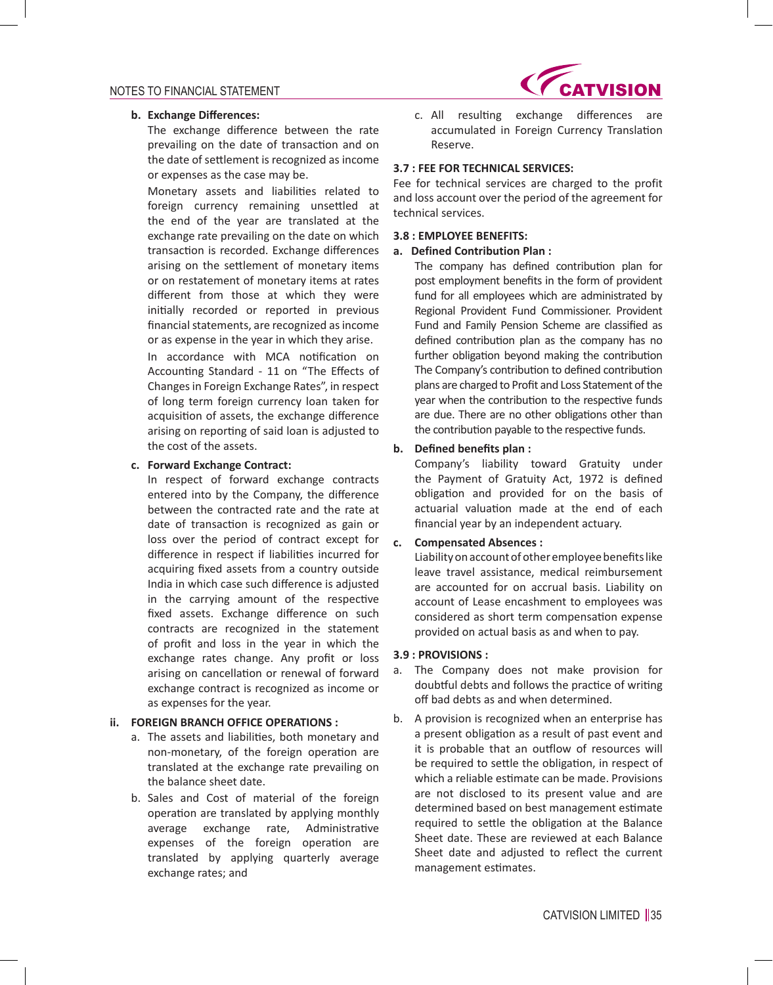

### **b. Exchange Differences:**

 The exchange difference between the rate prevailing on the date of transaction and on the date of settlement is recognized as income or expenses as the case may be.

 Monetary assets and liabilities related to foreign currency remaining unsettled at the end of the year are translated at the exchange rate prevailing on the date on which transaction is recorded. Exchange differences arising on the settlement of monetary items or on restatement of monetary items at rates different from those at which they were initially recorded or reported in previous financial statements, are recognized as income or as expense in the year in which they arise.

 In accordance with MCA notification on Accounting Standard - 11 on "The Effects of Changes in Foreign Exchange Rates", in respect of long term foreign currency loan taken for acquisition of assets, the exchange difference arising on reporting of said loan is adjusted to the cost of the assets.

### **c. Forward Exchange Contract:**

 In respect of forward exchange contracts entered into by the Company, the difference between the contracted rate and the rate at date of transaction is recognized as gain or loss over the period of contract except for difference in respect if liabilities incurred for acquiring fixed assets from a country outside India in which case such difference is adjusted in the carrying amount of the respective fixed assets. Exchange difference on such contracts are recognized in the statement of profit and loss in the year in which the exchange rates change. Any profit or loss arising on cancellation or renewal of forward exchange contract is recognized as income or as expenses for the year.

### **ii. FOREIGN BRANCH OFFICE OPERATIONS :**

- a. The assets and liabilities, both monetary and non-monetary, of the foreign operation are translated at the exchange rate prevailing on the balance sheet date.
- b. Sales and Cost of material of the foreign operation are translated by applying monthly average exchange rate, Administrative expenses of the foreign operation are translated by applying quarterly average exchange rates; and

 c. All resulting exchange differences are accumulated in Foreign Currency Translation Reserve.

### **3.7 : FEE FOR TECHNICAL SERVICES:**

Fee for technical services are charged to the profit and loss account over the period of the agreement for technical services.

### **3.8 : EMPLOYEE BENEFITS:**

#### **a. Defined Contribution Plan :**

 The company has defined contribution plan for post employment benefits in the form of provident fund for all employees which are administrated by Regional Provident Fund Commissioner. Provident Fund and Family Pension Scheme are classified as defined contribution plan as the company has no further obligation beyond making the contribution The Company's contribution to defined contribution plans are charged to Profit and Loss Statement of the year when the contribution to the respective funds are due. There are no other obligations other than the contribution payable to the respective funds.

## **b. Defined benefits plan :**

Company's liability toward Gratuity under the Payment of Gratuity Act, 1972 is defined obligation and provided for on the basis of actuarial valuation made at the end of each financial year by an independent actuary.

#### **c. Compensated Absences :**

Liability on account of other employee benefits like leave travel assistance, medical reimbursement are accounted for on accrual basis. Liability on account of Lease encashment to employees was considered as short term compensation expense provided on actual basis as and when to pay.

### **3.9 : PROVISIONS :**

- a. The Company does not make provision for doubtful debts and follows the practice of writing off bad debts as and when determined.
- b. A provision is recognized when an enterprise has a present obligation as a result of past event and it is probable that an outflow of resources will be required to settle the obligation, in respect of which a reliable estimate can be made. Provisions are not disclosed to its present value and are determined based on best management estimate required to settle the obligation at the Balance Sheet date. These are reviewed at each Balance Sheet date and adjusted to reflect the current management estimates.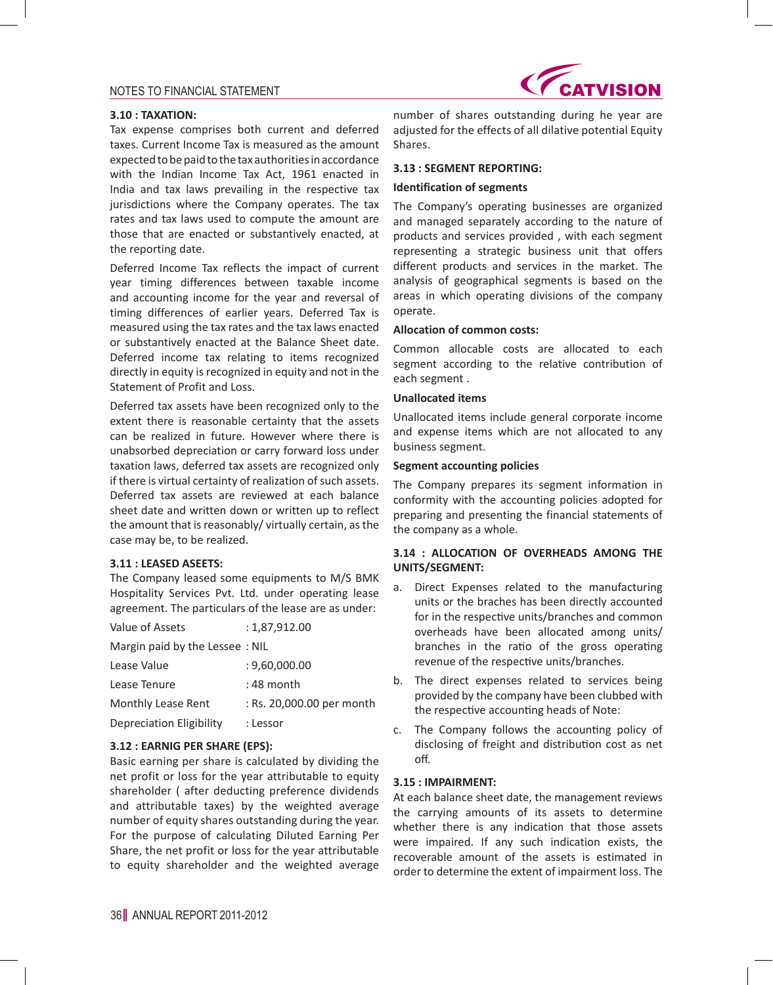

#### **3.10 : TAXATION:**

Tax expense comprises both current and deferred taxes. Current Income Tax is measured as the amount expected to be paid to the tax authorities in accordance with the Indian Income Tax Act, 1961 enacted in India and tax laws prevailing in the respective tax jurisdictions where the Company operates. The tax rates and tax laws used to compute the amount are those that are enacted or substantively enacted, at the reporting date.

Deferred Income Tax reflects the impact of current year timing differences between taxable income and accounting income for the year and reversal of timing differences of earlier years. Deferred Tax is measured using the tax rates and the tax laws enacted or substantively enacted at the Balance Sheet date. Deferred income tax relating to items recognized directly in equity is recognized in equity and not in the Statement of Profit and Loss.

Deferred tax assets have been recognized only to the extent there is reasonable certainty that the assets can be realized in future. However where there is unabsorbed depreciation or carry forward loss under taxation laws, deferred tax assets are recognized only if there is virtual certainty of realization of such assets. Deferred tax assets are reviewed at each balance sheet date and written down or written up to reflect the amount that is reasonably/ virtually certain, as the case may be, to be realized.

#### **3.11 : LEASED ASEETS:**

The Company leased some equipments to M/S BMK Hospitality Services Pvt. Ltd. under operating lease agreement. The particulars of the lease are as under:

| Value of Assets                | : 1,87,912.00             |
|--------------------------------|---------------------------|
| Margin paid by the Lessee: NIL |                           |
| Lease Value                    | : 9,60,000.00             |
| Lease Tenure                   | : 48 month                |
| Monthly Lease Rent             | : Rs. 20,000.00 per month |
| Depreciation Eligibility       | : Lessor                  |

#### **3.12 : EARNIG PER SHARE (EPS):**

Basic earning per share is calculated by dividing the net profit or loss for the year attributable to equity shareholder ( after deducting preference dividends and attributable taxes) by the weighted average number of equity shares outstanding during the year. For the purpose of calculating Diluted Earning Per Share, the net profit or loss for the year attributable to equity shareholder and the weighted average

number of shares outstanding during he year are adjusted for the effects of all dilative potential Equity Shares.

#### **3.13 : SEGMENT REPORTING:**

#### **Identification of segments**

The Company's operating businesses are organized and managed separately according to the nature of products and services provided , with each segment representing a strategic business unit that offers different products and services in the market. The analysis of geographical segments is based on the areas in which operating divisions of the company operate.

# **Allocation of common costs:**

Common allocable costs are allocated to each segment according to the relative contribution of each segment .

#### **Unallocated items**

Unallocated items include general corporate income and expense items which are not allocated to any business segment.

### **Segment accounting policies**

The Company prepares its segment information in conformity with the accounting policies adopted for preparing and presenting the financial statements of the company as a whole.

### **3.14 : ALLOCATION OF OVERHEADS AMONG THE UNITS/SEGMENT:**

- a. Direct Expenses related to the manufacturing units or the braches has been directly accounted for in the respective units/branches and common overheads have been allocated among units/ branches in the ratio of the gross operating revenue of the respective units/branches.
- b. The direct expenses related to services being provided by the company have been clubbed with the respective accounting heads of Note:
- c. The Company follows the accounting policy of disclosing of freight and distribution cost as net off.

#### **3.15 : IMPAIRMENT:**

At each balance sheet date, the management reviews the carrying amounts of its assets to determine whether there is any indication that those assets were impaired. If any such indication exists, the recoverable amount of the assets is estimated in order to determine the extent of impairment loss. The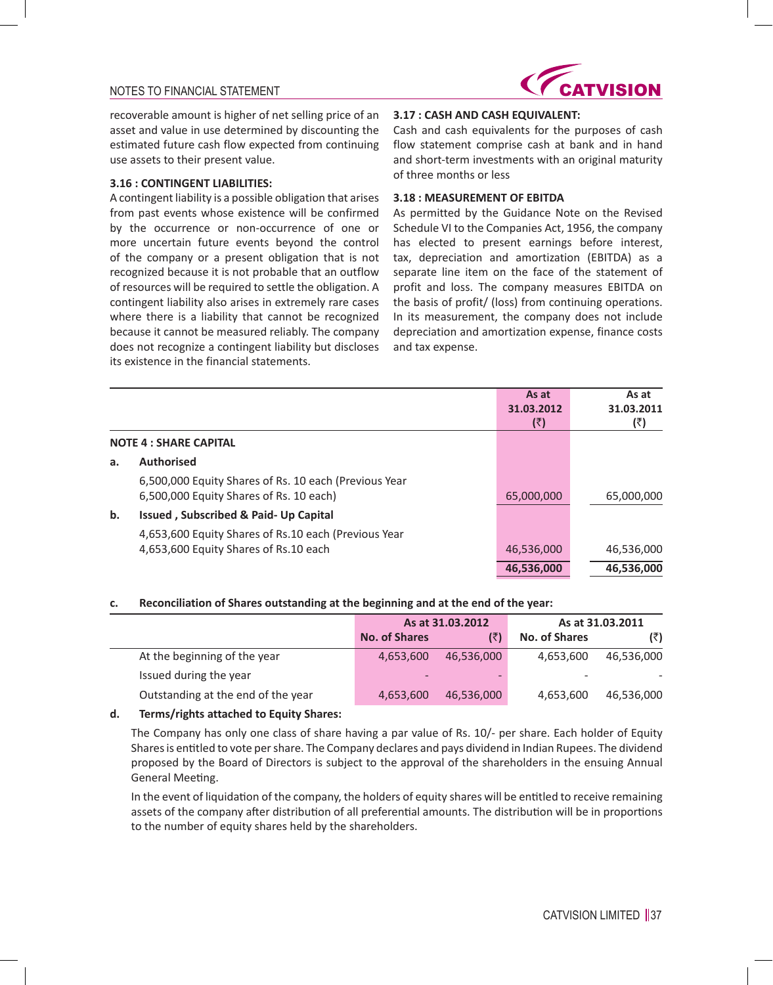

recoverable amount is higher of net selling price of an asset and value in use determined by discounting the estimated future cash flow expected from continuing use assets to their present value.

### **3.16 : CONTINGENT LIABILITIES:**

A contingent liability is a possible obligation that arises from past events whose existence will be confirmed by the occurrence or non-occurrence of one or more uncertain future events beyond the control of the company or a present obligation that is not recognized because it is not probable that an outflow of resources will be required to settle the obligation. A contingent liability also arises in extremely rare cases where there is a liability that cannot be recognized because it cannot be measured reliably. The company does not recognize a contingent liability but discloses its existence in the financial statements.

## **3.17 : CASH AND CASH EQUIVALENT:**

Cash and cash equivalents for the purposes of cash flow statement comprise cash at bank and in hand and short-term investments with an original maturity of three months or less

#### **3.18 : MEASUREMENT OF EBITDA**

As permitted by the Guidance Note on the Revised Schedule VI to the Companies Act, 1956, the company has elected to present earnings before interest, tax, depreciation and amortization (EBITDA) as a separate line item on the face of the statement of profit and loss. The company measures EBITDA on the basis of profit/ (loss) from continuing operations. In its measurement, the company does not include depreciation and amortization expense, finance costs and tax expense.

|                                                        | As at      | As at      |
|--------------------------------------------------------|------------|------------|
|                                                        | 31.03.2012 | 31.03.2011 |
|                                                        | (₹)        | (₹)        |
| <b>NOTE 4: SHARE CAPITAL</b>                           |            |            |
| <b>Authorised</b><br>a.                                |            |            |
| 6,500,000 Equity Shares of Rs. 10 each (Previous Year  |            |            |
| 6,500,000 Equity Shares of Rs. 10 each)                | 65,000,000 | 65,000,000 |
| $\mathbf b$ .<br>Issued, Subscribed & Paid- Up Capital |            |            |
| 4,653,600 Equity Shares of Rs.10 each (Previous Year   |            |            |
| 4,653,600 Equity Shares of Rs.10 each                  | 46,536,000 | 46,536,000 |
|                                                        | 46,536,000 | 46,536,000 |

#### **c. Reconciliation of Shares outstanding at the beginning and at the end of the year:**

|                                    | As at 31.03.2012     |            |               | As at 31.03.2011 |
|------------------------------------|----------------------|------------|---------------|------------------|
|                                    | <b>No. of Shares</b> | (₹)        | No. of Shares | (₹)              |
| At the beginning of the year       | 4,653,600            | 46,536,000 | 4,653,600     | 46,536,000       |
| Issued during the year             |                      | -          | -             |                  |
| Outstanding at the end of the year | 4,653,600            | 46,536,000 | 4,653,600     | 46,536,000       |
|                                    |                      |            |               |                  |

### **d. Terms/rights attached to Equity Shares:**

The Company has only one class of share having a par value of Rs. 10/- per share. Each holder of Equity Sharesis entitled to vote pershare. The Company declares and pays dividend in Indian Rupees. The dividend proposed by the Board of Directors is subject to the approval of the shareholders in the ensuing Annual General Meeting.

 In the event of liquidation of the company, the holders of equity shares will be entitled to receive remaining assets of the company after distribution of all preferential amounts. The distribution will be in proportions to the number of equity shares held by the shareholders.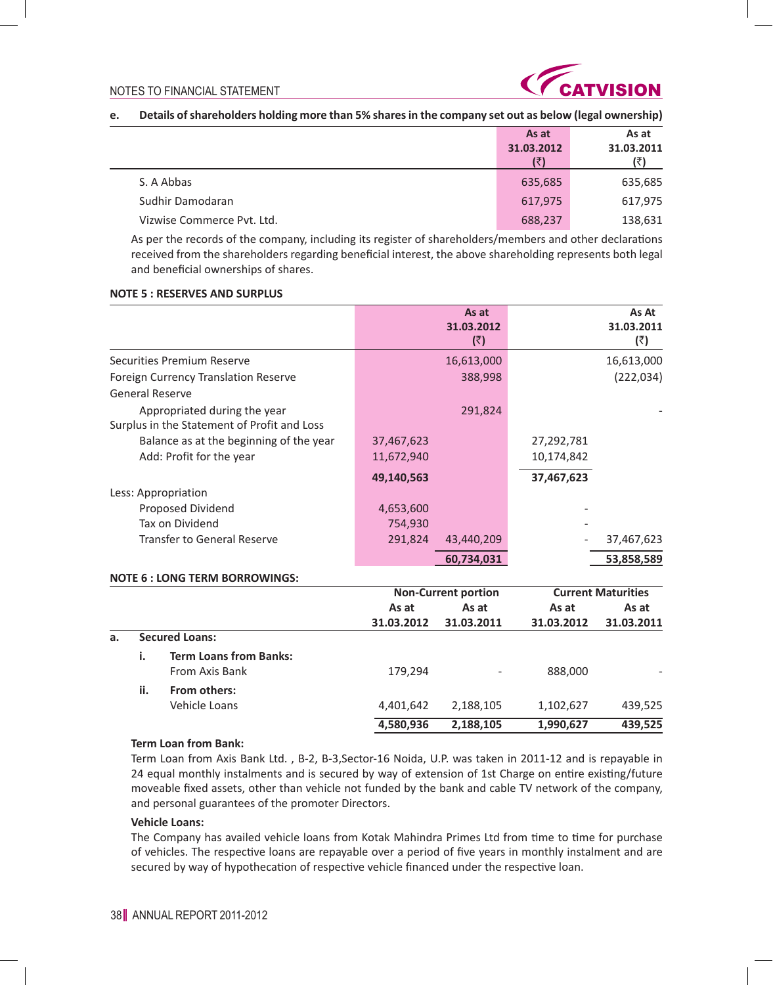

### **e. Details of shareholders holding more than 5% shares in the company set out as below (legal ownership)**

|                            | As at      | As at      |
|----------------------------|------------|------------|
|                            | 31.03.2012 | 31.03.2011 |
|                            |            |            |
| S. A Abbas                 | 635,685    | 635,685    |
| Sudhir Damodaran           | 617,975    | 617,975    |
| Vizwise Commerce Pyt. Ltd. | 688,237    | 138,631    |

 As per the records of the company, including its register of shareholders/members and other declarations received from the shareholders regarding beneficial interest, the above shareholding represents both legal and beneficial ownerships of shares.

#### **NOTE 5 : RESERVES AND SURPLUS**

|                                                                             |            | As at<br>31.03.2012<br>(5) |            | As At<br>31.03.2011<br>(₹) |
|-----------------------------------------------------------------------------|------------|----------------------------|------------|----------------------------|
| Securities Premium Reserve                                                  |            | 16,613,000                 |            | 16,613,000                 |
| Foreign Currency Translation Reserve                                        |            | 388,998                    |            | (222, 034)                 |
| <b>General Reserve</b>                                                      |            |                            |            |                            |
| Appropriated during the year<br>Surplus in the Statement of Profit and Loss |            | 291,824                    |            |                            |
| Balance as at the beginning of the year                                     | 37,467,623 |                            | 27,292,781 |                            |
| Add: Profit for the year                                                    | 11,672,940 |                            | 10,174,842 |                            |
|                                                                             | 49,140,563 |                            | 37,467,623 |                            |
| Less: Appropriation                                                         |            |                            |            |                            |
| Proposed Dividend                                                           | 4,653,600  |                            |            |                            |
| Tax on Dividend                                                             | 754,930    |                            |            |                            |
| <b>Transfer to General Reserve</b>                                          | 291,824    | 43,440,209                 |            | 37,467,623                 |
|                                                                             |            | 60,734,031                 |            | 53,858,589                 |
| <b>NOTE 6 : LONG TERM BORROWINGS:</b>                                       |            |                            |            |                            |
|                                                                             |            | <b>Non-Current portion</b> |            | <b>Current Maturities</b>  |
|                                                                             | As at      | As at                      | As at      | As at                      |
|                                                                             | 31.03.2012 | 31.03.2011                 | 31.03.2012 | 31.03.2011                 |
| <b>Secured Loans:</b><br>a.                                                 |            |                            |            |                            |
| i.<br><b>Term Loans from Banks:</b><br>From Axis Bank                       | 179,294    |                            | 888,000    |                            |
| ii.<br>From others:                                                         |            |                            |            |                            |
| Vehicle Loans                                                               | 4,401,642  | 2,188,105                  | 1,102,627  | 439,525                    |
|                                                                             | 4,580,936  | 2,188,105                  | 1,990,627  | 439,525                    |

#### **Term Loan from Bank:**

Term Loan from Axis Bank Ltd. , B-2, B-3,Sector-16 Noida, U.P. was taken in 2011-12 and is repayable in 24 equal monthly instalments and is secured by way of extension of 1st Charge on entire existing/future moveable fixed assets, other than vehicle not funded by the bank and cable TV network of the company, and personal guarantees of the promoter Directors.

### **Vehicle Loans:**

 The Company has availed vehicle loans from Kotak Mahindra Primes Ltd from time to time for purchase of vehicles. The respective loans are repayable over a period of five years in monthly instalment and are secured by way of hypothecation of respective vehicle financed under the respective loan.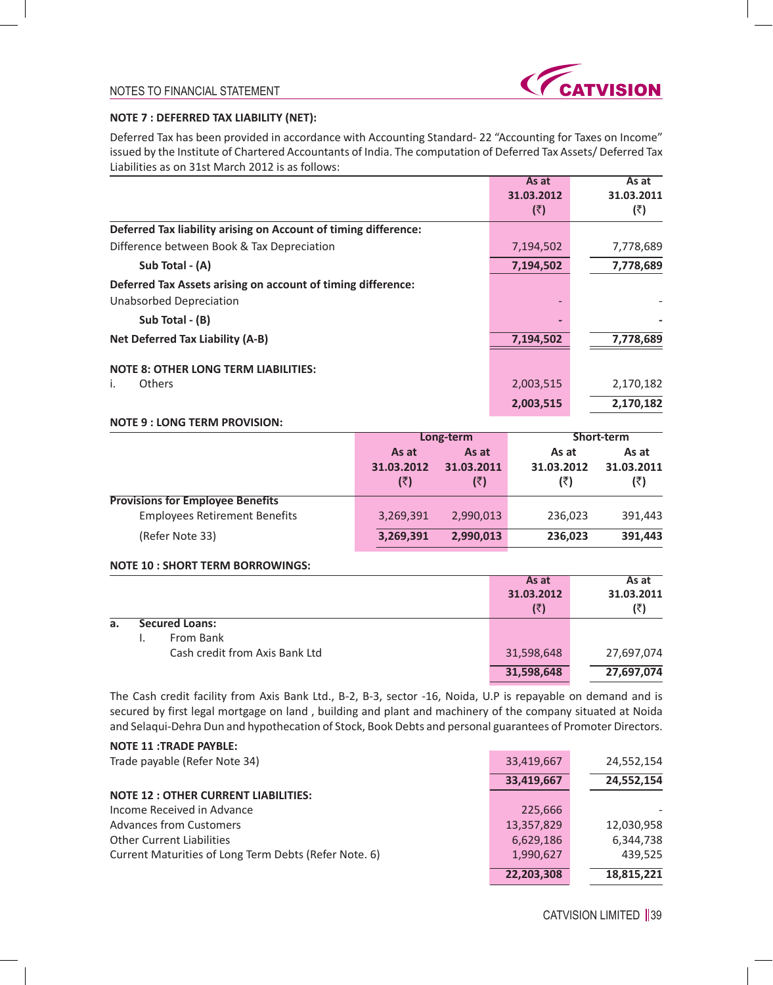

### **NOTE 7 : DEFERRED TAX LIABILITY (NET):**

Deferred Tax has been provided in accordance with Accounting Standard- 22 "Accounting for Taxes on Income" issued by the Institute of Chartered Accountants of India. The computation of Deferred Tax Assets/ Deferred Tax Liabilities as on 31st March 2012 is as follows:

|                                                                 | As at      | As at      |
|-----------------------------------------------------------------|------------|------------|
|                                                                 | 31.03.2012 | 31.03.2011 |
|                                                                 | (₹)        | (₹)        |
| Deferred Tax liability arising on Account of timing difference: |            |            |
| Difference between Book & Tax Depreciation                      | 7,194,502  | 7,778,689  |
| Sub Total - (A)                                                 | 7,194,502  | 7,778,689  |
| Deferred Tax Assets arising on account of timing difference:    |            |            |
| Unabsorbed Depreciation                                         |            |            |
| Sub Total - (B)                                                 |            |            |
| <b>Net Deferred Tax Liability (A-B)</b>                         | 7,194,502  | 7,778,689  |
| <b>NOTE 8: OTHER LONG TERM LIABILITIES:</b>                     |            |            |
| <b>Others</b><br>İ.                                             | 2,003,515  | 2,170,182  |
|                                                                 | 2,003,515  | 2,170,182  |

# **NOTE 9 : LONG TERM PROVISION:**

|                                         |                            | Long-term                  | Short-term                 |                            |  |
|-----------------------------------------|----------------------------|----------------------------|----------------------------|----------------------------|--|
|                                         | As at<br>31.03.2012<br>(₹) | As at<br>31.03.2011<br>(₹) | As at<br>31.03.2012<br>(₹) | As at<br>31.03.2011<br>(₹) |  |
| <b>Provisions for Employee Benefits</b> |                            |                            |                            |                            |  |
| <b>Employees Retirement Benefits</b>    | 3,269,391                  | 2,990,013                  | 236,023                    | 391,443                    |  |
| (Refer Note 33)                         | 3,269,391                  | 2,990,013                  | 236,023                    | 391,443                    |  |

### **NOTE 10 : SHORT TERM BORROWINGS:**

|    |                                | As at      | As at      |
|----|--------------------------------|------------|------------|
|    |                                | 31.03.2012 | 31.03.2011 |
|    |                                | (₹)        | (₹)        |
| а. | <b>Secured Loans:</b>          |            |            |
|    | From Bank                      |            |            |
|    | Cash credit from Axis Bank Ltd | 31,598,648 | 27,697,074 |
|    |                                | 31,598,648 | 27,697,074 |

The Cash credit facility from Axis Bank Ltd., B-2, B-3, sector -16, Noida, U.P is repayable on demand and is secured by first legal mortgage on land , building and plant and machinery of the company situated at Noida and Selaqui-Dehra Dun and hypothecation of Stock, Book Debts and personal guarantees of Promoter Directors.

### **NOTE 11 :TRADE PAYBLE:**

| Trade payable (Refer Note 34)                         | 33,419,667 | 24,552,154 |
|-------------------------------------------------------|------------|------------|
|                                                       | 33,419,667 | 24,552,154 |
| <b>NOTE 12: OTHER CURRENT LIABILITIES:</b>            |            |            |
| Income Received in Advance                            | 225,666    |            |
| <b>Advances from Customers</b>                        | 13,357,829 | 12,030,958 |
| <b>Other Current Liabilities</b>                      | 6,629,186  | 6,344,738  |
| Current Maturities of Long Term Debts (Refer Note. 6) | 1,990,627  | 439,525    |
|                                                       | 22,203,308 | 18,815,221 |

39 CATVISION LIMITED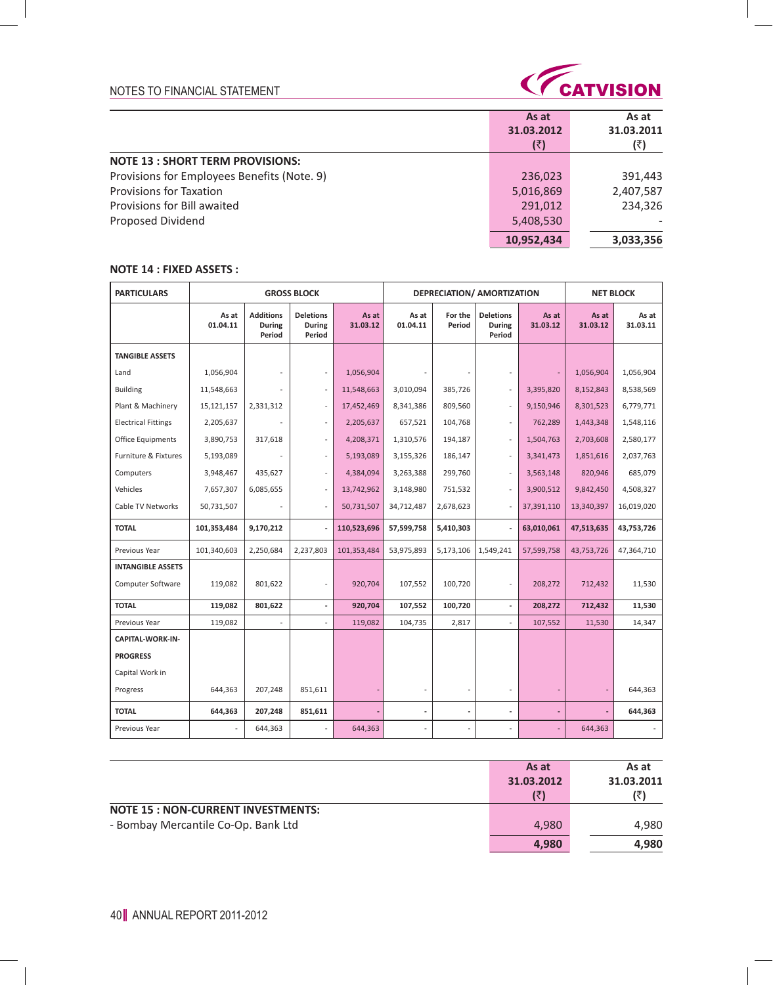

|                                             | As at      | As at      |
|---------------------------------------------|------------|------------|
|                                             | 31.03.2012 | 31.03.2011 |
|                                             | (₹)        | (₹)        |
| <b>NOTE 13 : SHORT TERM PROVISIONS:</b>     |            |            |
| Provisions for Employees Benefits (Note. 9) | 236,023    | 391,443    |
| <b>Provisions for Taxation</b>              | 5,016,869  | 2,407,587  |
| Provisions for Bill awaited                 | 291,012    | 234.326    |
| Proposed Dividend                           | 5,408,530  |            |
|                                             | 10,952,434 | 3,033,356  |

# **NOTE 14 : FIXED ASSETS :**

| <b>PARTICULARS</b>         | <b>GROSS BLOCK</b> |                                      |                                      |                   |                   |                   | DEPRECIATION/ AMORTIZATION           |                   |                   | <b>NET BLOCK</b>  |  |
|----------------------------|--------------------|--------------------------------------|--------------------------------------|-------------------|-------------------|-------------------|--------------------------------------|-------------------|-------------------|-------------------|--|
|                            | As at<br>01.04.11  | <b>Additions</b><br>During<br>Period | <b>Deletions</b><br>During<br>Period | As at<br>31.03.12 | As at<br>01.04.11 | For the<br>Period | <b>Deletions</b><br>During<br>Period | As at<br>31.03.12 | As at<br>31.03.12 | As at<br>31.03.11 |  |
| <b>TANGIBLE ASSETS</b>     |                    |                                      |                                      |                   |                   |                   |                                      |                   |                   |                   |  |
| Land                       | 1,056,904          |                                      | ٠                                    | 1,056,904         |                   |                   | $\overline{\phantom{a}}$             |                   | 1,056,904         | 1,056,904         |  |
| <b>Building</b>            | 11,548,663         |                                      | $\overline{\phantom{a}}$             | 11,548,663        | 3.010.094         | 385,726           | $\sim$                               | 3,395,820         | 8,152,843         | 8,538,569         |  |
| Plant & Machinery          | 15,121,157         | 2,331,312                            | $\overline{\phantom{a}}$             | 17,452,469        | 8,341,386         | 809,560           | $\sim$                               | 9,150,946         | 8,301,523         | 6,779,771         |  |
| <b>Electrical Fittings</b> | 2,205,637          |                                      | $\mathcal{L}$                        | 2,205,637         | 657,521           | 104,768           | $\sim$                               | 762,289           | 1,443,348         | 1,548,116         |  |
| Office Equipments          | 3,890,753          | 317,618                              | ÷                                    | 4,208,371         | 1,310,576         | 194,187           | $\sim$                               | 1,504,763         | 2,703,608         | 2,580,177         |  |
| Furniture & Fixtures       | 5,193,089          |                                      | ÷.                                   | 5,193,089         | 3,155,326         | 186,147           | $\sim$                               | 3,341,473         | 1,851,616         | 2,037,763         |  |
| Computers                  | 3,948,467          | 435,627                              | $\overline{\phantom{a}}$             | 4,384,094         | 3,263,388         | 299,760           | $\sim$                               | 3,563,148         | 820,946           | 685,079           |  |
| Vehicles                   | 7,657,307          | 6,085,655                            | ÷,                                   | 13,742,962        | 3,148,980         | 751,532           | ÷,                                   | 3,900,512         | 9,842,450         | 4,508,327         |  |
| Cable TV Networks          | 50,731,507         |                                      | ÷.                                   | 50,731,507        | 34,712,487        | 2,678,623         | ٠                                    | 37,391,110        | 13,340,397        | 16,019,020        |  |
| <b>TOTAL</b>               | 101,353,484        | 9,170,212                            | $\overline{\phantom{a}}$             | 110,523,696       | 57,599,758        | 5,410,303         |                                      | 63,010,061        | 47,513,635        | 43,753,726        |  |
| Previous Year              | 101,340,603        | 2,250,684                            | 2,237,803                            | 101,353,484       | 53,975,893        | 5,173,106         | 1,549,241                            | 57,599,758        | 43,753,726        | 47,364,710        |  |
| <b>INTANGIBLE ASSETS</b>   |                    |                                      |                                      |                   |                   |                   |                                      |                   |                   |                   |  |
| Computer Software          | 119,082            | 801,622                              |                                      | 920,704           | 107,552           | 100,720           |                                      | 208,272           | 712,432           | 11,530            |  |
| <b>TOTAL</b>               | 119,082            | 801,622                              | $\overline{\phantom{a}}$             | 920,704           | 107,552           | 100,720           | $\mathcal{L}$                        | 208,272           | 712,432           | 11,530            |  |
| Previous Year              | 119,082            | $\overline{a}$                       |                                      | 119,082           | 104,735           | 2,817             |                                      | 107,552           | 11,530            | 14,347            |  |
| <b>CAPITAL-WORK-IN-</b>    |                    |                                      |                                      |                   |                   |                   |                                      |                   |                   |                   |  |
| <b>PROGRESS</b>            |                    |                                      |                                      |                   |                   |                   |                                      |                   |                   |                   |  |
| Capital Work in            |                    |                                      |                                      |                   |                   |                   |                                      |                   |                   |                   |  |
| Progress                   | 644,363            | 207,248                              | 851,611                              |                   |                   |                   | $\overline{a}$                       |                   |                   | 644,363           |  |
| <b>TOTAL</b>               | 644,363            | 207,248                              | 851,611                              |                   |                   |                   | $\overline{a}$                       |                   |                   | 644,363           |  |
| Previous Year              |                    | 644,363                              |                                      | 644,363           |                   |                   |                                      |                   | 644,363           |                   |  |

|                                           | As at      | As at      |
|-------------------------------------------|------------|------------|
|                                           | 31.03.2012 | 31.03.2011 |
|                                           | (₹)        |            |
| <b>NOTE 15 : NON-CURRENT INVESTMENTS:</b> |            |            |
| - Bombay Mercantile Co-Op. Bank Ltd       | 4,980      | 4,980      |
|                                           | 4,980      | 4,980      |

 $\sim$  1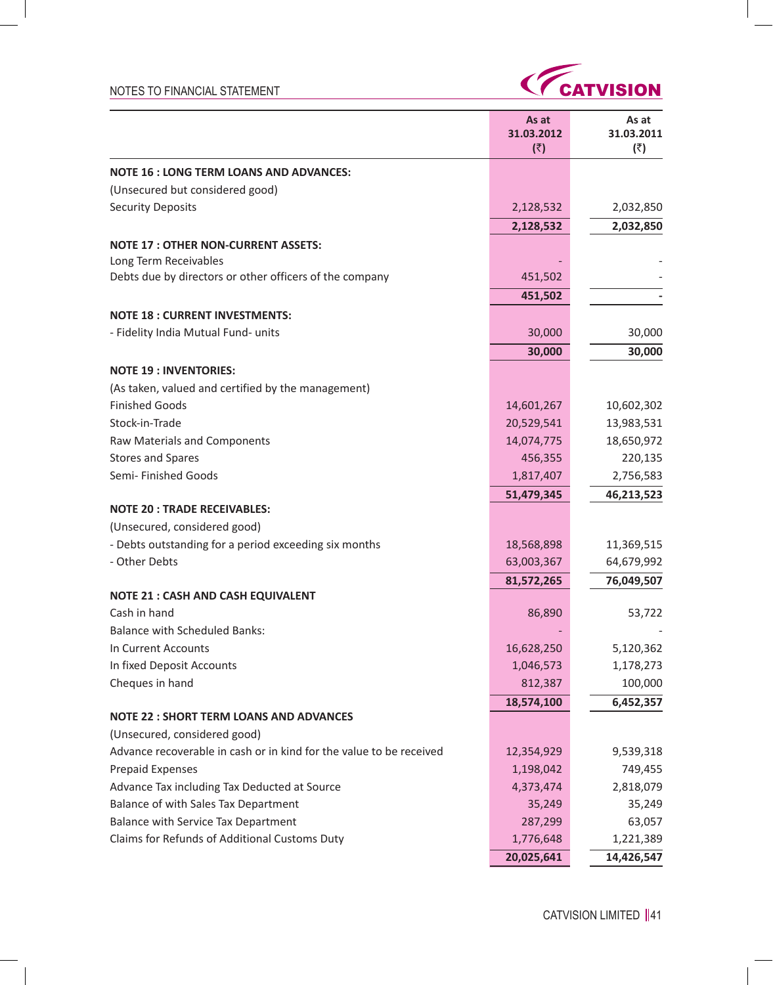$\overline{\phantom{a}}$ 

 $\mathcal{L}$ 



|                                                                     | As at<br>31.03.2012<br>(₹) | As at<br>31.03.2011<br>(3) |
|---------------------------------------------------------------------|----------------------------|----------------------------|
| <b>NOTE 16 : LONG TERM LOANS AND ADVANCES:</b>                      |                            |                            |
| (Unsecured but considered good)                                     |                            |                            |
| <b>Security Deposits</b>                                            | 2,128,532                  | 2,032,850                  |
|                                                                     | 2,128,532                  | 2,032,850                  |
| <b>NOTE 17: OTHER NON-CURRENT ASSETS:</b>                           |                            |                            |
| Long Term Receivables                                               |                            |                            |
| Debts due by directors or other officers of the company             | 451,502                    |                            |
|                                                                     | 451,502                    |                            |
| <b>NOTE 18: CURRENT INVESTMENTS:</b>                                |                            |                            |
| - Fidelity India Mutual Fund- units                                 | 30,000                     | 30,000                     |
|                                                                     | 30,000                     | 30,000                     |
| <b>NOTE 19: INVENTORIES:</b>                                        |                            |                            |
| (As taken, valued and certified by the management)                  |                            |                            |
| <b>Finished Goods</b>                                               | 14,601,267                 | 10,602,302                 |
| Stock-in-Trade                                                      | 20,529,541                 | 13,983,531                 |
| Raw Materials and Components                                        | 14,074,775                 | 18,650,972                 |
| <b>Stores and Spares</b>                                            | 456,355                    | 220,135                    |
| Semi- Finished Goods                                                | 1,817,407                  | 2,756,583                  |
|                                                                     | 51,479,345                 | 46,213,523                 |
| <b>NOTE 20: TRADE RECEIVABLES:</b>                                  |                            |                            |
| (Unsecured, considered good)                                        |                            |                            |
| - Debts outstanding for a period exceeding six months               | 18,568,898                 | 11,369,515                 |
| - Other Debts                                                       | 63,003,367                 | 64,679,992                 |
|                                                                     | 81,572,265                 | 76,049,507                 |
| <b>NOTE 21 : CASH AND CASH EQUIVALENT</b>                           |                            |                            |
| Cash in hand                                                        | 86,890                     | 53,722                     |
| <b>Balance with Scheduled Banks:</b>                                |                            |                            |
| In Current Accounts                                                 | 16,628,250                 | 5,120,362                  |
| In fixed Deposit Accounts                                           | 1,046,573                  | 1,178,273                  |
| Cheques in hand                                                     | 812,387                    | 100,000                    |
| <b>NOTE 22 : SHORT TERM LOANS AND ADVANCES</b>                      | 18,574,100                 | 6,452,357                  |
| (Unsecured, considered good)                                        |                            |                            |
| Advance recoverable in cash or in kind for the value to be received | 12,354,929                 | 9,539,318                  |
| <b>Prepaid Expenses</b>                                             | 1,198,042                  | 749,455                    |
| Advance Tax including Tax Deducted at Source                        | 4,373,474                  | 2,818,079                  |
| Balance of with Sales Tax Department                                | 35,249                     | 35,249                     |
| <b>Balance with Service Tax Department</b>                          | 287,299                    | 63,057                     |
| Claims for Refunds of Additional Customs Duty                       | 1,776,648                  | 1,221,389                  |
|                                                                     | 20,025,641                 | 14,426,547                 |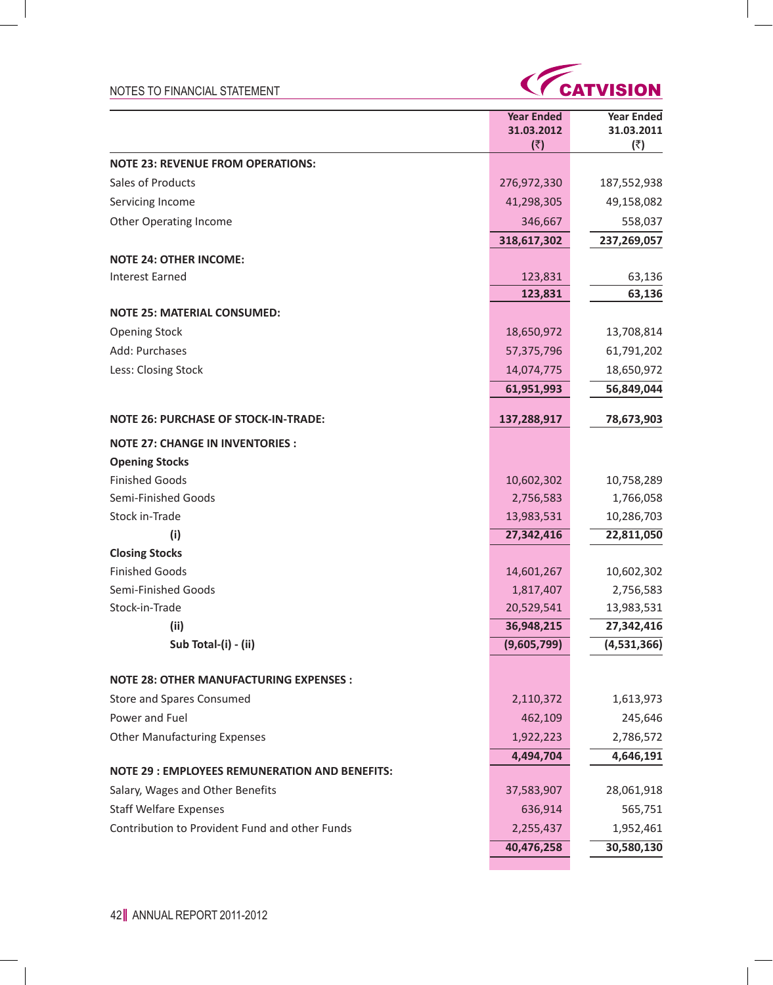

**Contract Contract** 

|                                                       | <b>Year Ended</b><br>31.03.2012<br>(3) | <b>Year Ended</b><br>31.03.2011<br>(₹) |
|-------------------------------------------------------|----------------------------------------|----------------------------------------|
| <b>NOTE 23: REVENUE FROM OPERATIONS:</b>              |                                        |                                        |
| Sales of Products                                     | 276,972,330                            | 187,552,938                            |
| Servicing Income                                      | 41,298,305                             | 49,158,082                             |
| <b>Other Operating Income</b>                         | 346,667                                | 558,037                                |
|                                                       | 318,617,302                            | 237,269,057                            |
| <b>NOTE 24: OTHER INCOME:</b>                         |                                        |                                        |
| <b>Interest Earned</b>                                | 123,831                                | 63,136                                 |
|                                                       | 123,831                                | 63,136                                 |
| <b>NOTE 25: MATERIAL CONSUMED:</b>                    |                                        |                                        |
| <b>Opening Stock</b>                                  | 18,650,972                             | 13,708,814                             |
| Add: Purchases                                        | 57,375,796                             | 61,791,202                             |
| Less: Closing Stock                                   | 14,074,775                             | 18,650,972                             |
|                                                       | 61,951,993                             | 56,849,044                             |
| <b>NOTE 26: PURCHASE OF STOCK-IN-TRADE:</b>           | 137,288,917                            | 78,673,903                             |
| <b>NOTE 27: CHANGE IN INVENTORIES:</b>                |                                        |                                        |
| <b>Opening Stocks</b>                                 |                                        |                                        |
| <b>Finished Goods</b>                                 | 10,602,302                             | 10,758,289                             |
| Semi-Finished Goods                                   | 2,756,583                              | 1,766,058                              |
| Stock in-Trade                                        | 13,983,531                             | 10,286,703                             |
| (i)                                                   | 27,342,416                             | 22,811,050                             |
| <b>Closing Stocks</b>                                 |                                        |                                        |
| <b>Finished Goods</b>                                 | 14,601,267                             | 10,602,302                             |
| Semi-Finished Goods                                   | 1,817,407                              | 2,756,583                              |
| Stock-in-Trade                                        | 20,529,541                             | 13,983,531                             |
| (ii)                                                  | 36,948,215                             | 27,342,416                             |
| Sub Total-(i) - (ii)                                  | (9,605,799)                            | (4,531,366)                            |
| <b>NOTE 28: OTHER MANUFACTURING EXPENSES :</b>        |                                        |                                        |
| Store and Spares Consumed                             | 2,110,372                              | 1,613,973                              |
| Power and Fuel                                        | 462,109                                | 245,646                                |
| <b>Other Manufacturing Expenses</b>                   | 1,922,223                              | 2,786,572                              |
|                                                       | 4,494,704                              | 4,646,191                              |
| <b>NOTE 29 : EMPLOYEES REMUNERATION AND BENEFITS:</b> |                                        |                                        |
| Salary, Wages and Other Benefits                      | 37,583,907                             | 28,061,918                             |
| <b>Staff Welfare Expenses</b>                         | 636,914                                | 565,751                                |
| Contribution to Provident Fund and other Funds        | 2,255,437                              | 1,952,461                              |
|                                                       | 40,476,258                             | 30,580,130                             |

 $\sim$   $\,$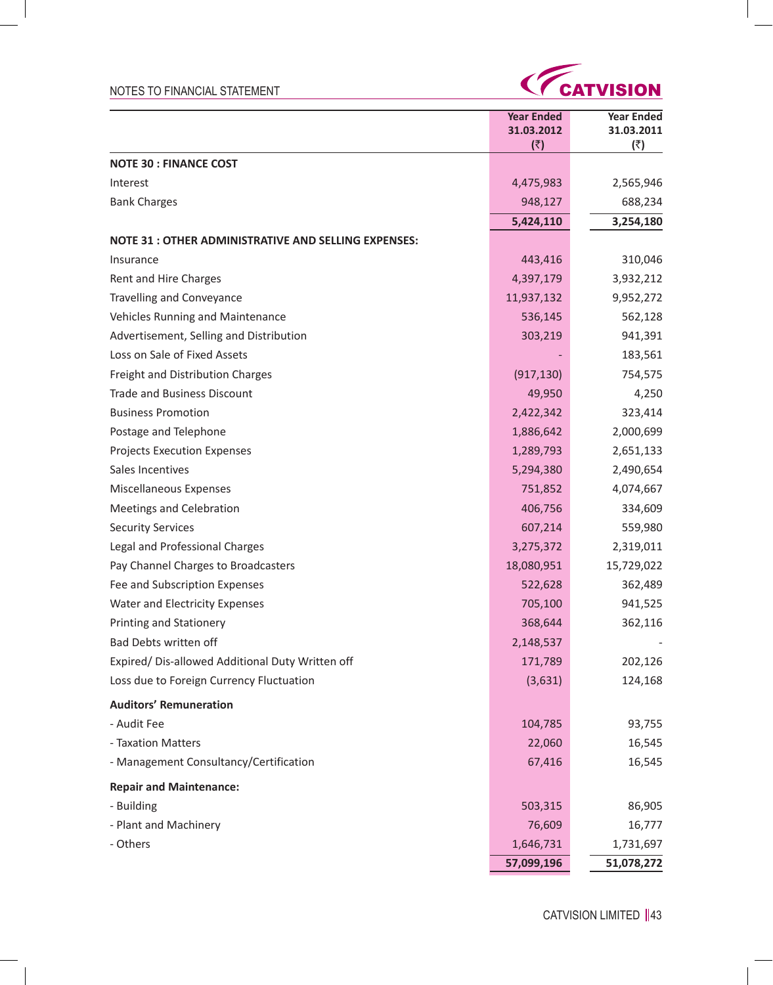$\sim$   $\,$ 



|                                                      | <b>Year Ended</b><br>31.03.2012<br>(5) | <b>Year Ended</b><br>31.03.2011<br>(₹) |
|------------------------------------------------------|----------------------------------------|----------------------------------------|
| <b>NOTE 30 : FINANCE COST</b>                        |                                        |                                        |
| Interest                                             | 4,475,983                              | 2,565,946                              |
| <b>Bank Charges</b>                                  | 948,127                                | 688,234                                |
|                                                      | 5,424,110                              | 3,254,180                              |
| NOTE 31 : OTHER ADMINISTRATIVE AND SELLING EXPENSES: |                                        |                                        |
| Insurance                                            | 443,416                                | 310,046                                |
| Rent and Hire Charges                                | 4,397,179                              | 3,932,212                              |
| <b>Travelling and Conveyance</b>                     | 11,937,132                             | 9,952,272                              |
| Vehicles Running and Maintenance                     | 536,145                                | 562,128                                |
| Advertisement, Selling and Distribution              | 303,219                                | 941,391                                |
| Loss on Sale of Fixed Assets                         |                                        | 183,561                                |
| Freight and Distribution Charges                     | (917, 130)                             | 754,575                                |
| <b>Trade and Business Discount</b>                   | 49,950                                 | 4,250                                  |
| <b>Business Promotion</b>                            | 2,422,342                              | 323,414                                |
| Postage and Telephone                                | 1,886,642                              | 2,000,699                              |
| <b>Projects Execution Expenses</b>                   | 1,289,793                              | 2,651,133                              |
| Sales Incentives                                     | 5,294,380                              | 2,490,654                              |
| Miscellaneous Expenses                               | 751,852                                | 4,074,667                              |
| Meetings and Celebration                             | 406,756                                | 334,609                                |
| <b>Security Services</b>                             | 607,214                                | 559,980                                |
| Legal and Professional Charges                       | 3,275,372                              | 2,319,011                              |
| Pay Channel Charges to Broadcasters                  | 18,080,951                             | 15,729,022                             |
| Fee and Subscription Expenses                        | 522,628                                | 362,489                                |
| Water and Electricity Expenses                       | 705,100                                | 941,525                                |
| <b>Printing and Stationery</b>                       | 368,644                                | 362,116                                |
| Bad Debts written off                                | 2,148,537                              |                                        |
| Expired/ Dis-allowed Additional Duty Written off     | 171,789                                | 202,126                                |
| Loss due to Foreign Currency Fluctuation             | (3,631)                                | 124,168                                |
| <b>Auditors' Remuneration</b>                        |                                        |                                        |
| - Audit Fee                                          | 104,785                                | 93,755                                 |
| - Taxation Matters                                   | 22,060                                 | 16,545                                 |
| - Management Consultancy/Certification               | 67,416                                 | 16,545                                 |
| <b>Repair and Maintenance:</b>                       |                                        |                                        |
| - Building                                           | 503,315                                | 86,905                                 |
| - Plant and Machinery                                | 76,609                                 | 16,777                                 |
| - Others                                             | 1,646,731                              | 1,731,697                              |
|                                                      | 57,099,196                             | 51,078,272                             |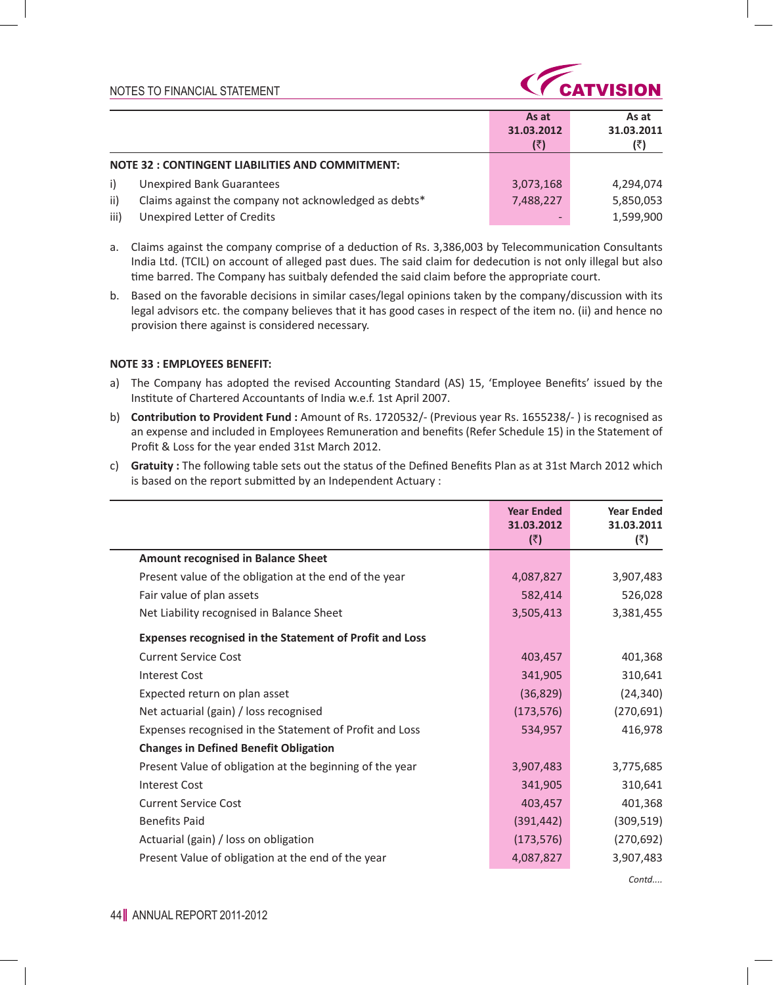

|      |                                                       | As at<br>31.03.2012 | As at<br>31.03.2011 |
|------|-------------------------------------------------------|---------------------|---------------------|
|      |                                                       | (₹)                 |                     |
|      | NOTE 32 : CONTINGENT LIABILITIES AND COMMITMENT:      |                     |                     |
| i)   | <b>Unexpired Bank Guarantees</b>                      | 3,073,168           | 4.294.074           |
| ii)  | Claims against the company not acknowledged as debts* | 7,488,227           | 5,850,053           |
| iii) | Unexpired Letter of Credits                           |                     | 1,599,900           |

- a. Claims against the company comprise of a deduction of Rs. 3,386,003 by Telecommunication Consultants India Ltd. (TCIL) on account of alleged past dues. The said claim for dedecution is not only illegal but also time barred. The Company has suitbaly defended the said claim before the appropriate court.
- b. Based on the favorable decisions in similar cases/legal opinions taken by the company/discussion with its legal advisors etc. the company believes that it has good cases in respect of the item no. (ii) and hence no provision there against is considered necessary.

#### **NOTE 33 : EMPLOYEES BENEFIT:**

- a) The Company has adopted the revised Accounting Standard (AS) 15, 'Employee Benefits' issued by the Institute of Chartered Accountants of India w.e.f. 1st April 2007.
- b) **Contribution to Provident Fund :** Amount of Rs. 1720532/- (Previous year Rs. 1655238/- ) is recognised as an expense and included in Employees Remuneration and benefits (Refer Schedule 15) in the Statement of Profit & Loss for the year ended 31st March 2012.
- c) **Gratuity :** The following table sets out the status of the Defined Benefits Plan as at 31st March 2012 which is based on the report submitted by an Independent Actuary :

|                                                          | 31.03.2012<br>(3) | 31.03.2011<br>(₹) |
|----------------------------------------------------------|-------------------|-------------------|
| <b>Amount recognised in Balance Sheet</b>                |                   |                   |
| Present value of the obligation at the end of the year   | 4,087,827         | 3,907,483         |
| Fair value of plan assets                                | 582,414           | 526,028           |
| Net Liability recognised in Balance Sheet                | 3,505,413         | 3,381,455         |
| Expenses recognised in the Statement of Profit and Loss  |                   |                   |
| <b>Current Service Cost</b>                              | 403,457           | 401,368           |
| <b>Interest Cost</b>                                     | 341,905           | 310,641           |
| Expected return on plan asset                            | (36, 829)         | (24, 340)         |
| Net actuarial (gain) / loss recognised                   | (173, 576)        | (270, 691)        |
| Expenses recognised in the Statement of Profit and Loss  | 534,957           | 416,978           |
| <b>Changes in Defined Benefit Obligation</b>             |                   |                   |
| Present Value of obligation at the beginning of the year | 3,907,483         | 3,775,685         |
| <b>Interest Cost</b>                                     | 341,905           | 310,641           |
| <b>Current Service Cost</b>                              | 403,457           | 401,368           |
| <b>Benefits Paid</b>                                     | (391, 442)        | (309, 519)        |
| Actuarial (gain) / loss on obligation                    | (173, 576)        | (270, 692)        |
| Present Value of obligation at the end of the year       | 4,087,827         | 3,907,483         |

*Contd....*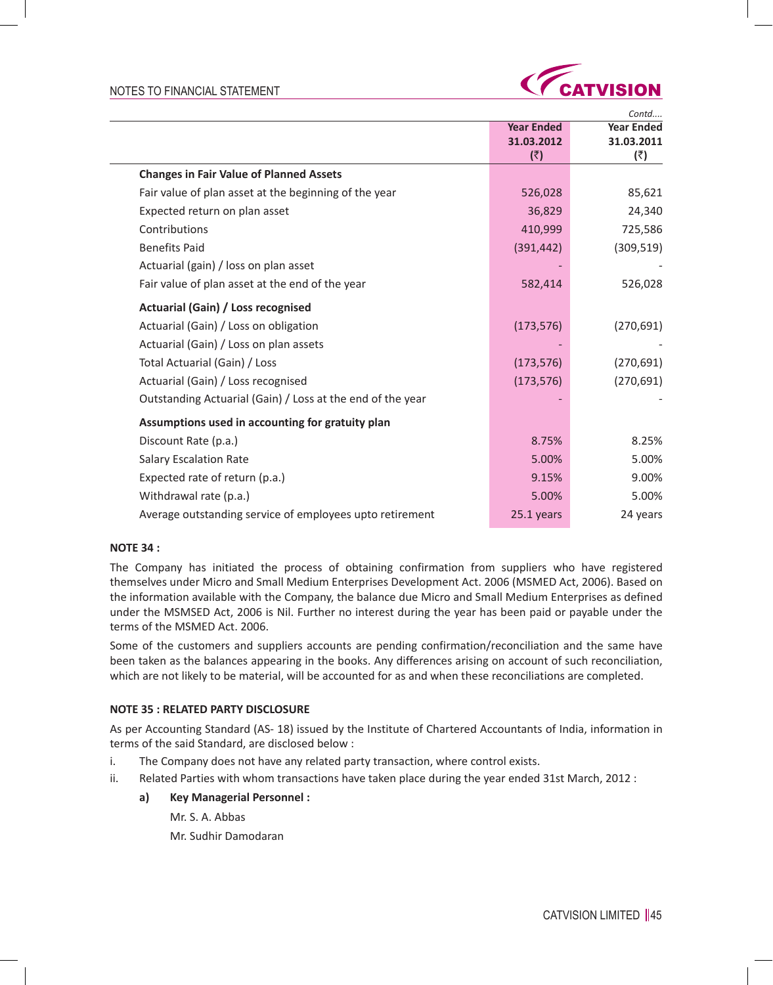

|                                                            |                   | Contd             |
|------------------------------------------------------------|-------------------|-------------------|
|                                                            | <b>Year Ended</b> | <b>Year Ended</b> |
|                                                            | 31.03.2012        | 31.03.2011        |
|                                                            | (₹)               | (₹)               |
| <b>Changes in Fair Value of Planned Assets</b>             |                   |                   |
| Fair value of plan asset at the beginning of the year      | 526,028           | 85,621            |
| Expected return on plan asset                              | 36,829            | 24,340            |
| Contributions                                              | 410,999           | 725,586           |
| <b>Benefits Paid</b>                                       | (391, 442)        | (309, 519)        |
| Actuarial (gain) / loss on plan asset                      |                   |                   |
| Fair value of plan asset at the end of the year            | 582,414           | 526,028           |
| <b>Actuarial (Gain) / Loss recognised</b>                  |                   |                   |
| Actuarial (Gain) / Loss on obligation                      | (173, 576)        | (270, 691)        |
| Actuarial (Gain) / Loss on plan assets                     |                   |                   |
| Total Actuarial (Gain) / Loss                              | (173, 576)        | (270, 691)        |
| Actuarial (Gain) / Loss recognised                         | (173, 576)        | (270, 691)        |
| Outstanding Actuarial (Gain) / Loss at the end of the year |                   |                   |
| Assumptions used in accounting for gratuity plan           |                   |                   |
| Discount Rate (p.a.)                                       | 8.75%             | 8.25%             |
| <b>Salary Escalation Rate</b>                              | 5.00%             | 5.00%             |
| Expected rate of return (p.a.)                             | 9.15%             | 9.00%             |
| Withdrawal rate (p.a.)                                     | 5.00%             | 5.00%             |
| Average outstanding service of employees upto retirement   | 25.1 years        | 24 years          |

### **NOTE 34 :**

The Company has initiated the process of obtaining confirmation from suppliers who have registered themselves under Micro and Small Medium Enterprises Development Act. 2006 (MSMED Act, 2006). Based on the information available with the Company, the balance due Micro and Small Medium Enterprises as defined under the MSMSED Act, 2006 is Nil. Further no interest during the year has been paid or payable under the terms of the MSMED Act. 2006.

Some of the customers and suppliers accounts are pending confirmation/reconciliation and the same have been taken as the balances appearing in the books. Any differences arising on account of such reconciliation, which are not likely to be material, will be accounted for as and when these reconciliations are completed.

### **NOTE 35 : RELATED PARTY DISCLOSURE**

As per Accounting Standard (AS- 18) issued by the Institute of Chartered Accountants of India, information in terms of the said Standard, are disclosed below :

- i. The Company does not have any related party transaction, where control exists.
- ii. Related Parties with whom transactions have taken place during the year ended 31st March, 2012 :
	- **a) Key Managerial Personnel :**
		- Mr. S. A. Abbas
		- Mr. Sudhir Damodaran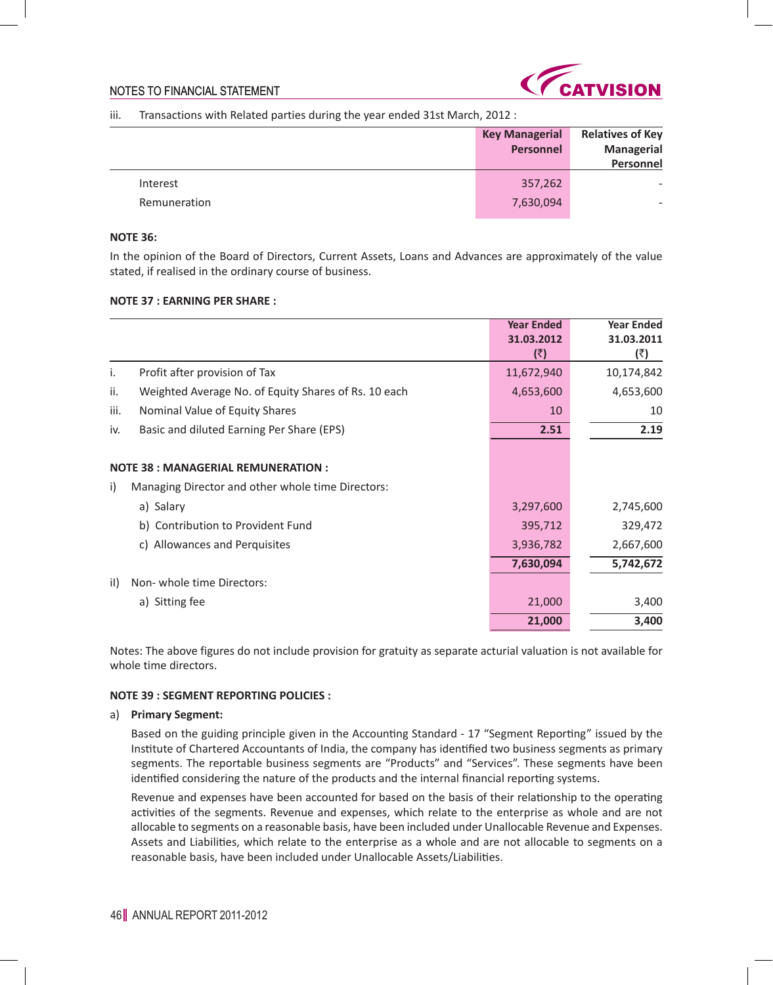

### iii. Transactions with Related parties during the year ended 31st March, 2012 :

|              | <b>Key Managerial</b> | <b>Relatives of Key</b> |
|--------------|-----------------------|-------------------------|
|              | Personnel             | <b>Managerial</b>       |
|              |                       | Personnel               |
| Interest     | 357,262               |                         |
| Remuneration | 7,630,094             | -                       |

#### **NOTE 36:**

In the opinion of the Board of Directors, Current Assets, Loans and Advances are approximately of the value stated, if realised in the ordinary course of business.

### **NOTE 37 : EARNING PER SHARE :**

|                                                             | <b>Year Ended</b><br>31.03.2012<br>(₹) | <b>Year Ended</b><br>31.03.2011<br>(₹) |
|-------------------------------------------------------------|----------------------------------------|----------------------------------------|
| Profit after provision of Tax<br>i.                         | 11,672,940                             | 10,174,842                             |
| ii.<br>Weighted Average No. of Equity Shares of Rs. 10 each | 4,653,600                              | 4,653,600                              |
| iii.<br>Nominal Value of Equity Shares                      | 10                                     | 10                                     |
| Basic and diluted Earning Per Share (EPS)<br>iv.            | 2.51                                   | 2.19                                   |
| <b>NOTE 38 : MANAGERIAL REMUNERATION :</b>                  |                                        |                                        |
| Managing Director and other whole time Directors:<br>i)     |                                        |                                        |
| a) Salary                                                   | 3,297,600                              | 2,745,600                              |
| b) Contribution to Provident Fund                           | 395,712                                | 329,472                                |
| c) Allowances and Perquisites                               | 3,936,782                              | 2,667,600                              |
|                                                             | 7,630,094                              | 5,742,672                              |
| il)<br>Non-whole time Directors:                            |                                        |                                        |
| a) Sitting fee                                              | 21,000                                 | 3,400                                  |
|                                                             | 21,000                                 | 3,400                                  |

Notes: The above figures do not include provision for gratuity as separate acturial valuation is not available for whole time directors.

### **NOTE 39 : SEGMENT REPORTING POLICIES :**

#### a) **Primary Segment:**

 Based on the guiding principle given in the Accounting Standard - 17 "Segment Reporting" issued by the Institute of Chartered Accountants of India, the company has identified two business segments as primary segments. The reportable business segments are "Products" and "Services". These segments have been identified considering the nature of the products and the internal financial reporting systems.

 Revenue and expenses have been accounted for based on the basis of their relationship to the operating activities of the segments. Revenue and expenses, which relate to the enterprise as whole and are not allocable to segments on a reasonable basis, have been included under Unallocable Revenue and Expenses. Assets and Liabilities, which relate to the enterprise as a whole and are not allocable to segments on a reasonable basis, have been included under Unallocable Assets/Liabilities.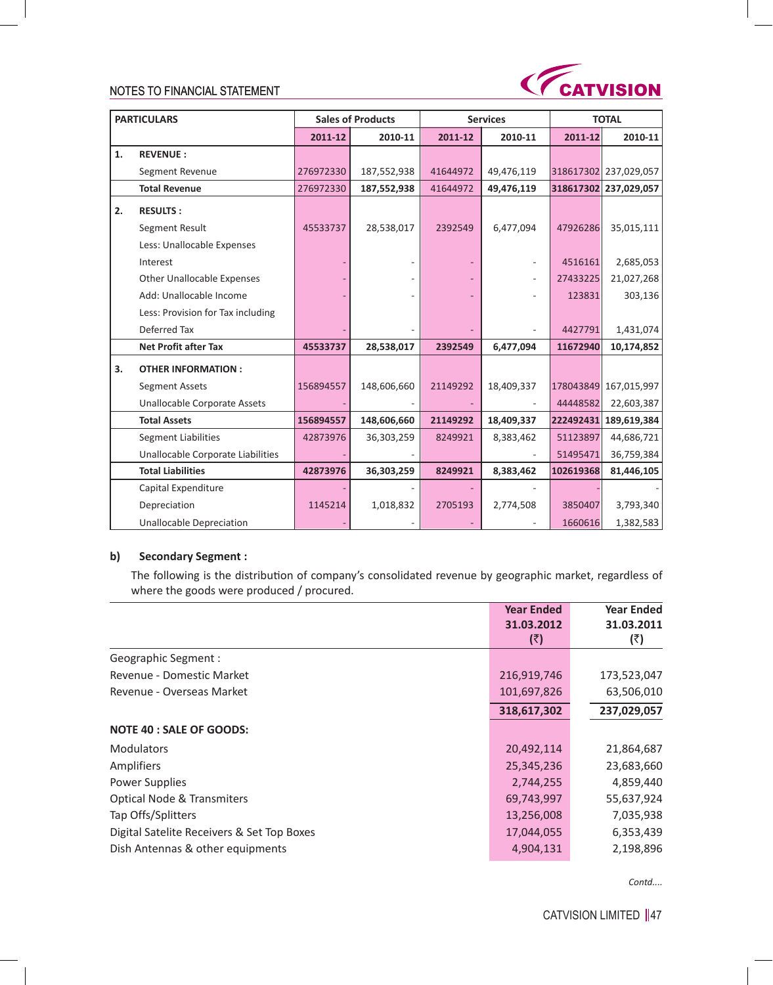

| <b>PARTICULARS</b> |                                     |           | <b>Sales of Products</b> |          | <b>Services</b> |           | <b>TOTAL</b>          |
|--------------------|-------------------------------------|-----------|--------------------------|----------|-----------------|-----------|-----------------------|
|                    |                                     | 2011-12   | 2010-11                  | 2011-12  | 2010-11         | 2011-12   | 2010-11               |
| 1.                 | <b>REVENUE:</b>                     |           |                          |          |                 |           |                       |
|                    | Segment Revenue                     | 276972330 | 187,552,938              | 41644972 | 49,476,119      |           | 318617302 237,029,057 |
|                    | <b>Total Revenue</b>                | 276972330 | 187,552,938              | 41644972 | 49,476,119      | 318617302 | 237,029,057           |
| 2.                 | <b>RESULTS:</b>                     |           |                          |          |                 |           |                       |
|                    | Segment Result                      | 45533737  | 28,538,017               | 2392549  | 6,477,094       | 47926286  | 35,015,111            |
|                    | Less: Unallocable Expenses          |           |                          |          |                 |           |                       |
|                    | Interest                            |           |                          |          |                 | 4516161   | 2,685,053             |
|                    | <b>Other Unallocable Expenses</b>   |           |                          |          |                 | 27433225  | 21,027,268            |
|                    | Add: Unallocable Income             |           |                          |          |                 | 123831    | 303,136               |
|                    | Less: Provision for Tax including   |           |                          |          |                 |           |                       |
|                    | Deferred Tax                        |           |                          |          |                 | 4427791   | 1,431,074             |
|                    | <b>Net Profit after Tax</b>         | 45533737  | 28,538,017               | 2392549  | 6,477,094       | 11672940  | 10,174,852            |
| 3.                 | <b>OTHER INFORMATION:</b>           |           |                          |          |                 |           |                       |
|                    | <b>Segment Assets</b>               | 156894557 | 148,606,660              | 21149292 | 18,409,337      | 178043849 | 167,015,997           |
|                    | <b>Unallocable Corporate Assets</b> |           |                          |          |                 | 44448582  | 22,603,387            |
|                    | <b>Total Assets</b>                 | 156894557 | 148,606,660              | 21149292 | 18,409,337      | 222492431 | 189,619,384           |
|                    | <b>Segment Liabilities</b>          | 42873976  | 36,303,259               | 8249921  | 8,383,462       | 51123897  | 44,686,721            |
|                    | Unallocable Corporate Liabilities   |           |                          |          |                 | 51495471  | 36,759,384            |
|                    | <b>Total Liabilities</b>            | 42873976  | 36,303,259               | 8249921  | 8,383,462       | 102619368 | 81,446,105            |
|                    | Capital Expenditure                 |           |                          |          |                 |           |                       |
|                    | Depreciation                        | 1145214   | 1,018,832                | 2705193  | 2,774,508       | 3850407   | 3,793,340             |
|                    | <b>Unallocable Depreciation</b>     |           |                          |          |                 | 1660616   | 1,382,583             |

# **b) Secondary Segment :**

 The following is the distribution of company's consolidated revenue by geographic market, regardless of where the goods were produced / procured.

|                                            | <b>Year Ended</b> | <b>Year Ended</b> |
|--------------------------------------------|-------------------|-------------------|
|                                            | 31.03.2012        | 31.03.2011        |
|                                            | (₹)               | (₹)               |
| Geographic Segment:                        |                   |                   |
| Revenue - Domestic Market                  | 216,919,746       | 173,523,047       |
| Revenue - Overseas Market                  | 101,697,826       | 63,506,010        |
|                                            | 318,617,302       | 237,029,057       |
| <b>NOTE 40 : SALE OF GOODS:</b>            |                   |                   |
| <b>Modulators</b>                          | 20,492,114        | 21,864,687        |
| Amplifiers                                 | 25,345,236        | 23,683,660        |
| Power Supplies                             | 2,744,255         | 4,859,440         |
| <b>Optical Node &amp; Transmiters</b>      | 69,743,997        | 55,637,924        |
| Tap Offs/Splitters                         | 13,256,008        | 7,035,938         |
| Digital Satelite Receivers & Set Top Boxes | 17,044,055        | 6,353,439         |
| Dish Antennas & other equipments           | 4,904,131         | 2,198,896         |

*Contd....*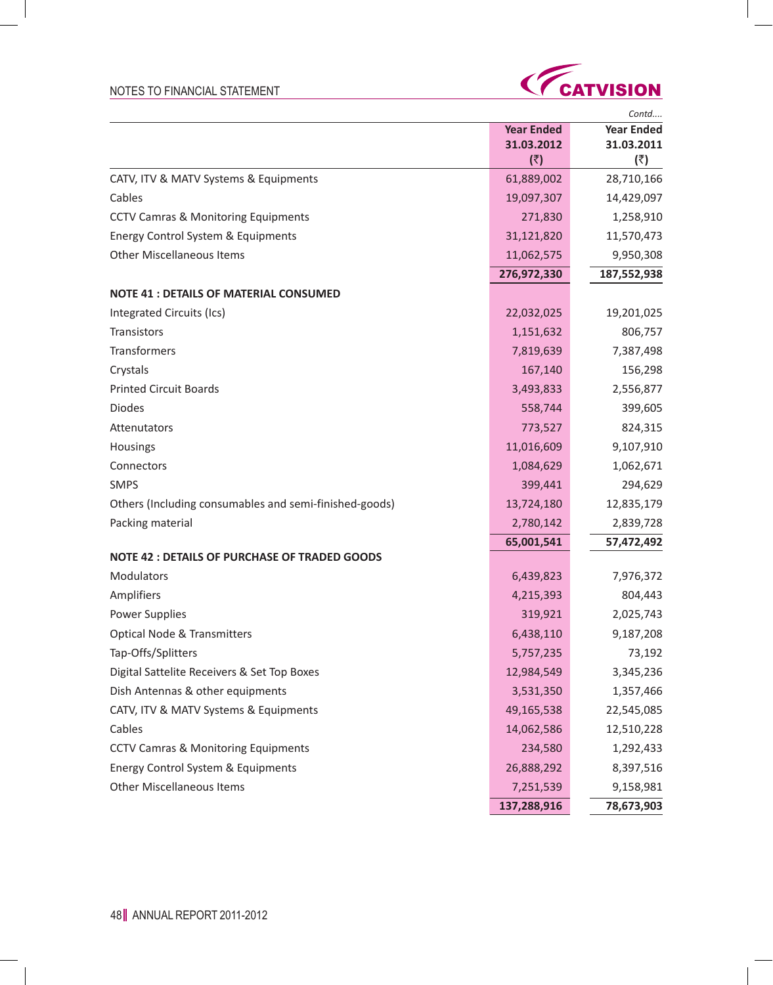- 1



|                                                        |                   | Contd             |
|--------------------------------------------------------|-------------------|-------------------|
|                                                        | <b>Year Ended</b> | <b>Year Ended</b> |
|                                                        | 31.03.2012        | 31.03.2011        |
| CATV, ITV & MATV Systems & Equipments                  | (₹)<br>61,889,002 | (₹)<br>28,710,166 |
| Cables                                                 | 19,097,307        |                   |
|                                                        |                   | 14,429,097        |
| <b>CCTV Camras &amp; Monitoring Equipments</b>         | 271,830           | 1,258,910         |
| Energy Control System & Equipments                     | 31,121,820        | 11,570,473        |
| <b>Other Miscellaneous Items</b>                       | 11,062,575        | 9,950,308         |
|                                                        | 276,972,330       | 187,552,938       |
| <b>NOTE 41 : DETAILS OF MATERIAL CONSUMED</b>          |                   |                   |
| Integrated Circuits (Ics)                              | 22,032,025        | 19,201,025        |
| Transistors                                            | 1,151,632         | 806,757           |
| Transformers                                           | 7,819,639         | 7,387,498         |
| Crystals                                               | 167,140           | 156,298           |
| <b>Printed Circuit Boards</b>                          | 3,493,833         | 2,556,877         |
| <b>Diodes</b>                                          | 558,744           | 399,605           |
| Attenutators                                           | 773,527           | 824,315           |
| Housings                                               | 11,016,609        | 9,107,910         |
| Connectors                                             | 1,084,629         | 1,062,671         |
| <b>SMPS</b>                                            | 399,441           | 294,629           |
| Others (Including consumables and semi-finished-goods) | 13,724,180        | 12,835,179        |
| Packing material                                       | 2,780,142         | 2,839,728         |
|                                                        | 65,001,541        | 57,472,492        |
| <b>NOTE 42 : DETAILS OF PURCHASE OF TRADED GOODS</b>   |                   |                   |
| Modulators                                             | 6,439,823         | 7,976,372         |
| Amplifiers                                             | 4,215,393         | 804,443           |
| <b>Power Supplies</b>                                  | 319,921           | 2,025,743         |
| <b>Optical Node &amp; Transmitters</b>                 | 6,438,110         | 9,187,208         |
| Tap-Offs/Splitters                                     | 5,757,235         | 73,192            |
| Digital Sattelite Receivers & Set Top Boxes            | 12,984,549        | 3,345,236         |
| Dish Antennas & other equipments                       | 3,531,350         | 1,357,466         |
| CATV, ITV & MATV Systems & Equipments                  | 49,165,538        | 22,545,085        |
| Cables                                                 | 14,062,586        | 12,510,228        |
| <b>CCTV Camras &amp; Monitoring Equipments</b>         | 234,580           | 1,292,433         |
| Energy Control System & Equipments                     | 26,888,292        | 8,397,516         |
| <b>Other Miscellaneous Items</b>                       | 7,251,539         | 9,158,981         |
|                                                        | 137,288,916       | 78,673,903        |

 $\sim$  1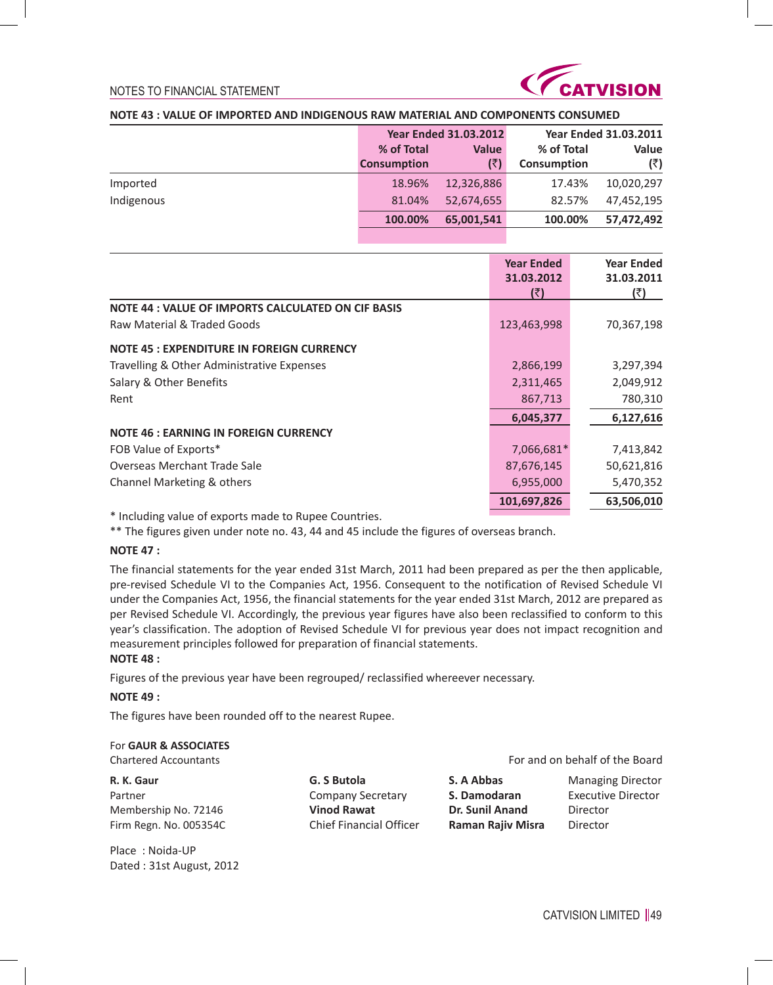

# **NOTE 43 : VALUE OF IMPORTED AND INDIGENOUS RAW MATERIAL AND COMPONENTS CONSUMED**

|            | <b>Year Ended 31.03.2012</b> |              |                    | <b>Year Ended 31.03.2011</b> |
|------------|------------------------------|--------------|--------------------|------------------------------|
|            | % of Total                   | <b>Value</b> | % of Total         | Value                        |
|            | <b>Consumption</b>           | (₹)          | <b>Consumption</b> | (₹)                          |
| Imported   | 18.96%                       | 12,326,886   | 17.43%             | 10,020,297                   |
| Indigenous | 81.04%                       | 52,674,655   | 82.57%             | 47,452,195                   |
|            | 100.00%                      | 65,001,541   | 100.00%            | 57,472,492                   |

|                                                    | <b>Year Ended</b><br>31.03.2012<br>(₹) | <b>Year Ended</b><br>31.03.2011<br>(₹) |
|----------------------------------------------------|----------------------------------------|----------------------------------------|
| NOTE 44 : VALUE OF IMPORTS CALCULATED ON CIF BASIS |                                        |                                        |
| Raw Material & Traded Goods                        | 123,463,998                            | 70,367,198                             |
| <b>NOTE 45 : EXPENDITURE IN FOREIGN CURRENCY</b>   |                                        |                                        |
| Travelling & Other Administrative Expenses         | 2,866,199                              | 3,297,394                              |
| Salary & Other Benefits                            | 2,311,465                              | 2,049,912                              |
| Rent                                               | 867,713                                | 780,310                                |
|                                                    | 6,045,377                              | 6,127,616                              |
| <b>NOTE 46 : EARNING IN FOREIGN CURRENCY</b>       |                                        |                                        |
| FOB Value of Exports*                              | 7,066,681*                             | 7,413,842                              |
| Overseas Merchant Trade Sale                       | 87,676,145                             | 50,621,816                             |
| Channel Marketing & others                         | 6,955,000                              | 5,470,352                              |
|                                                    | 101,697,826                            | 63,506,010                             |
|                                                    |                                        |                                        |

\* Including value of exports made to Rupee Countries.

\*\* The figures given under note no. 43, 44 and 45 include the figures of overseas branch.

### **NOTE 47 :**

The financial statements for the year ended 31st March, 2011 had been prepared as per the then applicable, pre-revised Schedule VI to the Companies Act, 1956. Consequent to the notification of Revised Schedule VI under the Companies Act, 1956, the financial statements for the year ended 31st March, 2012 are prepared as per Revised Schedule VI. Accordingly, the previous year figures have also been reclassified to conform to this year's classification. The adoption of Revised Schedule VI for previous year does not impact recognition and measurement principles followed for preparation of financial statements. **NOTE 48 :**

Figures of the previous year have been regrouped/ reclassified whereever necessary.

#### **NOTE 49 :**

The figures have been rounded off to the nearest Rupee.

### For **GAUR & ASSOCIATES**

Place : Noida-UP Dated : 31st August, 2012

**R. K. Gaur G. S Butola S. A Abbas** Managing Director Partner Company Secretary **S. Damodaran** Executive Director Membership No. 72146 **Vinod Rawat Dr. Sunil Anand** Director Firm Regn. No. 005354C Chief Financial Officer **Raman Rajiv Misra** Director

Chartered Accountants For and on behalf of the Board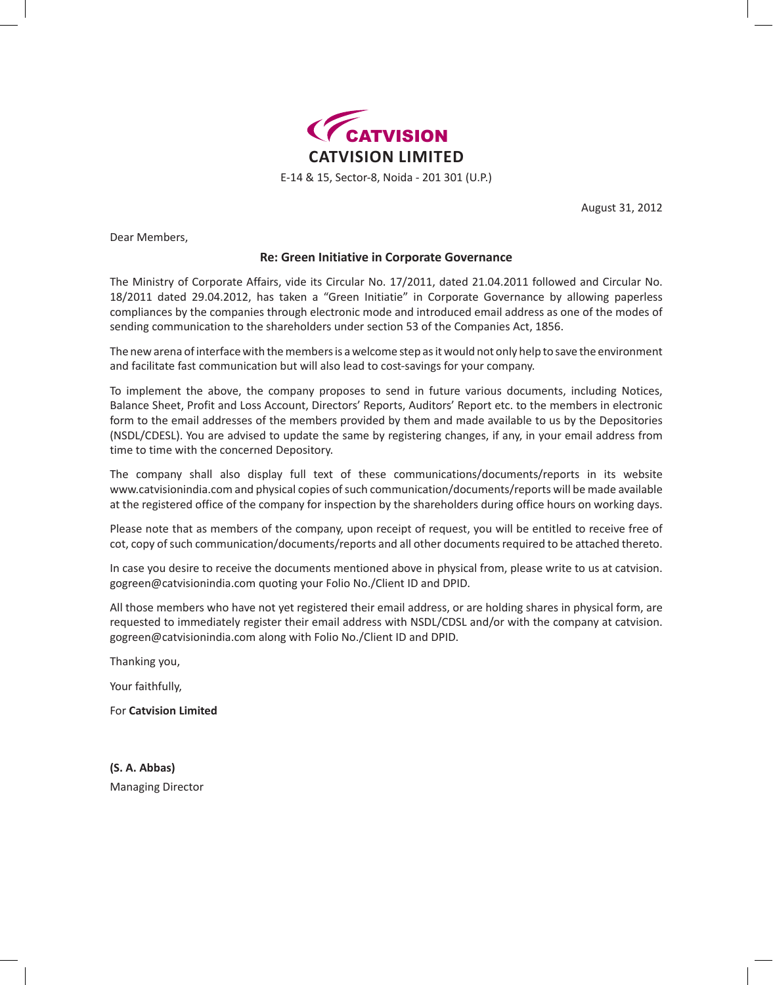

August 31, 2012

Dear Members,

### **Re: Green Initiative in Corporate Governance**

The Ministry of Corporate Affairs, vide its Circular No. 17/2011, dated 21.04.2011 followed and Circular No. 18/2011 dated 29.04.2012, has taken a "Green Initiatie" in Corporate Governance by allowing paperless compliances by the companies through electronic mode and introduced email address as one of the modes of sending communication to the shareholders under section 53 of the Companies Act, 1856.

The new arena of interface with the members is a welcome step as it would not only help to save the environment and facilitate fast communication but will also lead to cost-savings for your company.

To implement the above, the company proposes to send in future various documents, including Notices, Balance Sheet, Profit and Loss Account, Directors' Reports, Auditors' Report etc. to the members in electronic form to the email addresses of the members provided by them and made available to us by the Depositories (NSDL/CDESL). You are advised to update the same by registering changes, if any, in your email address from time to time with the concerned Depository.

The company shall also display full text of these communications/documents/reports in its website www.catvisionindia.com and physical copies of such communication/documents/reports will be made available at the registered office of the company for inspection by the shareholders during office hours on working days.

Please note that as members of the company, upon receipt of request, you will be entitled to receive free of cot, copy of such communication/documents/reports and all other documents required to be attached thereto.

In case you desire to receive the documents mentioned above in physical from, please write to us at catvision. gogreen@catvisionindia.com quoting your Folio No./Client ID and DPID.

All those members who have not yet registered their email address, or are holding shares in physical form, are requested to immediately register their email address with NSDL/CDSL and/or with the company at catvision. gogreen@catvisionindia.com along with Folio No./Client ID and DPID.

Thanking you,

Your faithfully,

For **Catvision Limited**

**(S. A. Abbas)** Managing Director